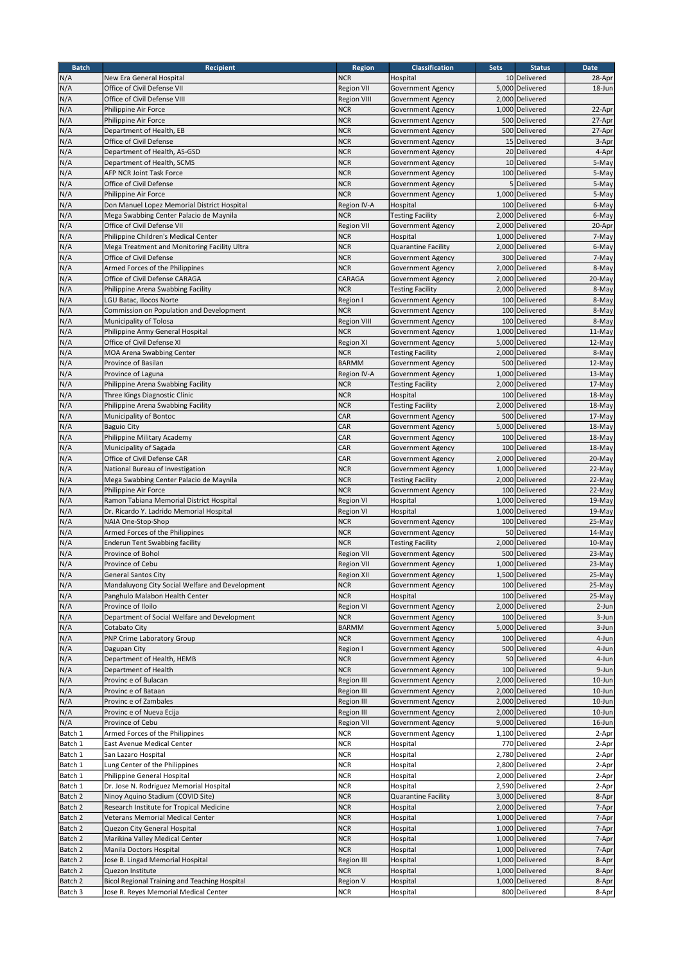| <b>Batch</b>       | <b>Recipient</b>                                                       | <b>Region</b>                   | <b>Classification</b>                  | <b>Sets</b> | <b>Status</b>                      | <b>Date</b>      |
|--------------------|------------------------------------------------------------------------|---------------------------------|----------------------------------------|-------------|------------------------------------|------------------|
| N/A                | New Era General Hospital                                               | <b>NCR</b>                      | Hospital                               |             | 10 Delivered                       | 28-Apr           |
| N/A                | Office of Civil Defense VII                                            | Region VII                      | Government Agency                      |             | 5,000 Delivered                    | 18-Jun           |
| N/A                | Office of Civil Defense VIII                                           | <b>Region VIII</b>              | Government Agency                      |             | 2,000 Delivered                    |                  |
| N/A                | Philippine Air Force                                                   | <b>NCR</b>                      | Government Agency                      |             | 1,000 Delivered                    | 22-Apr           |
| N/A                | Philippine Air Force                                                   | <b>NCR</b>                      | Government Agency                      |             | 500 Delivered                      | 27-Apr           |
| N/A                | Department of Health, EB                                               | <b>NCR</b>                      | Government Agency                      |             | 500 Delivered                      | 27-Apr           |
| N/A                | Office of Civil Defense                                                | <b>NCR</b>                      | Government Agency                      |             | 15 Delivered                       | 3-Apr            |
| N/A                | Department of Health, AS-GSD                                           | <b>NCR</b>                      | Government Agency                      |             | 20 Delivered                       | 4-Apr            |
| N/A                | Department of Health, SCMS                                             | <b>NCR</b>                      | Government Agency                      |             | 10 Delivered                       | 5-May            |
| N/A                | AFP NCR Joint Task Force                                               | <b>NCR</b>                      | <b>Government Agency</b>               |             | 100 Delivered                      | 5-May            |
| N/A                | Office of Civil Defense                                                | <b>NCR</b>                      | Government Agency                      |             | 5 Delivered                        | 5-May            |
| N/A                | Philippine Air Force                                                   | <b>NCR</b>                      | <b>Government Agency</b>               |             | 1.000 Delivered                    | 5-May            |
| N/A                | Don Manuel Lopez Memorial District Hospital                            | Region IV-A                     | Hospital                               |             | 100 Delivered                      | 6-May            |
| N/A                | Mega Swabbing Center Palacio de Maynila                                | <b>NCR</b>                      | <b>Testing Facility</b>                |             | 2,000 Delivered                    | 6-May            |
| N/A                | Office of Civil Defense VII                                            | Region VII                      | Government Agency                      |             | 2,000 Delivered                    | 20-Apr           |
| N/A                | Philippine Children's Medical Center                                   | <b>NCR</b>                      | Hospital                               |             | 1,000 Delivered                    | 7-May            |
| N/A                | Mega Treatment and Monitoring Facility Ultra                           | <b>NCR</b>                      | Quarantine Facility                    |             | 2,000 Delivered                    | 6-May            |
| N/A                | Office of Civil Defense                                                | <b>NCR</b>                      | Government Agency                      |             | 300 Delivered                      | 7-May            |
| N/A                | Armed Forces of the Philippines                                        | <b>NCR</b>                      | <b>Government Agency</b>               |             | 2,000 Delivered                    | 8-May            |
| N/A                | Office of Civil Defense CARAGA                                         | CARAGA                          | Government Agency                      |             | 2,000 Delivered                    | 20-May           |
| N/A                | Philippine Arena Swabbing Facility                                     | <b>NCR</b>                      | <b>Testing Facility</b>                |             | 2,000 Delivered                    | 8-May            |
| N/A                | LGU Batac, Ilocos Norte                                                | Region I                        | Government Agency                      |             | 100 Delivered                      | 8-May            |
| N/A                | Commission on Population and Development                               | <b>NCR</b>                      | Government Agency                      |             | 100 Delivered                      | 8-May            |
| N/A                | Municipality of Tolosa                                                 | <b>Region VIII</b>              | <b>Government Agency</b>               |             | 100 Delivered                      | 8-May            |
| N/A                | Philippine Army General Hospital                                       | <b>NCR</b>                      | <b>Government Agency</b>               |             | 1,000 Delivered                    | 11-May           |
| N/A                | Office of Civil Defense XI                                             | <b>Region XI</b>                | Government Agency                      |             | 5,000 Delivered                    | 12-May           |
| N/A                | MOA Arena Swabbing Center                                              | <b>NCR</b>                      | <b>Testing Facility</b>                |             | 2,000 Delivered                    | 8-May            |
| N/A                | Province of Basilan                                                    | <b>BARMM</b>                    | Government Agency                      |             | 500 Delivered                      | 12-May           |
| N/A                | Province of Laguna                                                     | Region IV-A                     | Government Agency                      |             | 1,000 Delivered                    | 13-May           |
| N/A                | Philippine Arena Swabbing Facility                                     | <b>NCR</b>                      | <b>Testing Facility</b>                |             | 2,000 Delivered                    | 17-May           |
| N/A                | Three Kings Diagnostic Clinic                                          | <b>NCR</b>                      | Hospital                               |             | 100 Delivered                      | 18-May           |
| N/A                | Philippine Arena Swabbing Facility                                     | <b>NCR</b>                      | <b>Testing Facility</b>                |             | 2,000 Delivered                    | 18-May           |
| N/A                | Municipality of Bontoc                                                 | CAR                             | <b>Government Agency</b>               |             | 500 Delivered                      | 17-May           |
| N/A                | <b>Baguio City</b>                                                     | CAR                             | <b>Government Agency</b>               |             | 5,000 Delivered                    | 18-May           |
| N/A                | Philippine Military Academy                                            | CAR                             | Government Agency                      |             | 100 Delivered                      | 18-May           |
| N/A                | Municipality of Sagada                                                 | CAR                             | Government Agency                      |             | 100 Delivered                      | 18-May           |
| N/A                | Office of Civil Defense CAR                                            | CAR                             | Government Agency                      |             | 2,000 Delivered                    | 20-May           |
| N/A                | National Bureau of Investigation                                       | <b>NCR</b>                      | <b>Government Agency</b>               |             | 1,000 Delivered                    | 22-May           |
| N/A                | Mega Swabbing Center Palacio de Maynila                                | <b>NCR</b>                      | Testing Facility                       |             | 2,000 Delivered                    | 22-May           |
| N/A                | Philippine Air Force                                                   | <b>NCR</b>                      | <b>Government Agency</b>               |             | 100 Delivered                      | 22-May           |
| N/A                | Ramon Tabiana Memorial District Hospital                               | Region VI                       | Hospital                               |             | 1,000 Delivered                    | 19-May           |
| N/A                | Dr. Ricardo Y. Ladrido Memorial Hospital                               | Region VI                       | Hospital                               |             | 1,000 Delivered                    | 19-May           |
| N/A                | NAIA One-Stop-Shop                                                     | <b>NCR</b>                      | <b>Government Agency</b>               |             | 100 Delivered                      | 25-May           |
| N/A                | Armed Forces of the Philippines                                        | <b>NCR</b>                      | <b>Government Agency</b>               |             | 50 Delivered<br>2,000 Delivered    | 14-May<br>10-May |
| N/A                | <b>Enderun Tent Swabbing facility</b>                                  | <b>NCR</b>                      | <b>Testing Facility</b>                |             |                                    |                  |
| N/A                | Province of Bohol                                                      | <b>Region VII</b>               | <b>Government Agency</b>               |             | 500 Delivered                      | 23-May           |
| N/A                | Province of Cebu                                                       | Region VII<br><b>Region XII</b> | Government Agency                      |             | 1,000 Delivered<br>1,500 Delivered | 23-May           |
| N/A                | General Santos City                                                    |                                 | Government Agency                      |             |                                    | 25-May           |
| N/A                | Mandaluyong City Social Welfare and Development                        | NCR.                            | Government Agency                      |             | 100 Delivered                      | 25-May           |
| N/A                | Panghulo Malabon Health Center                                         | <b>NCR</b>                      | Hospital                               |             | 100 Delivered<br>2,000 Delivered   | 25-May           |
| N/A                | Province of Iloilo                                                     | Region VI                       | Government Agency                      |             |                                    | 2-Jun            |
| N/A                | Department of Social Welfare and Development                           | <b>NCR</b>                      | Government Agency                      |             | 100 Delivered                      | 3-Jun            |
| N/A                | Cotabato City                                                          | BARMM                           | Government Agency<br>Government Agency |             | 5,000 Delivered                    | 3-Jun<br>4-Jun   |
| N/A                | PNP Crime Laboratory Group                                             | <b>NCR</b>                      |                                        |             | 100 Delivered                      |                  |
| N/A                | Dagupan City<br>Department of Health, HEMB                             | Region I                        | <b>Government Agency</b>               |             | 500 Delivered                      | 4-Jun            |
| N/A                |                                                                        | <b>NCR</b><br><b>NCR</b>        | Government Agency                      |             | 50 Delivered                       | 4-Jun<br>9-Jun   |
| N/A<br>N/A         | Department of Health<br>Provinc e of Bulacan                           |                                 | Government Agency                      |             | 100 Delivered<br>2,000 Delivered   | 10-Jun           |
|                    |                                                                        | Region III                      | Government Agency                      |             |                                    |                  |
| N/A                | Provinc e of Bataan                                                    | <b>Region III</b>               | Government Agency                      |             | 2,000 Delivered                    | 10-Jun           |
| N/A                | Provinc e of Zambales                                                  | Region III                      | Government Agency                      |             | 2,000 Delivered<br>2,000 Delivered | 10-Jun           |
| N/A                | Provinc e of Nueva Ecija<br>Province of Cebu                           | Region III                      | Government Agency                      |             | 9,000 Delivered                    | 10-Jun<br>16-Jun |
| N/A                |                                                                        | <b>Region VII</b>               | Government Agency                      |             |                                    |                  |
| Batch 1            | Armed Forces of the Philippines<br>East Avenue Medical Center          | <b>NCR</b><br><b>NCR</b>        | Government Agency                      |             | 1,100 Delivered                    | 2-Apr            |
| Batch 1<br>Batch 1 | San Lazaro Hospital                                                    | $NCR$                           | Hospital<br>Hospital                   |             | 770 Delivered<br>2,780 Delivered   | 2-Apr<br>2-Apr   |
| Batch 1            | Lung Center of the Philippines                                         | <b>NCR</b>                      | Hospital                               |             | 2,800 Delivered                    | 2-Apr            |
|                    |                                                                        | <b>NCR</b>                      |                                        |             |                                    |                  |
| Batch 1<br>Batch 1 | Philippine General Hospital<br>Dr. Jose N. Rodriguez Memorial Hospital | <b>NCR</b>                      | Hospital<br>Hospital                   |             | 2,000 Delivered<br>2,590 Delivered | 2-Apr<br>2-Apr   |
|                    |                                                                        |                                 |                                        |             |                                    |                  |
| Batch 2            | Ninoy Aquino Stadium (COVID Site)                                      | <b>NCR</b>                      | Quarantine Facility                    |             | 3,000 Delivered                    | 8-Apr            |
| Batch 2            | Research Institute for Tropical Medicine                               | <b>NCR</b>                      | Hospital                               |             | 2,000 Delivered                    | 7-Apr            |
| Batch 2            | Veterans Memorial Medical Center                                       | <b>NCR</b>                      | Hospital                               |             | 1,000 Delivered                    | 7-Apr            |
| Batch 2            | Quezon City General Hospital                                           | <b>NCR</b>                      | Hospital                               |             | 1,000 Delivered                    | 7-Apr            |
| Batch 2            | Marikina Valley Medical Center                                         | <b>NCR</b>                      | Hospital                               |             | 1,000 Delivered                    | 7-Apr            |
| Batch 2            | Manila Doctors Hospital                                                | <b>NCR</b>                      | Hospital                               |             | 1,000 Delivered                    | 7-Apr            |
| Batch 2            | Jose B. Lingad Memorial Hospital                                       | Region III                      | Hospital                               |             | 1,000 Delivered                    | 8-Apr            |
| Batch 2            | Quezon Institute                                                       | <b>NCR</b>                      | Hospital                               |             | 1,000 Delivered<br>1,000 Delivered | 8-Apr            |
| Batch 2            | Bicol Regional Training and Teaching Hospital                          | Region V                        | Hospital                               |             |                                    | 8-Apr            |
| Batch 3            | Jose R. Reyes Memorial Medical Center                                  | NCR                             | Hospital                               |             | 800 Delivered                      | 8-Apr            |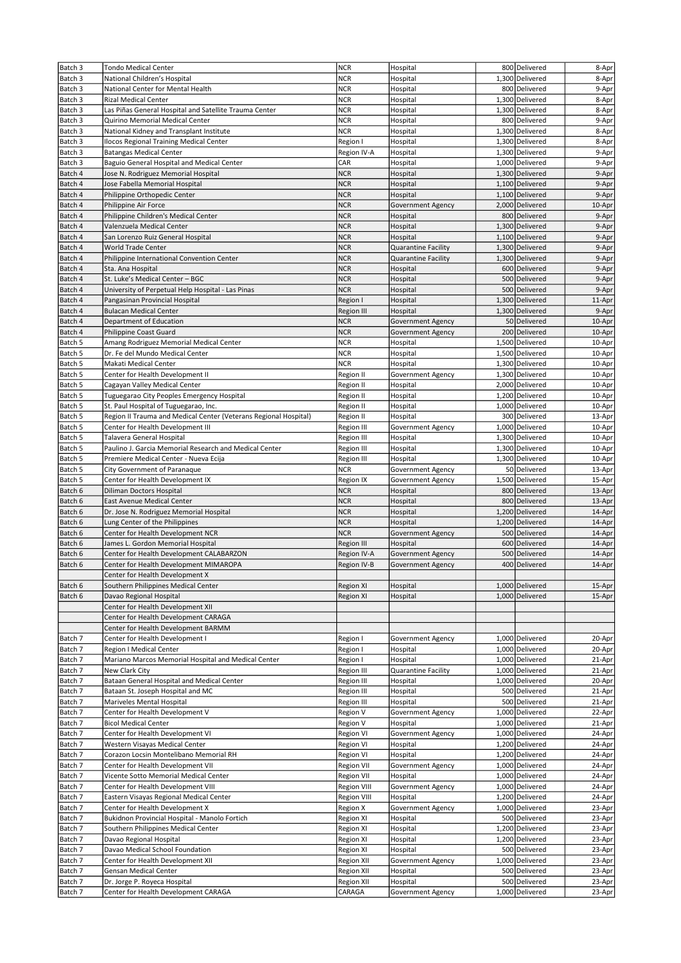| Batch 3 | <b>Tondo Medical Center</b>                                      | <b>NCR</b>         | Hospital                   | 800 Delivered   | 8-Apr  |
|---------|------------------------------------------------------------------|--------------------|----------------------------|-----------------|--------|
| Batch 3 | National Children's Hospital                                     | <b>NCR</b>         | Hospital                   | 1,300 Delivered | 8-Apr  |
| Batch 3 | National Center for Mental Health                                | NCR                | Hospital                   | 800 Delivered   | 9-Apr  |
| Batch 3 | <b>Rizal Medical Center</b>                                      | <b>NCR</b>         | Hospital                   | 1,300 Delivered | 8-Apr  |
| Batch 3 | Las Piñas General Hospital and Satellite Trauma Center           | <b>NCR</b>         | Hospital                   | 1,300 Delivered | 8-Apr  |
| Batch 3 | Quirino Memorial Medical Center                                  | <b>NCR</b>         | Hospital                   | 800 Delivered   | 9-Apr  |
| Batch 3 | National Kidney and Transplant Institute                         | <b>NCR</b>         | Hospital                   | 1,300 Delivered | 8-Apr  |
| Batch 3 | Ilocos Regional Training Medical Center                          | Region I           | Hospital                   | 1,300 Delivered | 8-Apr  |
| Batch 3 | <b>Batangas Medical Center</b>                                   | Region IV-A        | Hospital                   | 1,300 Delivered | 9-Apr  |
| Batch 3 | Baguio General Hospital and Medical Center                       | CAR                | Hospital                   | 1,000 Delivered | 9-Apr  |
| Batch 4 | Jose N. Rodriguez Memorial Hospital                              | <b>NCR</b>         | Hospital                   | 1,300 Delivered | 9-Apr  |
| Batch 4 | Jose Fabella Memorial Hospital                                   | <b>NCR</b>         | Hospital                   | 1,100 Delivered | 9-Apr  |
| Batch 4 | Philippine Orthopedic Center                                     | <b>NCR</b>         | Hospital                   | 1,100 Delivered | 9-Apr  |
| Batch 4 | Philippine Air Force                                             | <b>NCR</b>         | Government Agency          | 2.000 Delivered | 10-Apr |
| Batch 4 | Philippine Children's Medical Center                             | <b>NCR</b>         | Hospital                   | 800 Delivered   | 9-Apr  |
| Batch 4 | Valenzuela Medical Center                                        | <b>NCR</b>         | Hospital                   | 1,300 Delivered | 9-Apr  |
| Batch 4 | San Lorenzo Ruiz General Hospital                                | <b>NCR</b>         | Hospital                   | 1,100 Delivered | 9-Apr  |
| Batch 4 | World Trade Center                                               | <b>NCR</b>         | Quarantine Facility        | 1,300 Delivered | 9-Apr  |
| Batch 4 | Philippine International Convention Center                       | <b>NCR</b>         | <b>Quarantine Facility</b> | 1,300 Delivered | 9-Apr  |
| Batch 4 | Sta. Ana Hospital                                                | <b>NCR</b>         | Hospital                   | 600 Delivered   | 9-Apr  |
| Batch 4 | St. Luke's Medical Center - BGC                                  | <b>NCR</b>         | Hospital                   | 500 Delivered   | 9-Apr  |
| Batch 4 | University of Perpetual Help Hospital - Las Pinas                | <b>NCR</b>         | Hospital                   | 500 Delivered   | 9-Apr  |
| Batch 4 | Pangasinan Provincial Hospital                                   | Region I           | Hospital                   | 1,300 Delivered | 11-Apr |
| Batch 4 | <b>Bulacan Medical Center</b>                                    | Region III         | Hospital                   | 1,300 Delivered | 9-Apr  |
| Batch 4 | Department of Education                                          | <b>NCR</b>         | Government Agency          | 50 Delivered    | 10-Apr |
| Batch 4 | Philippine Coast Guard                                           | <b>NCR</b>         | <b>Government Agency</b>   | 200 Delivered   | 10-Apr |
| Batch 5 | Amang Rodriguez Memorial Medical Center                          | <b>NCR</b>         | Hospital                   | 1,500 Delivered | 10-Apr |
| Batch 5 | Dr. Fe del Mundo Medical Center                                  | <b>NCR</b>         | Hospital                   | 1,500 Delivered | 10-Apr |
| Batch 5 | Makati Medical Center                                            | <b>NCR</b>         | Hospital                   | 1,300 Delivered | 10-Apr |
| Batch 5 | Center for Health Development II                                 | Region II          | Government Agency          | 1,300 Delivered | 10-Apr |
| Batch 5 | Cagayan Valley Medical Center                                    | Region II          | Hospital                   | 2,000 Delivered | 10-Apr |
| Batch 5 | Tuguegarao City Peoples Emergency Hospital                       | Region II          | Hospital                   | 1,200 Delivered | 10-Apr |
| Batch 5 | St. Paul Hospital of Tuguegarao, Inc.                            | Region II          | Hospital                   | 1,000 Delivered | 10-Apr |
| Batch 5 | Region II Trauma and Medical Center (Veterans Regional Hospital) | Region II          | Hospital                   | 300 Delivered   | 13-Apr |
| Batch 5 | Center for Health Development III                                | Region III         | Government Agency          | 1,000 Delivered | 10-Apr |
| Batch 5 | Talavera General Hospital                                        | <b>Region III</b>  | Hospital                   | 1,300 Delivered | 10-Apr |
| Batch 5 | Paulino J. Garcia Memorial Research and Medical Center           | Region III         | Hospital                   | 1,300 Delivered | 10-Apr |
| Batch 5 | Premiere Medical Center - Nueva Ecija                            | Region III         | Hospital                   | 1,300 Delivered | 10-Apr |
| Batch 5 | City Government of Paranaque                                     | <b>NCR</b>         | Government Agency          | 50 Delivered    | 13-Apr |
| Batch 5 | Center for Health Development IX                                 | Region IX          | Government Agency          | 1,500 Delivered | 15-Apr |
| Batch 6 | Diliman Doctors Hospital                                         | <b>NCR</b>         | Hospital                   | 800 Delivered   | 13-Apr |
| Batch 6 | East Avenue Medical Center                                       | <b>NCR</b>         | Hospital                   | 800 Delivered   | 13-Apr |
| Batch 6 | Dr. Jose N. Rodriguez Memorial Hospital                          | <b>NCR</b>         | Hospital                   | 1,200 Delivered | 14-Apr |
| Batch 6 | Lung Center of the Philippines                                   | <b>NCR</b>         | Hospital                   | 1,200 Delivered | 14-Apr |
| Batch 6 | Center for Health Development NCR                                | <b>NCR</b>         | <b>Government Agency</b>   | 500 Delivered   | 14-Apr |
| Batch 6 | James L. Gordon Memorial Hospital                                | Region III         | Hospital                   | 600 Delivered   | 14-Apr |
| Batch 6 | Center for Health Development CALABARZON                         | Region IV-A        | <b>Government Agency</b>   | 500 Delivered   | 14-Apr |
| Batch 6 | Center for Health Development MIMAROPA                           | Region IV-B        | <b>Government Agency</b>   | 400 Delivered   | 14-Apr |
|         | Center for Health Development X                                  |                    |                            |                 |        |
| Batch 6 | Southern Philippines Medical Center                              | Region XI          | Hospital                   | 1,000 Delivered | 15-Apr |
| Batch 6 | Davao Regional Hospital                                          | Region XI          | Hospital                   | 1,000 Delivered | 15-Apr |
|         | Center for Health Development XII                                |                    |                            |                 |        |
|         | Center for Health Development CARAGA                             |                    |                            |                 |        |
|         | Center for Health Development BARMM                              |                    |                            |                 |        |
| Batch 7 | Center for Health Development I                                  | Region I           | Government Agency          | 1,000 Delivered | 20-Apr |
| Batch 7 | Region I Medical Center                                          | Region I           | Hospital                   | 1,000 Delivered | 20-Apr |
| Batch 7 | Mariano Marcos Memorial Hospital and Medical Center              | Region I           | Hospital                   | 1,000 Delivered | 21-Apr |
| Batch 7 | New Clark City                                                   | Region III         | Quarantine Facility        | 1,000 Delivered | 21-Apr |
| Batch 7 | Bataan General Hospital and Medical Center                       | Region III         | Hospital                   | 1,000 Delivered | 20-Apr |
| Batch 7 | Bataan St. Joseph Hospital and MC                                | Region III         | Hospital                   | 500 Delivered   | 21-Apr |
| Batch 7 | Mariveles Mental Hospital                                        | Region III         | Hospital                   | 500 Delivered   | 21-Apr |
| Batch 7 | Center for Health Development V                                  | Region V           | Government Agency          | 1,000 Delivered | 22-Apr |
| Batch 7 | <b>Bicol Medical Center</b>                                      | Region V           | Hospital                   | 1,000 Delivered | 21-Apr |
| Batch 7 | Center for Health Development VI                                 | Region VI          | Government Agency          | 1,000 Delivered | 24-Apr |
| Batch 7 | Western Visayas Medical Center                                   | Region VI          | Hospital                   | 1,200 Delivered | 24-Apr |
| Batch 7 | Corazon Locsin Montelibano Memorial RH                           | Region VI          | Hospital                   | 1,200 Delivered | 24-Apr |
| Batch 7 | Center for Health Development VII                                | Region VII         | Government Agency          | 1,000 Delivered | 24-Apr |
| Batch 7 | Vicente Sotto Memorial Medical Center                            | <b>Region VII</b>  | Hospital                   | 1,000 Delivered | 24-Apr |
| Batch 7 | Center for Health Development VIII                               | <b>Region VIII</b> | Government Agency          | 1,000 Delivered | 24-Apr |
| Batch 7 | Eastern Visayas Regional Medical Center                          | Region VIII        | Hospital                   | 1,200 Delivered | 24-Apr |
| Batch 7 | Center for Health Development X                                  | Region X           | Government Agency          | 1,000 Delivered | 23-Apr |
| Batch 7 | Bukidnon Provincial Hospital - Manolo Fortich                    | Region XI          | Hospital                   | 500 Delivered   | 23-Apr |
| Batch 7 | Southern Philippines Medical Center                              | Region XI          | Hospital                   | 1,200 Delivered | 23-Apr |
| Batch 7 | Davao Regional Hospital                                          | Region XI          | Hospital                   | 1,200 Delivered | 23-Apr |
| Batch 7 | Davao Medical School Foundation                                  | Region XI          | Hospital                   | 500 Delivered   | 23-Apr |
| Batch 7 | Center for Health Development XII                                | Region XII         | Government Agency          | 1,000 Delivered | 23-Apr |
| Batch 7 | Gensan Medical Center                                            | Region XII         | Hospital                   | 500 Delivered   | 23-Apr |
| Batch 7 | Dr. Jorge P. Royeca Hospital                                     | Region XII         | Hospital                   | 500 Delivered   | 23-Apr |
| Batch 7 | Center for Health Development CARAGA                             | CARAGA             | Government Agency          | 1,000 Delivered | 23-Apr |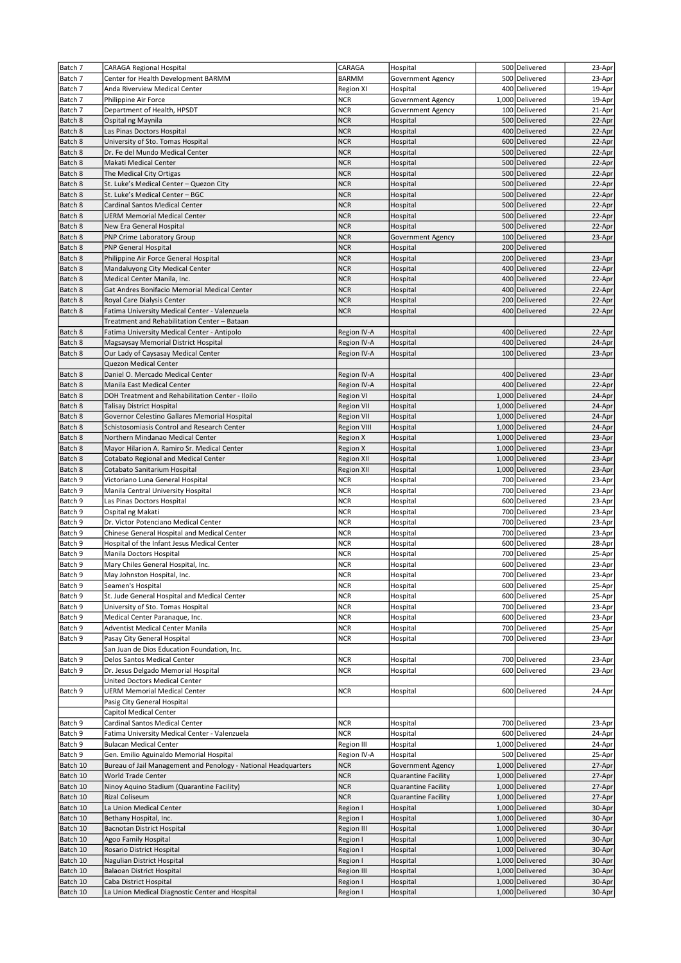| Batch 7  | <b>CARAGA Regional Hospital</b>                                | CARAGA             | Hospital                   | 500 Delivered   | 23-Apr           |
|----------|----------------------------------------------------------------|--------------------|----------------------------|-----------------|------------------|
| Batch 7  | Center for Health Development BARMM                            | <b>BARMM</b>       | Government Agency          | 500 Delivered   | 23-Apr           |
| Batch 7  | Anda Riverview Medical Center                                  | Region XI          | Hospital                   | 400 Delivered   | 19-Apr           |
| Batch 7  | Philippine Air Force                                           | <b>NCR</b>         | Government Agency          | 1,000 Delivered | 19-Apr           |
| Batch 7  | Department of Health, HPSDT                                    | <b>NCR</b>         | Government Agency          | 100 Delivered   | 21-Apr           |
| Batch 8  | Ospital ng Maynila                                             | <b>NCR</b>         | Hospital                   | 500 Delivered   | 22-Apr           |
|          |                                                                |                    |                            |                 |                  |
| Batch 8  | Las Pinas Doctors Hospital                                     | <b>NCR</b>         | Hospital                   | 400 Delivered   | 22-Apr           |
| Batch 8  | University of Sto. Tomas Hospital                              | <b>NCR</b>         | Hospital                   | 600 Delivered   | 22-Apr           |
| Batch 8  | Dr. Fe del Mundo Medical Center                                | <b>NCR</b>         | Hospital                   | 500 Delivered   | 22-Apr           |
| Batch 8  | Makati Medical Center                                          | <b>NCR</b>         | Hospital                   | 500 Delivered   | 22-Apr           |
| Batch 8  | The Medical City Ortigas                                       | <b>NCR</b>         | Hospital                   | 500 Delivered   | 22-Apr           |
| Batch 8  | St. Luke's Medical Center - Quezon City                        | <b>NCR</b>         | Hospital                   | 500 Delivered   | 22-Apr           |
| Batch 8  | St. Luke's Medical Center - BGC                                | <b>NCR</b>         | Hospital                   | 500 Delivered   | 22-Apr           |
| Batch 8  | Cardinal Santos Medical Center                                 | <b>NCR</b>         | Hospital                   | 500 Delivered   | 22-Apr           |
| Batch 8  | <b>UERM Memorial Medical Center</b>                            | <b>NCR</b>         | Hospital                   | 500 Delivered   | 22-Apr           |
| Batch 8  | New Era General Hospital                                       | <b>NCR</b>         | Hospital                   | 500 Delivered   | 22-Apr           |
| Batch 8  | PNP Crime Laboratory Group                                     | <b>NCR</b>         | Government Agency          | 100 Delivered   | 23-Apr           |
| Batch 8  | <b>PNP General Hospital</b>                                    | <b>NCR</b>         | Hospital                   | 200 Delivered   |                  |
| Batch 8  | Philippine Air Force General Hospital                          | <b>NCR</b>         | Hospital                   | 200 Delivered   | 23-Apr           |
| Batch 8  | Mandaluyong City Medical Center                                | <b>NCR</b>         | Hospital                   | 400 Delivered   | 22-Apr           |
| Batch 8  | Medical Center Manila, Inc.                                    | <b>NCR</b>         | Hospital                   | 400 Delivered   | 22-Apr           |
| Batch 8  | Gat Andres Bonifacio Memorial Medical Center                   | <b>NCR</b>         | Hospital                   | 400 Delivered   | 22-Apr           |
| Batch 8  | Royal Care Dialysis Center                                     | <b>NCR</b>         | Hospital                   | 200 Delivered   |                  |
| Batch 8  | Fatima University Medical Center - Valenzuela                  | <b>NCR</b>         |                            | 400 Delivered   | 22-Apr<br>22-Apr |
|          |                                                                |                    | Hospital                   |                 |                  |
|          | Treatment and Rehabilitation Center - Bataan                   |                    |                            |                 |                  |
| Batch 8  | Fatima University Medical Center - Antipolo                    | Region IV-A        | Hospital                   | 400 Delivered   | 22-Apr           |
| Batch 8  | Magsaysay Memorial District Hospital                           | Region IV-A        | Hospital                   | 400 Delivered   | 24-Apr           |
| Batch 8  | Our Lady of Caysasay Medical Center                            | Region IV-A        | Hospital                   | 100 Delivered   | 23-Apr           |
|          | Quezon Medical Center                                          |                    |                            |                 |                  |
| Batch 8  | Daniel O. Mercado Medical Center                               | Region IV-A        | Hospital                   | 400 Delivered   | 23-Apr           |
| Batch 8  | Manila East Medical Center                                     | Region IV-A        | Hospital                   | 400 Delivered   | 22-Apr           |
| Batch 8  | DOH Treatment and Rehabilitation Center - Iloilo               | Region VI          | Hospital                   | 1,000 Delivered | 24-Apr           |
| Batch 8  | Talisay District Hospital                                      | <b>Region VII</b>  | Hospital                   | 1,000 Delivered | 24-Apr           |
| Batch 8  | Governor Celestino Gallares Memorial Hospital                  | <b>Region VII</b>  | Hospital                   | 1,000 Delivered | 24-Apr           |
| Batch 8  | Schistosomiasis Control and Research Center                    | <b>Region VIII</b> | Hospital                   | 1,000 Delivered | 24-Apr           |
| Batch 8  | Northern Mindanao Medical Center                               | <b>Region X</b>    | Hospital                   | 1,000 Delivered | 23-Apr           |
| Batch 8  | Mayor Hilarion A. Ramiro Sr. Medical Center                    | <b>Region X</b>    | Hospital                   | 1,000 Delivered | 23-Apr           |
| Batch 8  | <b>Cotabato Regional and Medical Center</b>                    | <b>Region XII</b>  | Hospital                   | 1,000 Delivered | 23-Apr           |
| Batch 8  | Cotabato Sanitarium Hospital                                   | <b>Region XII</b>  | Hospital                   | 1,000 Delivered | 23-Apr           |
|          |                                                                | <b>NCR</b>         |                            | 700 Delivered   | 23-Apr           |
| Batch 9  | Victoriano Luna General Hospital                               | <b>NCR</b>         | Hospital                   | 700 Delivered   | 23-Apr           |
| Batch 9  | Manila Central University Hospital                             |                    | Hospital                   |                 |                  |
| Batch 9  | Las Pinas Doctors Hospital                                     | <b>NCR</b>         | Hospital                   | 600 Delivered   | 23-Apr           |
| Batch 9  | Ospital ng Makati                                              | <b>NCR</b>         | Hospital                   | 700 Delivered   | 23-Apr           |
| Batch 9  | Dr. Victor Potenciano Medical Center                           | <b>NCR</b>         | Hospital                   | 700 Delivered   | 23-Apr           |
| Batch 9  | Chinese General Hospital and Medical Center                    | <b>NCR</b>         | Hospital                   | 700 Delivered   | 23-Apr           |
| Batch 9  | Hospital of the Infant Jesus Medical Center                    | <b>NCR</b>         | Hospital                   | 600 Delivered   | 28-Apr           |
| Batch 9  | Manila Doctors Hospital                                        | <b>NCR</b>         | Hospital                   | 700 Delivered   | 25-Apr           |
| Batch 9  | Mary Chiles General Hospital, Inc.                             | <b>NCR</b>         | Hospital                   | 600 Delivered   | 23-Apr           |
| Batch 9  | May Johnston Hospital, Inc.                                    | <b>NCR</b>         | Hospital                   | 700 Delivered   | 23-Apr           |
| Batch 9  | Seamen's Hospital                                              | <b>NCR</b>         | Hospital                   | 600 Delivered   | 25-Apr           |
| Batch 9  | St. Jude General Hospital and Medical Center                   | <b>NCR</b>         | Hospital                   | 600 Delivered   | 25-Apr           |
| Batch 9  | University of Sto. Tomas Hospital                              | <b>NCR</b>         | Hospital                   | 700 Delivered   | 23-Apr           |
| Batch 9  | Medical Center Paranaque, Inc.                                 | <b>NCR</b>         | Hospital                   | 600 Delivered   | 23-Apr           |
| Batch 9  |                                                                | <b>NCR</b>         |                            | 700 Delivered   |                  |
| Batch 9  | Adventist Medical Center Manila                                | <b>NCR</b>         | Hospital<br>Hospital       | 700 Delivered   | 25-Apr           |
|          | Pasay City General Hospital                                    |                    |                            |                 | 23-Apr           |
|          | San Juan de Dios Education Foundation, Inc.                    |                    |                            |                 |                  |
| Batch 9  | Delos Santos Medical Center                                    | <b>NCR</b>         | Hospital                   | 700 Delivered   | 23-Apr           |
| Batch 9  | Dr. Jesus Delgado Memorial Hospital                            | <b>NCR</b>         | Hospital                   | 600 Delivered   | 23-Apr           |
|          | United Doctors Medical Center                                  |                    |                            |                 |                  |
| Batch 9  | <b>UERM Memorial Medical Center</b>                            | <b>NCR</b>         | Hospital                   | 600 Delivered   | 24-Apr           |
|          | Pasig City General Hospital                                    |                    |                            |                 |                  |
|          | Capitol Medical Center                                         |                    |                            |                 |                  |
| Batch 9  | Cardinal Santos Medical Center                                 | <b>NCR</b>         | Hospital                   | 700 Delivered   | 23-Apr           |
| Batch 9  | Fatima University Medical Center - Valenzuela                  | <b>NCR</b>         | Hospital                   | 600 Delivered   | 24-Apr           |
| Batch 9  | <b>Bulacan Medical Center</b>                                  | Region III         | Hospital                   | 1,000 Delivered | 24-Apr           |
| Batch 9  | Gen. Emilio Aguinaldo Memorial Hospital                        | Region IV-A        | Hospital                   | 500 Delivered   | 25-Apr           |
| Batch 10 | Bureau of Jail Management and Penology - National Headquarters | <b>NCR</b>         | <b>Government Agency</b>   | 1,000 Delivered | 27-Apr           |
| Batch 10 | World Trade Center                                             | <b>NCR</b>         | <b>Quarantine Facility</b> | 1,000 Delivered | 27-Apr           |
| Batch 10 | Ninoy Aquino Stadium (Quarantine Facility)                     | <b>NCR</b>         | <b>Quarantine Facility</b> | 1,000 Delivered | 27-Apr           |
| Batch 10 | Rizal Coliseum                                                 | <b>NCR</b>         | Quarantine Facility        | 1,000 Delivered | 27-Apr           |
|          |                                                                |                    |                            |                 |                  |
| Batch 10 | La Union Medical Center                                        | Region I           | Hospital                   | 1,000 Delivered | 30-Apr           |
| Batch 10 | Bethany Hospital, Inc.                                         | Region I           | Hospital                   | 1,000 Delivered | 30-Apr           |
| Batch 10 | Bacnotan District Hospital                                     | <b>Region III</b>  | Hospital                   | 1,000 Delivered | 30-Apr           |
| Batch 10 | Agoo Family Hospital                                           | Region I           | Hospital                   | 1,000 Delivered | 30-Apr           |
| Batch 10 | Rosario District Hospital                                      | Region I           | Hospital                   | 1,000 Delivered | 30-Apr           |
| Batch 10 | Nagulian District Hospital                                     | Region I           | Hospital                   | 1,000 Delivered | 30-Apr           |
| Batch 10 | Balaoan District Hospital                                      | Region III         | Hospital                   | 1,000 Delivered | 30-Apr           |
| Batch 10 | Caba District Hospital                                         | Region I           | Hospital                   | 1,000 Delivered | 30-Apr           |
| Batch 10 | La Union Medical Diagnostic Center and Hospital                | Region I           | Hospital                   | 1,000 Delivered | 30-Apr           |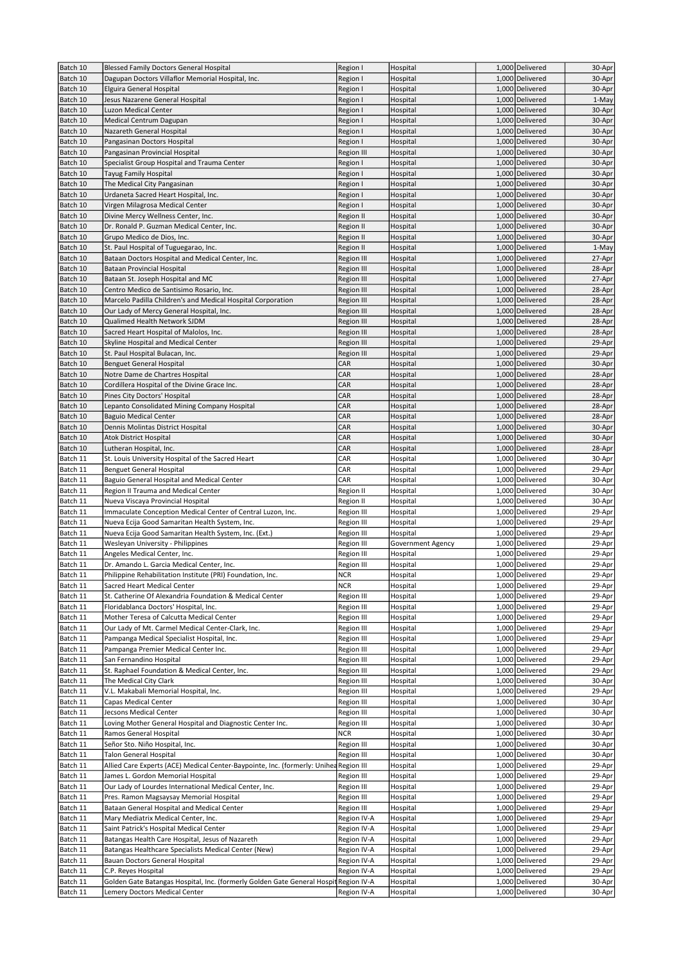| Batch 10             | <b>Blessed Family Doctors General Hospital</b>                                        | Region I                             | Hospital                 | 1,000 Delivered                    | 30-Apr           |
|----------------------|---------------------------------------------------------------------------------------|--------------------------------------|--------------------------|------------------------------------|------------------|
| Batch 10             | Dagupan Doctors Villaflor Memorial Hospital, Inc.                                     | Region I                             | Hospital                 | 1,000 Delivered                    | 30-Apr           |
| Batch 10             | Elguira General Hospital                                                              | Region I                             | Hospital                 | 1,000 Delivered                    | 30-Apr           |
| Batch 10             | Jesus Nazarene General Hospital                                                       | Region I                             | Hospital                 | 1,000 Delivered                    | 1-May            |
| Batch 10<br>Batch 10 | Luzon Medical Center<br>Medical Centrum Dagupan                                       | Region I<br>Region I                 | Hospital<br>Hospital     | 1,000 Delivered<br>1,000 Delivered | 30-Apr<br>30-Apr |
| Batch 10             | Nazareth General Hospital                                                             | Region I                             | Hospital                 | 1,000 Delivered                    | 30-Apr           |
| Batch 10             | Pangasinan Doctors Hospital                                                           | Region I                             | Hospital                 | 1,000 Delivered                    | 30-Apr           |
| Batch 10             | Pangasinan Provincial Hospital                                                        | Region III                           | Hospital                 | 1,000 Delivered                    | 30-Apr           |
| Batch 10             | Specialist Group Hospital and Trauma Center                                           | Region I                             | Hospital                 | 1,000 Delivered                    | 30-Apr           |
| Batch 10             | Tayug Family Hospital                                                                 | Region I                             | Hospital                 | 1,000 Delivered                    | 30-Apr           |
| Batch 10             | The Medical City Pangasinan                                                           | Region I                             | Hospital                 | 1,000 Delivered                    | 30-Apr           |
| Batch 10             | Urdaneta Sacred Heart Hospital, Inc.                                                  | Region I                             | Hospital                 | 1,000 Delivered                    | 30-Apr           |
| Batch 10             | Virgen Milagrosa Medical Center                                                       | Region I                             | Hospital                 | 1,000 Delivered                    | 30-Apr           |
| Batch 10             | Divine Mercy Wellness Center, Inc.                                                    | Region II                            | Hospital<br>Hospital     | 1,000 Delivered<br>1,000 Delivered | 30-Apr           |
| Batch 10<br>Batch 10 | Dr. Ronald P. Guzman Medical Center, Inc.<br>Grupo Medico de Dios, Inc.               | <b>Region II</b><br><b>Region II</b> | Hospital                 | 1,000 Delivered                    | 30-Apr<br>30-Apr |
| Batch 10             | St. Paul Hospital of Tuguegarao, Inc.                                                 | Region II                            | Hospital                 | 1,000 Delivered                    | 1-May            |
| Batch 10             | Bataan Doctors Hospital and Medical Center, Inc.                                      | Region III                           | Hospital                 | 1,000 Delivered                    | 27-Apr           |
| Batch 10             | Bataan Provincial Hospital                                                            | Region III                           | Hospital                 | 1,000 Delivered                    | 28-Apr           |
| Batch 10             | Bataan St. Joseph Hospital and MC                                                     | Region III                           | Hospital                 | 1,000 Delivered                    | 27-Apr           |
| Batch 10             | Centro Medico de Santisimo Rosario, Inc.                                              | Region III                           | Hospital                 | 1,000 Delivered                    | 28-Apr           |
| Batch 10             | Marcelo Padilla Children's and Medical Hospital Corporation                           | Region III                           | Hospital                 | 1,000 Delivered                    | 28-Apr           |
| Batch 10             | Our Lady of Mercy General Hospital, Inc.                                              | Region III                           | Hospital                 | 1,000 Delivered                    | 28-Apr           |
| Batch 10             | Qualimed Health Network SJDM                                                          | Region III                           | Hospital                 | 1,000 Delivered                    | 28-Apr           |
| Batch 10<br>Batch 10 | Sacred Heart Hospital of Malolos, Inc.<br>Skyline Hospital and Medical Center         | Region III                           | Hospital<br>Hospital     | 1,000 Delivered<br>1,000 Delivered | 28-Apr<br>29-Apr |
| Batch 10             | St. Paul Hospital Bulacan, Inc.                                                       | Region III<br>Region III             | Hospital                 | 1,000 Delivered                    | 29-Apr           |
| Batch 10             | <b>Benguet General Hospital</b>                                                       | CAR                                  | Hospital                 | 1,000 Delivered                    | 30-Apr           |
| Batch 10             | Notre Dame de Chartres Hospital                                                       | CAR                                  | Hospital                 | 1,000 Delivered                    | 28-Apr           |
| Batch 10             | Cordillera Hospital of the Divine Grace Inc.                                          | CAR                                  | Hospital                 | 1,000 Delivered                    | 28-Apr           |
| Batch 10             | Pines City Doctors' Hospital                                                          | CAR                                  | Hospital                 | 1,000 Delivered                    | 28-Apr           |
| Batch 10             | Lepanto Consolidated Mining Company Hospital                                          | CAR                                  | Hospital                 | 1,000 Delivered                    | 28-Apr           |
| Batch 10             | <b>Baguio Medical Center</b>                                                          | CAR                                  | Hospital                 | 1,000 Delivered                    | 28-Apr           |
| Batch 10             | Dennis Molintas District Hospital                                                     | CAR                                  | Hospital                 | 1,000 Delivered                    | 30-Apr           |
| Batch 10             | <b>Atok District Hospital</b>                                                         | CAR                                  | Hospital                 | 1,000 Delivered                    | 30-Apr           |
| Batch 10<br>Batch 11 | Lutheran Hospital, Inc.                                                               | CAR<br>CAR                           | Hospital<br>Hospital     | 1,000 Delivered<br>1,000 Delivered | 28-Apr<br>30-Apr |
| Batch 11             | St. Louis University Hospital of the Sacred Heart<br><b>Benguet General Hospital</b>  | CAR                                  | Hospital                 | 1,000 Delivered                    | 29-Apr           |
| Batch 11             | Baguio General Hospital and Medical Center                                            | CAR                                  | Hospital                 | 1,000 Delivered                    | 30-Apr           |
| Batch 11             | Region II Trauma and Medical Center                                                   | Region II                            | Hospital                 | 1,000 Delivered                    | 30-Apr           |
| Batch 11             | Nueva Viscaya Provincial Hospital                                                     | Region II                            | Hospital                 | 1,000 Delivered                    | 30-Apr           |
| Batch 11             | Immaculate Conception Medical Center of Central Luzon, Inc.                           | Region III                           | Hospital                 | 1,000 Delivered                    | 29-Apr           |
| Batch 11             | Nueva Ecija Good Samaritan Health System, Inc.                                        | Region III                           | Hospital                 | 1,000 Delivered                    | 29-Apr           |
| Batch 11             | Nueva Ecija Good Samaritan Health System, Inc. (Ext.)                                 | Region III                           | Hospital                 | 1,000 Delivered                    | 29-Apr           |
| Batch 11             | Wesleyan University - Philippines                                                     | Region III                           | <b>Government Agency</b> | 1,000 Delivered                    | 29-Apr           |
| Batch 11             | Angeles Medical Center, Inc.<br>Dr. Amando L. Garcia Medical Center, Inc.             | Region III                           | Hospital                 | 1,000 Delivered                    | 29-Apr           |
| Batch 11<br>Batch 11 | Philippine Rehabilitation Institute (PRI) Foundation, Inc.                            | Region III<br><b>NCR</b>             | Hospital<br>Hospital     | 1,000 Delivered<br>1,000 Delivered | 29-Apr<br>29-Apr |
| Batch 11             | Sacred Heart Medical Center                                                           | <b>NCR</b>                           | Hospital                 | 1,000 Delivered                    | 29-Apr           |
| Batch 11             | St. Catherine Of Alexandria Foundation & Medical Center                               | Region III                           | Hospital                 | 1,000 Delivered                    | 29-Apr           |
| Batch 11             | Floridablanca Doctors' Hospital, Inc.                                                 | Region III                           | Hospital                 | 1,000 Delivered                    | 29-Apr           |
| Batch 11             | Mother Teresa of Calcutta Medical Center                                              | Region III                           | Hospital                 | 1,000 Delivered                    | 29-Apr           |
| Batch 11             | Our Lady of Mt. Carmel Medical Center-Clark, Inc.                                     | Region III                           | Hospital                 | 1,000 Delivered                    | 29-Apr           |
| Batch 11             | Pampanga Medical Specialist Hospital, Inc.                                            | Region III                           | Hospital                 | 1,000 Delivered                    | 29-Apr           |
| Batch 11             | Pampanga Premier Medical Center Inc.                                                  | Region III                           | Hospital                 | 1,000 Delivered                    | 29-Apr           |
| Batch 11             | San Fernandino Hospital                                                               | Region III                           | Hospital                 | 1,000 Delivered                    | 29-Apr<br>29-Apr |
| Batch 11<br>Batch 11 | St. Raphael Foundation & Medical Center, Inc.<br>The Medical City Clark               | Region III<br>Region III             | Hospital<br>Hospital     | 1,000 Delivered<br>1,000 Delivered | 30-Apr           |
| Batch 11             | V.L. Makabali Memorial Hospital, Inc.                                                 | Region III                           | Hospital                 | 1,000 Delivered                    | 29-Apr           |
| Batch 11             | Capas Medical Center                                                                  | Region III                           | Hospital                 | 1,000 Delivered                    | 30-Apr           |
| Batch 11             | Jecsons Medical Center                                                                | <b>Region III</b>                    | Hospital                 | 1,000 Delivered                    | 30-Apr           |
| Batch 11             | Loving Mother General Hospital and Diagnostic Center Inc.                             | Region III                           | Hospital                 | 1,000 Delivered                    | 30-Apr           |
| Batch 11             | Ramos General Hospital                                                                | <b>NCR</b>                           | Hospital                 | 1,000 Delivered                    | 30-Apr           |
| Batch 11             | Señor Sto. Niño Hospital, Inc.                                                        | Region III                           | Hospital                 | 1,000 Delivered                    | 30-Apr           |
| Batch 11             | Talon General Hospital                                                                | Region III                           | Hospital                 | 1,000 Delivered                    | 30-Apr           |
| Batch 11             | Allied Care Experts (ACE) Medical Center-Baypointe, Inc. (formerly: Unihea Region III |                                      | Hospital                 | 1,000 Delivered                    | 29-Apr           |
| Batch 11             | James L. Gordon Memorial Hospital                                                     | Region III                           | Hospital                 | 1,000 Delivered                    | 29-Apr           |
| Batch 11             | Our Lady of Lourdes International Medical Center, Inc.                                | Region III                           | Hospital                 | 1,000 Delivered                    | 29-Apr<br>29-Apr |
| Batch 11<br>Batch 11 | Pres. Ramon Magsaysay Memorial Hospital<br>Bataan General Hospital and Medical Center | Region III<br>Region III             | Hospital<br>Hospital     | 1,000 Delivered<br>1,000 Delivered | 29-Apr           |
| Batch 11             | Mary Mediatrix Medical Center, Inc.                                                   | Region IV-A                          | Hospital                 | 1,000 Delivered                    | 29-Apr           |
| Batch 11             | Saint Patrick's Hospital Medical Center                                               | Region IV-A                          | Hospital                 | 1,000 Delivered                    | 29-Apr           |
| Batch 11             | Batangas Health Care Hospital, Jesus of Nazareth                                      | Region IV-A                          | Hospital                 | 1,000 Delivered                    | 29-Apr           |
| Batch 11             | Batangas Healthcare Specialists Medical Center (New)                                  | Region IV-A                          | Hospital                 | 1,000 Delivered                    | 29-Apr           |
| Batch 11             | Bauan Doctors General Hospital                                                        | Region IV-A                          | Hospital                 | 1,000 Delivered                    | 29-Apr           |
| Batch 11             | C.P. Reyes Hospital                                                                   | Region IV-A                          | Hospital                 | 1,000 Delivered                    | 29-Apr           |
| Batch 11             | Golden Gate Batangas Hospital, Inc. (formerly Golden Gate General Hospit Region IV-A  |                                      | Hospital                 | 1,000 Delivered                    | 30-Apr           |
| Batch 11             | Lemery Doctors Medical Center                                                         | Region IV-A                          | Hospital                 | 1,000 Delivered                    | 30-Apr           |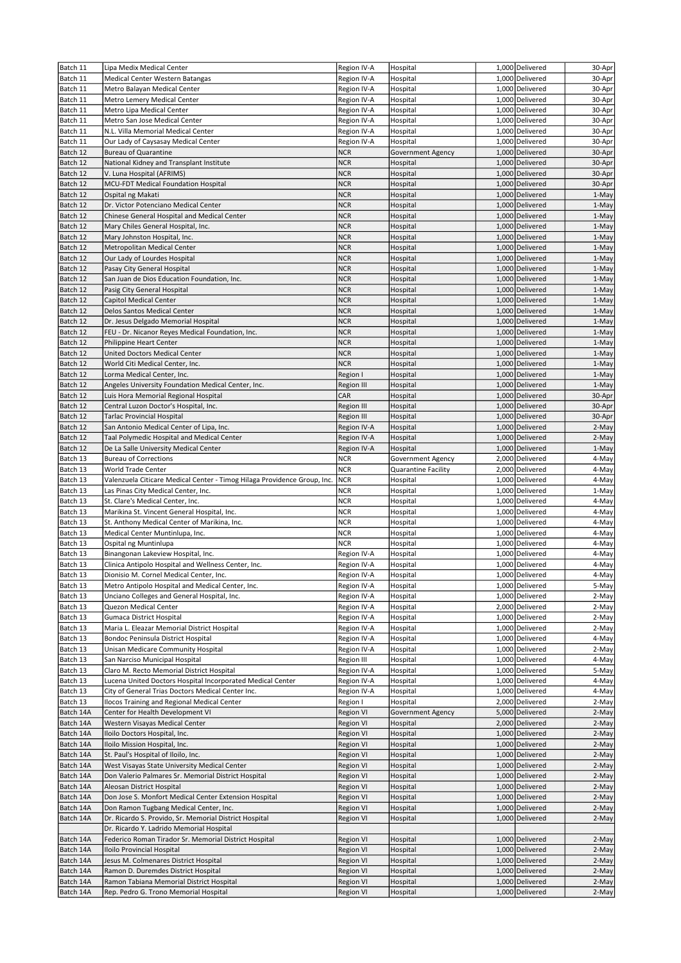| Batch 11              | Lipa Medix Medical Center                                                                                       | Region IV-A                   | Hospital                      | 1,000 Delivered                    | 30-Apr         |
|-----------------------|-----------------------------------------------------------------------------------------------------------------|-------------------------------|-------------------------------|------------------------------------|----------------|
| Batch 11              | Medical Center Western Batangas                                                                                 | Region IV-A                   | Hospital                      | 1,000 Delivered                    | 30-Apr         |
| Batch 11              | Metro Balayan Medical Center                                                                                    | Region IV-A                   | Hospital                      | 1,000 Delivered                    | 30-Apr         |
| Batch 11              | Metro Lemery Medical Center                                                                                     | Region IV-A                   | Hospital                      | 1,000 Delivered                    | 30-Apr         |
| Batch 11              | Metro Lipa Medical Center                                                                                       | Region IV-A                   | Hospital                      | 1,000 Delivered                    | 30-Apr         |
| Batch 11              | Metro San Jose Medical Center                                                                                   | Region IV-A                   | Hospital                      | 1,000 Delivered                    | 30-Apr         |
| Batch 11              | N.L. Villa Memorial Medical Center                                                                              | Region IV-A                   | Hospital                      | 1,000 Delivered                    | 30-Apr         |
| Batch 11              | Our Lady of Caysasay Medical Center                                                                             | Region IV-A                   | Hospital                      | 1,000 Delivered                    | 30-Apr         |
| Batch 12              | <b>Bureau of Quarantine</b>                                                                                     | <b>NCR</b>                    | Government Agency             | 1,000 Delivered                    | 30-Apr         |
| Batch 12              | National Kidney and Transplant Institute                                                                        | <b>NCR</b>                    | Hospital                      | 1,000 Delivered                    | 30-Apr         |
| Batch 12              | V. Luna Hospital (AFRIMS)                                                                                       | <b>NCR</b>                    | Hospital                      | 1,000 Delivered                    | 30-Apr         |
| Batch 12              | MCU-FDT Medical Foundation Hospital                                                                             | <b>NCR</b>                    | Hospital                      | 1,000 Delivered                    | 30-Apr         |
| Batch 12              | Ospital ng Makati<br>Dr. Victor Potenciano Medical Center                                                       | <b>NCR</b><br><b>NCR</b>      | Hospital                      | 1,000 Delivered<br>1,000 Delivered | 1-May          |
| Batch 12<br>Batch 12  | Chinese General Hospital and Medical Center                                                                     | <b>NCR</b>                    | Hospital<br>Hospital          | 1,000 Delivered                    | 1-May<br>1-May |
| Batch 12              | Mary Chiles General Hospital, Inc.                                                                              | <b>NCR</b>                    | Hospital                      | 1,000 Delivered                    | 1-May          |
| Batch 12              | Mary Johnston Hospital, Inc.                                                                                    | <b>NCR</b>                    | Hospital                      | 1,000 Delivered                    | 1-May          |
| Batch 12              | Metropolitan Medical Center                                                                                     | <b>NCR</b>                    | Hospital                      | 1,000 Delivered                    | 1-May          |
| Batch 12              | Our Lady of Lourdes Hospital                                                                                    | <b>NCR</b>                    | Hospital                      | 1,000 Delivered                    | 1-May          |
| Batch 12              | Pasay City General Hospital                                                                                     | <b>NCR</b>                    | Hospital                      | 1,000 Delivered                    | 1-May          |
| Batch 12              | San Juan de Dios Education Foundation, Inc.                                                                     | <b>NCR</b>                    | Hospital                      | 1,000 Delivered                    | 1-May          |
| Batch 12              | Pasig City General Hospital                                                                                     | <b>NCR</b>                    | Hospital                      | 1,000 Delivered                    | 1-May          |
| Batch 12              | Capitol Medical Center                                                                                          | <b>NCR</b>                    | Hospital                      | 1,000 Delivered                    | 1-May          |
| Batch 12              | Delos Santos Medical Center                                                                                     | <b>NCR</b>                    | Hospital                      | 1,000 Delivered                    | 1-May          |
| Batch 12              | Dr. Jesus Delgado Memorial Hospital                                                                             | <b>NCR</b>                    | Hospital                      | 1,000 Delivered                    | 1-May          |
| Batch 12              | FEU - Dr. Nicanor Reyes Medical Foundation, Inc.                                                                | <b>NCR</b>                    | Hospital                      | 1,000 Delivered                    | 1-May          |
| Batch 12              | Philippine Heart Center                                                                                         | <b>NCR</b>                    | Hospital                      | 1,000 Delivered                    | 1-May          |
| Batch 12              | United Doctors Medical Center                                                                                   | <b>NCR</b>                    | Hospital                      | 1,000 Delivered                    | 1-May          |
| Batch 12              | World Citi Medical Center, Inc.                                                                                 | <b>NCR</b>                    | Hospital                      | 1,000 Delivered                    | 1-May          |
| Batch 12              | Lorma Medical Center, Inc.                                                                                      | Region I                      | Hospital                      | 1,000 Delivered                    | 1-May          |
| Batch 12              | Angeles University Foundation Medical Center, Inc.                                                              | Region III                    | Hospital                      | 1,000 Delivered                    | 1-May          |
| Batch 12              | Luis Hora Memorial Regional Hospital                                                                            | CAR                           | Hospital                      | 1,000 Delivered                    | 30-Apr         |
| Batch 12              | Central Luzon Doctor's Hospital, Inc.                                                                           | Region III                    | Hospital                      | 1,000 Delivered                    | 30-Apr         |
| Batch 12              | <b>Tarlac Provincial Hospital</b>                                                                               | Region III                    | Hospital                      | 1,000 Delivered                    | 30-Apr         |
| Batch 12              | San Antonio Medical Center of Lipa, Inc.                                                                        | Region IV-A                   | Hospital                      | 1,000 Delivered                    | 2-May          |
| Batch 12              | Taal Polymedic Hospital and Medical Center                                                                      | Region IV-A                   | Hospital                      | 1,000 Delivered                    | 2-May          |
| Batch 12              | De La Salle University Medical Center<br><b>Bureau of Corrections</b>                                           | Region IV-A                   | Hospital                      | 1,000 Delivered                    | 1-May          |
| Batch 13<br>Batch 13  |                                                                                                                 | <b>NCR</b><br><b>NCR</b>      | Government Agency             | 2,000 Delivered<br>2,000 Delivered | 4-May<br>4-May |
|                       | World Trade Center                                                                                              | <b>NCR</b>                    | Quarantine Facility           | 1,000 Delivered                    | 4-May          |
| Batch 13<br>Batch 13  | Valenzuela Citicare Medical Center - Timog Hilaga Providence Group, Inc.<br>Las Pinas City Medical Center, Inc. | <b>NCR</b>                    | Hospital<br>Hospital          | 1,000 Delivered                    | 1-May          |
| Batch 13              | St. Clare's Medical Center, Inc.                                                                                | <b>NCR</b>                    | Hospital                      | 1,000 Delivered                    | 4-May          |
| Batch 13              | Marikina St. Vincent General Hospital, Inc.                                                                     | <b>NCR</b>                    | Hospital                      | 1,000 Delivered                    | 4-May          |
| Batch 13              | St. Anthony Medical Center of Marikina, Inc.                                                                    | <b>NCR</b>                    | Hospital                      | 1,000 Delivered                    | 4-May          |
| Batch 13              | Medical Center Muntinlupa, Inc.                                                                                 | <b>NCR</b>                    | Hospital                      | 1,000 Delivered                    | 4-May          |
| Batch 13              | Ospital ng Muntinlupa                                                                                           | <b>NCR</b>                    | Hospital                      | 1,000 Delivered                    | 4-May          |
| Batch 13              | Binangonan Lakeview Hospital, Inc.                                                                              | Region IV-A                   | Hospital                      | 1,000 Delivered                    | 4-May          |
| Batch 13              | Clinica Antipolo Hospital and Wellness Center, Inc.                                                             | Region IV-A                   | Hospital                      | 1,000 Delivered                    | 4-May          |
| Batch 13              | Dionisio M. Cornel Medical Center, Inc.                                                                         | Region IV-A                   | Hospital                      | 1,000 Delivered                    | 4-May          |
| Batch 13              | Metro Antipolo Hospital and Medical Center, Inc.                                                                | Region IV-A                   | Hospital                      | 1,000 Delivered                    | 5-May          |
| Batch 13              | Unciano Colleges and General Hospital, Inc.                                                                     | Region IV-A                   | Hospital                      | 1,000 Delivered                    | 2-May          |
| Batch 13              | Quezon Medical Center                                                                                           | Region IV-A                   | Hospital                      | 2,000 Delivered                    | 2-May          |
| Batch 13              | Gumaca District Hospital                                                                                        | Region IV-A                   | Hospital                      | 1,000 Delivered                    | 2-May          |
| Batch 13              | Maria L. Eleazar Memorial District Hospital                                                                     | Region IV-A                   | Hospital                      | 1,000 Delivered                    | 2-May          |
| Batch 13              | Bondoc Peninsula District Hospital                                                                              | Region IV-A                   | Hospital                      | 1,000 Delivered                    | 4-May          |
| Batch 13              | Unisan Medicare Community Hospital                                                                              | Region IV-A                   | Hospital                      | 1,000 Delivered                    | 2-May          |
| Batch 13              | San Narciso Municipal Hospital                                                                                  | Region III                    | Hospital                      | 1,000 Delivered                    | 4-May          |
| Batch 13              | Claro M. Recto Memorial District Hospital                                                                       | Region IV-A                   | Hospital                      | 1,000 Delivered                    | 5-May          |
| Batch 13              | Lucena United Doctors Hospital Incorporated Medical Center                                                      | Region IV-A                   | Hospital                      | 1,000 Delivered                    | 4-May          |
| Batch 13              | City of General Trias Doctors Medical Center Inc.<br>Ilocos Training and Regional Medical Center                | Region IV-A                   | Hospital                      | 1,000 Delivered                    | 4-May          |
| Batch 13<br>Batch 14A | Center for Health Development VI                                                                                | Region I                      | Hospital                      | 2,000 Delivered                    | 2-May<br>2-May |
| Batch 14A             | Western Visayas Medical Center                                                                                  | <b>Region VI</b><br>Region VI | Government Agency<br>Hospital | 5,000 Delivered<br>2,000 Delivered | 2-May          |
| Batch 14A             | Iloilo Doctors Hospital, Inc.                                                                                   | <b>Region VI</b>              | Hospital                      | 1,000 Delivered                    | 2-May          |
| Batch 14A             | Iloilo Mission Hospital, Inc.                                                                                   | <b>Region VI</b>              | Hospital                      | 1,000 Delivered                    | 2-May          |
| Batch 14A             | St. Paul's Hospital of Iloilo, Inc.                                                                             | Region VI                     | Hospital                      | 1,000 Delivered                    | 2-May          |
| Batch 14A             | West Visayas State University Medical Center                                                                    | Region VI                     | Hospital                      | 1,000 Delivered                    | 2-May          |
| Batch 14A             | Don Valerio Palmares Sr. Memorial District Hospital                                                             | <b>Region VI</b>              | Hospital                      | 1,000 Delivered                    | 2-May          |
| Batch 14A             | Aleosan District Hospital                                                                                       | Region VI                     | Hospital                      | 1,000 Delivered                    | 2-May          |
| Batch 14A             | Don Jose S. Monfort Medical Center Extension Hospital                                                           | <b>Region VI</b>              | Hospital                      | 1,000 Delivered                    | 2-May          |
| Batch 14A             | Don Ramon Tugbang Medical Center, Inc.                                                                          | <b>Region VI</b>              | Hospital                      | 1,000 Delivered                    | 2-May          |
| Batch 14A             | Dr. Ricardo S. Provido, Sr. Memorial District Hospital                                                          | Region VI                     | Hospital                      | 1,000 Delivered                    | 2-May          |
|                       | Dr. Ricardo Y. Ladrido Memorial Hospital                                                                        |                               |                               |                                    |                |
| Batch 14A             | Federico Roman Tirador Sr. Memorial District Hospital                                                           | Region VI                     | Hospital                      | 1,000 Delivered                    | 2-May          |
| Batch 14A             | Iloilo Provincial Hospital                                                                                      | Region VI                     | Hospital                      | 1,000 Delivered                    | 2-May          |
| Batch 14A             | Jesus M. Colmenares District Hospital                                                                           | Region VI                     | Hospital                      | 1,000 Delivered                    | 2-May          |
| Batch 14A             | Ramon D. Duremdes District Hospital                                                                             | Region VI                     | Hospital                      | 1,000 Delivered                    | 2-May          |
| Batch 14A             | Ramon Tabiana Memorial District Hospital                                                                        | Region VI                     | Hospital                      | 1,000 Delivered                    | 2-May          |
| Batch 14A             | Rep. Pedro G. Trono Memorial Hospital                                                                           | Region VI                     | Hospital                      | 1,000 Delivered                    | 2-May          |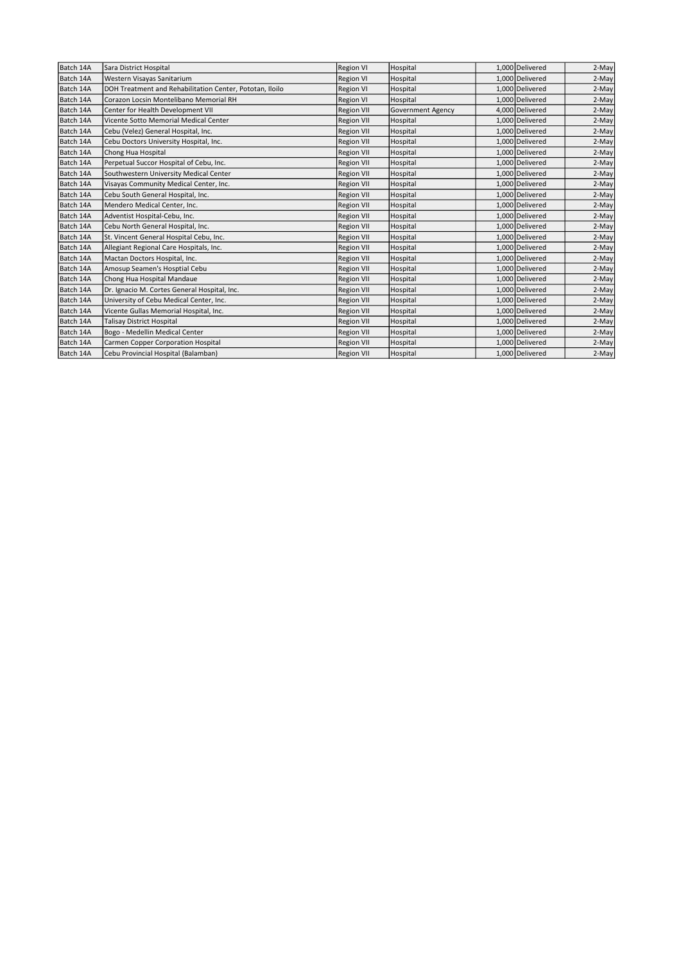| Batch 14A | Sara District Hospital                                   | <b>Region VI</b>  | Hospital          | 1,000 Delivered | 2-May |
|-----------|----------------------------------------------------------|-------------------|-------------------|-----------------|-------|
| Batch 14A | Western Visayas Sanitarium                               | Region VI         | Hospital          | 1,000 Delivered | 2-May |
| Batch 14A | DOH Treatment and Rehabilitation Center, Pototan, Iloilo | Region VI         | Hospital          | 1,000 Delivered | 2-May |
| Batch 14A | Corazon Locsin Montelibano Memorial RH                   | <b>Region VI</b>  | Hospital          | 1,000 Delivered | 2-May |
| Batch 14A | Center for Health Development VII                        | <b>Region VII</b> | Government Agency | 4,000 Delivered | 2-May |
| Batch 14A | Vicente Sotto Memorial Medical Center                    | <b>Region VII</b> | Hospital          | 1,000 Delivered | 2-May |
| Batch 14A | Cebu (Velez) General Hospital, Inc.                      | <b>Region VII</b> | Hospital          | 1,000 Delivered | 2-May |
| Batch 14A | Cebu Doctors University Hospital, Inc.                   | <b>Region VII</b> | Hospital          | 1,000 Delivered | 2-May |
| Batch 14A | Chong Hua Hospital                                       | <b>Region VII</b> | Hospital          | 1,000 Delivered | 2-May |
| Batch 14A | Perpetual Succor Hospital of Cebu, Inc.                  | <b>Region VII</b> | Hospital          | 1,000 Delivered | 2-May |
| Batch 14A | Southwestern University Medical Center                   | <b>Region VII</b> | Hospital          | 1,000 Delivered | 2-May |
| Batch 14A | Visayas Community Medical Center, Inc.                   | Region VII        | Hospital          | 1,000 Delivered | 2-May |
| Batch 14A | Cebu South General Hospital, Inc.                        | <b>Region VII</b> | Hospital          | 1,000 Delivered | 2-May |
| Batch 14A | Mendero Medical Center, Inc.                             | <b>Region VII</b> | Hospital          | 1,000 Delivered | 2-May |
| Batch 14A | Adventist Hospital-Cebu, Inc.                            | <b>Region VII</b> | Hospital          | 1,000 Delivered | 2-May |
| Batch 14A | Cebu North General Hospital, Inc.                        | <b>Region VII</b> | Hospital          | 1,000 Delivered | 2-May |
| Batch 14A | St. Vincent General Hospital Cebu, Inc.                  | <b>Region VII</b> | Hospital          | 1,000 Delivered | 2-May |
| Batch 14A | Allegiant Regional Care Hospitals, Inc.                  | <b>Region VII</b> | Hospital          | 1,000 Delivered | 2-May |
| Batch 14A | Mactan Doctors Hospital, Inc.                            | <b>Region VII</b> | Hospital          | 1,000 Delivered | 2-May |
| Batch 14A | Amosup Seamen's Hosptial Cebu                            | <b>Region VII</b> | Hospital          | 1,000 Delivered | 2-May |
| Batch 14A | Chong Hua Hospital Mandaue                               | <b>Region VII</b> | Hospital          | 1,000 Delivered | 2-May |
| Batch 14A | Dr. Ignacio M. Cortes General Hospital, Inc.             | <b>Region VII</b> | Hospital          | 1,000 Delivered | 2-May |
| Batch 14A | University of Cebu Medical Center, Inc.                  | <b>Region VII</b> | Hospital          | 1,000 Delivered | 2-May |
| Batch 14A | Vicente Gullas Memorial Hospital, Inc.                   | <b>Region VII</b> | Hospital          | 1,000 Delivered | 2-May |
| Batch 14A | <b>Talisay District Hospital</b>                         | <b>Region VII</b> | Hospital          | 1,000 Delivered | 2-May |
| Batch 14A | Bogo - Medellin Medical Center                           | <b>Region VII</b> | Hospital          | 1,000 Delivered | 2-May |
| Batch 14A | Carmen Copper Corporation Hospital                       | <b>Region VII</b> | Hospital          | 1,000 Delivered | 2-May |
| Batch 14A | Cebu Provincial Hospital (Balamban)                      | <b>Region VII</b> | Hospital          | 1,000 Delivered | 2-May |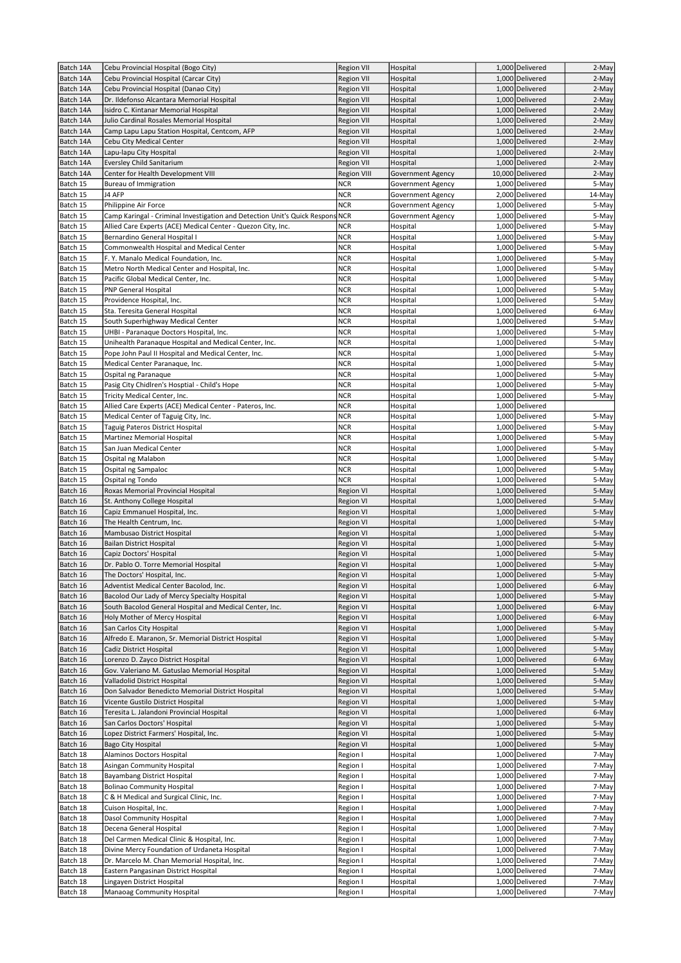| Batch 14A              | Cebu Provincial Hospital (Bogo City)                                                       | Region VII                           | Hospital                 | 1,000 Delivered                    | 2-May          |
|------------------------|--------------------------------------------------------------------------------------------|--------------------------------------|--------------------------|------------------------------------|----------------|
| Batch 14A              | Cebu Provincial Hospital (Carcar City)                                                     | <b>Region VII</b>                    | Hospital                 | 1,000 Delivered                    | 2-May          |
| Batch 14A              | Cebu Provincial Hospital (Danao City)                                                      | Region VII                           | Hospital                 | 1,000 Delivered                    | 2-May          |
| Batch 14A              | Dr. Ildefonso Alcantara Memorial Hospital                                                  | <b>Region VII</b>                    | Hospital                 | 1,000 Delivered                    | 2-May          |
| Batch 14A              | Isidro C. Kintanar Memorial Hospital                                                       | Region VII                           | Hospital                 | 1,000 Delivered                    | 2-May          |
| Batch 14A              | Julio Cardinal Rosales Memorial Hospital                                                   | <b>Region VII</b>                    | Hospital                 | 1,000 Delivered                    | 2-May          |
| Batch 14A              | Camp Lapu Lapu Station Hospital, Centcom, AFP                                              | <b>Region VII</b>                    | Hospital                 | 1,000 Delivered<br>1,000 Delivered | 2-May          |
| Batch 14A<br>Batch 14A | Cebu City Medical Center<br>Lapu-lapu City Hospital                                        | Region VII<br><b>Region VII</b>      | Hospital<br>Hospital     | 1,000 Delivered                    | 2-May<br>2-May |
| Batch 14A              | <b>Eversley Child Sanitarium</b>                                                           | <b>Region VII</b>                    | Hospital                 | 1,000 Delivered                    | 2-May          |
| Batch 14A              | Center for Health Development VIII                                                         | <b>Region VIII</b>                   | Government Agency        | 10,000 Delivered                   | 2-May          |
| Batch 15               | Bureau of Immigration                                                                      | <b>NCR</b>                           | Government Agency        | 1,000 Delivered                    | 5-May          |
| Batch 15               | J4 AFP                                                                                     | <b>NCR</b>                           | <b>Government Agency</b> | 2,000 Delivered                    | 14-May         |
| Batch 15               | Philippine Air Force                                                                       | <b>NCR</b>                           | Government Agency        | 1,000 Delivered                    | 5-May          |
| Batch 15               | Camp Karingal - Criminal Investigation and Detection Unit's Quick Respons NCR              |                                      | Government Agency        | 1,000 Delivered                    | 5-May          |
| Batch 15               | Allied Care Experts (ACE) Medical Center - Quezon City, Inc.                               | <b>NCR</b>                           | Hospital                 | 1,000 Delivered                    | 5-May          |
| Batch 15               | Bernardino General Hospital I                                                              | <b>NCR</b>                           | Hospital                 | 1,000 Delivered                    | 5-May          |
| Batch 15               | Commonwealth Hospital and Medical Center                                                   | <b>NCR</b>                           | Hospital                 | 1,000 Delivered                    | 5-May          |
| Batch 15               | F. Y. Manalo Medical Foundation, Inc.                                                      | <b>NCR</b>                           | Hospital                 | 1,000 Delivered                    | 5-May          |
| Batch 15<br>Batch 15   | Metro North Medical Center and Hospital, Inc.<br>Pacific Global Medical Center, Inc.       | <b>NCR</b><br><b>NCR</b>             | Hospital<br>Hospital     | 1,000 Delivered<br>1,000 Delivered | 5-May<br>5-May |
| Batch 15               | <b>PNP General Hospital</b>                                                                | <b>NCR</b>                           | Hospital                 | 1,000 Delivered                    | 5-May          |
| Batch 15               | Providence Hospital, Inc.                                                                  | <b>NCR</b>                           | Hospital                 | 1,000 Delivered                    | 5-May          |
| Batch 15               | Sta. Teresita General Hospital                                                             | <b>NCR</b>                           | Hospital                 | 1,000 Delivered                    | 6-May          |
| Batch 15               | South Superhighway Medical Center                                                          | <b>NCR</b>                           | Hospital                 | 1,000 Delivered                    | 5-May          |
| Batch 15               | UHBI - Paranaque Doctors Hospital, Inc.                                                    | <b>NCR</b>                           | Hospital                 | 1,000 Delivered                    | 5-May          |
| Batch 15               | Unihealth Paranaque Hospital and Medical Center, Inc.                                      | <b>NCR</b>                           | Hospital                 | 1,000 Delivered                    | 5-May          |
| Batch 15               | Pope John Paul II Hospital and Medical Center, Inc.                                        | <b>NCR</b>                           | Hospital                 | 1.000 Delivered                    | 5-May          |
| Batch 15               | Medical Center Paranaque, Inc.                                                             | <b>NCR</b>                           | Hospital                 | 1,000 Delivered                    | 5-May          |
| Batch 15               | Ospital ng Paranaque                                                                       | <b>NCR</b>                           | Hospital                 | 1,000 Delivered                    | 5-May          |
| Batch 15               | Pasig City Chidlren's Hosptial - Child's Hope                                              | <b>NCR</b>                           | Hospital                 | 1,000 Delivered                    | 5-May          |
| Batch 15               | Tricity Medical Center, Inc.                                                               | <b>NCR</b>                           | Hospital                 | 1,000 Delivered                    | 5-May          |
| Batch 15<br>Batch 15   | Allied Care Experts (ACE) Medical Center - Pateros, Inc.                                   | <b>NCR</b><br><b>NCR</b>             | Hospital                 | 1,000 Delivered<br>1,000 Delivered |                |
| Batch 15               | Medical Center of Taguig City, Inc.<br>Taguig Pateros District Hospital                    | <b>NCR</b>                           | Hospital<br>Hospital     | 1,000 Delivered                    | 5-May<br>5-May |
| Batch 15               | Martinez Memorial Hospital                                                                 | <b>NCR</b>                           | Hospital                 | 1,000 Delivered                    | 5-May          |
| Batch 15               | San Juan Medical Center                                                                    | <b>NCR</b>                           | Hospital                 | 1,000 Delivered                    | 5-May          |
| Batch 15               | Ospital ng Malabon                                                                         | <b>NCR</b>                           | Hospital                 | 1,000 Delivered                    | 5-May          |
| Batch 15               | Ospital ng Sampaloc                                                                        | <b>NCR</b>                           | Hospital                 | 1,000 Delivered                    | 5-May          |
| Batch 15               | Ospital ng Tondo                                                                           | <b>NCR</b>                           | Hospital                 | 1,000 Delivered                    | 5-May          |
| Batch 16               | Roxas Memorial Provincial Hospital                                                         | <b>Region VI</b>                     | Hospital                 | 1,000 Delivered                    | 5-May          |
| Batch 16               | St. Anthony College Hospital                                                               | Region VI                            | Hospital                 | 1,000 Delivered                    | 5-May          |
| Batch 16               | Capiz Emmanuel Hospital, Inc.                                                              | Region VI                            | Hospital                 | 1,000 Delivered                    | 5-May          |
| Batch 16               | The Health Centrum, Inc.                                                                   | Region VI                            | Hospital                 | 1,000 Delivered                    | 5-May          |
| Batch 16               | Mambusao District Hospital                                                                 | Region VI                            | Hospital                 | 1,000 Delivered                    | 5-May          |
| Batch 16<br>Batch 16   | Bailan District Hospital                                                                   | Region VI                            | Hospital                 | 1,000 Delivered<br>1,000 Delivered | 5-May          |
| Batch 16               | Capiz Doctors' Hospital<br>Dr. Pablo O. Torre Memorial Hospital                            | Region VI<br><b>Region VI</b>        | Hospital<br>Hospital     | 1,000 Delivered                    | 5-May<br>5-May |
| Batch 16               | The Doctors' Hospital, Inc.                                                                | Region VI                            | Hospital                 | 1,000 Delivered                    | 5-May          |
| Batch 16               | Adventist Medical Center Bacolod, Inc.                                                     | <b>Region VI</b>                     | Hospital                 | 1,000 Delivered                    | 6-May          |
| Batch 16               | Bacolod Our Lady of Mercy Specialty Hospital                                               | <b>Region VI</b>                     | Hospital                 | 1,000 Delivered                    | 5-May          |
| Batch 16               | South Bacolod General Hospital and Medical Center, Inc.                                    | <b>Region VI</b>                     | Hospital                 | 1,000 Delivered                    | 6-May          |
| Batch 16               | Holy Mother of Mercy Hospital                                                              | <b>Region VI</b>                     | Hospital                 | 1,000 Delivered                    | 6-May          |
| Batch 16               | San Carlos City Hospital                                                                   | Region VI                            | Hospital                 | 1,000 Delivered                    | 5-May          |
| Batch 16               | Alfredo E. Maranon, Sr. Memorial District Hospital                                         | Region VI                            | Hospital                 | 1,000 Delivered                    | 5-May          |
| Batch 16               | Cadiz District Hospital                                                                    | <b>Region VI</b>                     | Hospital                 | 1,000 Delivered                    | 5-May          |
| Batch 16               | Lorenzo D. Zayco District Hospital                                                         | Region VI                            | Hospital                 | 1,000 Delivered                    | 6-May          |
| Batch 16               | Gov. Valeriano M. Gatuslao Memorial Hospital                                               | Region VI                            | Hospital                 | 1,000 Delivered                    | 5-May          |
| Batch 16               | Valladolid District Hospital                                                               | Region VI                            | Hospital                 | 1,000 Delivered                    | 5-May          |
| Batch 16<br>Batch 16   | Don Salvador Benedicto Memorial District Hospital<br>Vicente Gustilo District Hospital     | <b>Region VI</b><br><b>Region VI</b> | Hospital<br>Hospital     | 1,000 Delivered<br>1,000 Delivered | 5-May          |
| Batch 16               | Teresita L. Jalandoni Provincial Hospital                                                  | Region VI                            | Hospital                 | 1,000 Delivered                    | 5-May<br>6-May |
| Batch 16               | San Carlos Doctors' Hospital                                                               | Region VI                            | Hospital                 | 1,000 Delivered                    | 5-May          |
| Batch 16               | Lopez District Farmers' Hospital, Inc.                                                     | <b>Region VI</b>                     | Hospital                 | 1,000 Delivered                    | 5-May          |
| Batch 16               | Bago City Hospital                                                                         | Region VI                            | Hospital                 | 1,000 Delivered                    | 5-May          |
| Batch 18               | Alaminos Doctors Hospital                                                                  | Region I                             | Hospital                 | 1,000 Delivered                    | 7-May          |
| Batch 18               | Asingan Community Hospital                                                                 | Region I                             | Hospital                 | 1,000 Delivered                    | 7-May          |
| Batch 18               | Bayambang District Hospital                                                                | Region I                             | Hospital                 | 1,000 Delivered                    | 7-May          |
| Batch 18               | <b>Bolinao Community Hospital</b>                                                          | Region I                             | Hospital                 | 1,000 Delivered                    | 7-May          |
| Batch 18               | C & H Medical and Surgical Clinic, Inc.                                                    | Region I                             | Hospital                 | 1,000 Delivered                    | 7-May          |
| Batch 18               | Cuison Hospital, Inc.                                                                      | Region I                             | Hospital                 | 1,000 Delivered                    | 7-May          |
| Batch 18               | Dasol Community Hospital                                                                   | Region I                             | Hospital                 | 1,000 Delivered                    | 7-May          |
| Batch 18               | Decena General Hospital                                                                    | Region I                             | Hospital                 | 1,000 Delivered                    | 7-May          |
| Batch 18<br>Batch 18   | Del Carmen Medical Clinic & Hospital, Inc.<br>Divine Mercy Foundation of Urdaneta Hospital | Region I<br>Region I                 | Hospital<br>Hospital     | 1,000 Delivered<br>1,000 Delivered | 7-May<br>7-May |
| Batch 18               | Dr. Marcelo M. Chan Memorial Hospital, Inc.                                                | Region I                             | Hospital                 | 1,000 Delivered                    | 7-May          |
| Batch 18               | Eastern Pangasinan District Hospital                                                       | Region I                             | Hospital                 | 1,000 Delivered                    | 7-May          |
| Batch 18               | Lingayen District Hospital                                                                 | Region I                             | Hospital                 | 1,000 Delivered                    | 7-May          |
| Batch 18               | Manaoag Community Hospital                                                                 | Region I                             | Hospital                 | 1,000 Delivered                    | 7-May          |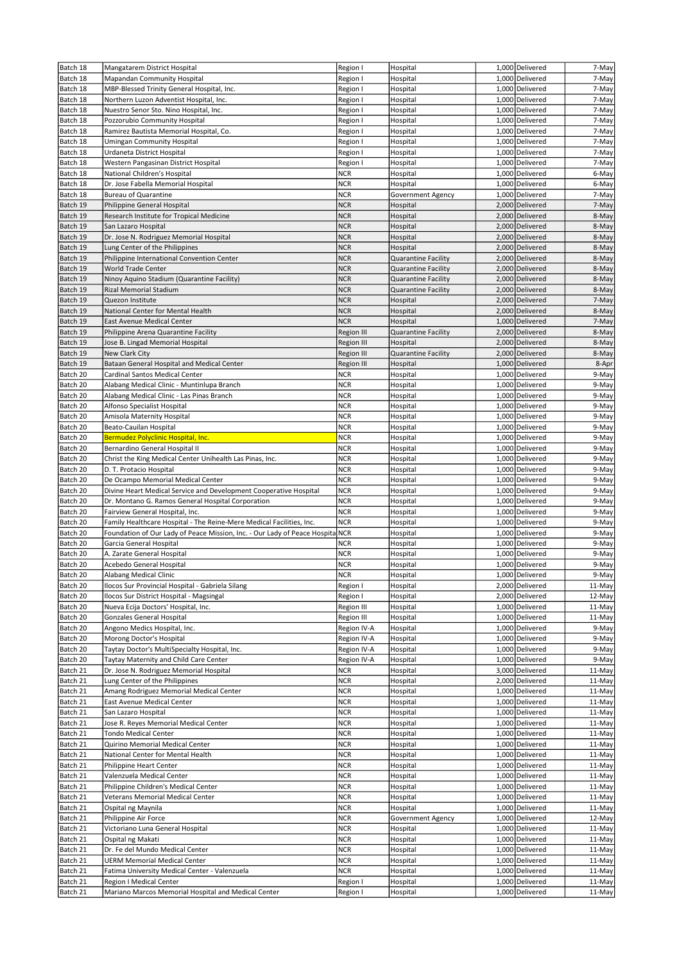| Batch 18 | Mangatarem District Hospital                                              | Region I    | Hospital                   | 1,000 Delivered | 7-May  |
|----------|---------------------------------------------------------------------------|-------------|----------------------------|-----------------|--------|
| Batch 18 | Mapandan Community Hospital                                               | Region I    | Hospital                   | 1,000 Delivered | 7-May  |
| Batch 18 | MBP-Blessed Trinity General Hospital, Inc.                                | Region I    | Hospital                   | 1,000 Delivered | 7-May  |
| Batch 18 | Northern Luzon Adventist Hospital, Inc.                                   | Region I    | Hospital                   | 1,000 Delivered | 7-May  |
| Batch 18 | Nuestro Senor Sto. Nino Hospital, Inc.                                    | Region I    | Hospital                   | 1,000 Delivered | 7-May  |
| Batch 18 | Pozzorubio Community Hospital                                             | Region I    | Hospital                   | 1,000 Delivered | 7-May  |
| Batch 18 | Ramirez Bautista Memorial Hospital, Co.                                   | Region I    | Hospital                   | 1,000 Delivered | 7-May  |
| Batch 18 | Umingan Community Hospital                                                | Region I    | Hospital                   | 1,000 Delivered | 7-May  |
| Batch 18 | Urdaneta District Hospital                                                | Region I    | Hospital                   | 1,000 Delivered | 7-May  |
| Batch 18 | Western Pangasinan District Hospital                                      | Region I    | Hospital                   | 1,000 Delivered | 7-May  |
| Batch 18 | National Children's Hospital                                              | <b>NCR</b>  | Hospital                   | 1,000 Delivered | 6-May  |
| Batch 18 | Dr. Jose Fabella Memorial Hospital                                        | <b>NCR</b>  | Hospital                   | 1,000 Delivered | 6-May  |
| Batch 18 | <b>Bureau of Quarantine</b>                                               | <b>NCR</b>  | Government Agency          | 1,000 Delivered | 7-May  |
| Batch 19 | Philippine General Hospital                                               | <b>NCR</b>  | Hospital                   | 2,000 Delivered | 7-May  |
| Batch 19 | Research Institute for Tropical Medicine                                  | <b>NCR</b>  | Hospital                   | 2,000 Delivered | 8-May  |
| Batch 19 | San Lazaro Hospital                                                       | <b>NCR</b>  | Hospital                   | 2,000 Delivered | 8-May  |
| Batch 19 | Dr. Jose N. Rodriguez Memorial Hospital                                   | <b>NCR</b>  | Hospital                   | 2,000 Delivered | 8-May  |
| Batch 19 | Lung Center of the Philippines                                            | <b>NCR</b>  | Hospital                   | 2,000 Delivered | 8-May  |
| Batch 19 | Philippine International Convention Center                                | <b>NCR</b>  | Quarantine Facility        | 2,000 Delivered | 8-May  |
| Batch 19 | World Trade Center                                                        | <b>NCR</b>  | Quarantine Facility        | 2,000 Delivered | 8-May  |
| Batch 19 | Ninoy Aquino Stadium (Quarantine Facility)                                | <b>NCR</b>  | Quarantine Facility        | 2,000 Delivered | 8-May  |
| Batch 19 | Rizal Memorial Stadium                                                    | <b>NCR</b>  | <b>Quarantine Facility</b> | 2,000 Delivered | 8-May  |
| Batch 19 | Quezon Institute                                                          | <b>NCR</b>  | Hospital                   | 2,000 Delivered | 7-May  |
| Batch 19 | National Center for Mental Health                                         | <b>NCR</b>  | Hospital                   | 2,000 Delivered | 8-May  |
| Batch 19 | East Avenue Medical Center                                                | <b>NCR</b>  | Hospital                   | 1,000 Delivered | 7-May  |
| Batch 19 | Philippine Arena Quarantine Facility                                      | Region III  | Quarantine Facility        | 2,000 Delivered | 8-May  |
| Batch 19 | Jose B. Lingad Memorial Hospital                                          | Region III  | Hospital                   | 2,000 Delivered | 8-May  |
| Batch 19 | New Clark City                                                            | Region III  | Quarantine Facility        | 2,000 Delivered | 8-May  |
| Batch 19 | Bataan General Hospital and Medical Center                                | Region III  | Hospital                   | 1,000 Delivered | 8-Apr  |
| Batch 20 | Cardinal Santos Medical Center                                            | <b>NCR</b>  | Hospital                   | 1,000 Delivered | 9-May  |
| Batch 20 | Alabang Medical Clinic - Muntinlupa Branch                                | <b>NCR</b>  | Hospital                   | 1,000 Delivered | 9-May  |
| Batch 20 | Alabang Medical Clinic - Las Pinas Branch                                 | <b>NCR</b>  | Hospital                   | 1,000 Delivered | 9-May  |
| Batch 20 | Alfonso Specialist Hospital                                               | <b>NCR</b>  | Hospital                   | 1,000 Delivered | 9-May  |
| Batch 20 | Amisola Maternity Hospital                                                | <b>NCR</b>  | Hospital                   | 1,000 Delivered | 9-May  |
| Batch 20 | Beato-Cauilan Hospital                                                    | <b>NCR</b>  | Hospital                   | 1,000 Delivered | 9-May  |
| Batch 20 | Bermudez Polyclinic Hospital, Inc.                                        | <b>NCR</b>  | Hospital                   | 1,000 Delivered | 9-May  |
| Batch 20 | Bernardino General Hospital II                                            | <b>NCR</b>  |                            | 1,000 Delivered | 9-May  |
|          |                                                                           | <b>NCR</b>  | Hospital                   | 1,000 Delivered | 9-May  |
| Batch 20 | Christ the King Medical Center Unihealth Las Pinas, Inc.                  |             | Hospital                   |                 |        |
| Batch 20 | D. T. Protacio Hospital                                                   | <b>NCR</b>  | Hospital                   | 1,000 Delivered | 9-May  |
| Batch 20 | De Ocampo Memorial Medical Center                                         | <b>NCR</b>  | Hospital                   | 1,000 Delivered | 9-May  |
| Batch 20 | Divine Heart Medical Service and Development Cooperative Hospital         | <b>NCR</b>  | Hospital                   | 1,000 Delivered | 9-May  |
| Batch 20 | Dr. Montano G. Ramos General Hospital Corporation                         | <b>NCR</b>  | Hospital                   | 1,000 Delivered | 9-May  |
| Batch 20 | Fairview General Hospital, Inc.                                           | <b>NCR</b>  | Hospital                   | 1,000 Delivered | 9-May  |
| Batch 20 | Family Healthcare Hospital - The Reine-Mere Medical Facilities, Inc.      | <b>NCR</b>  | Hospital                   | 1,000 Delivered | 9-May  |
| Batch 20 | Foundation of Our Lady of Peace Mission, Inc. - Our Lady of Peace Hospita | <b>NCR</b>  | Hospital                   | 1,000 Delivered | 9-May  |
| Batch 20 | Garcia General Hospital                                                   | <b>NCR</b>  | Hospital                   | 1,000 Delivered | 9-May  |
| Batch 20 | A. Zarate General Hospital                                                | <b>NCR</b>  | Hospital                   | 1,000 Delivered | 9-May  |
| Batch 20 | Acebedo General Hospital                                                  | <b>NCR</b>  | Hospital                   | 1,000 Delivered | 9-May  |
| Batch 20 | Alabang Medical Clinic                                                    | <b>NCR</b>  | Hospital                   | 1,000 Delivered | 9-May  |
| Batch 20 | Ilocos Sur Provincial Hospital - Gabriela Silang                          | Region I    | Hospital                   | 2,000 Delivered | 11-May |
| Batch 20 | Ilocos Sur District Hospital - Magsingal                                  | Region I    | Hospital                   | 2,000 Delivered | 12-May |
| Batch 20 | Nueva Ecija Doctors' Hospital, Inc.                                       | Region III  | Hospital                   | 1,000 Delivered | 11-May |
| Batch 20 | <b>Gonzales General Hospital</b>                                          | Region III  | Hospital                   | 1,000 Delivered | 11-May |
| Batch 20 | Angono Medics Hospital, Inc.                                              | Region IV-A | Hospital                   | 1,000 Delivered | 9-May  |
| Batch 20 | Morong Doctor's Hospital                                                  | Region IV-A | Hospital                   | 1,000 Delivered | 9-May  |
| Batch 20 | Taytay Doctor's MultiSpecialty Hospital, Inc.                             | Region IV-A | Hospital                   | 1,000 Delivered | 9-May  |
| Batch 20 | Taytay Maternity and Child Care Center                                    | Region IV-A | Hospital                   | 1,000 Delivered | 9-May  |
| Batch 21 | Dr. Jose N. Rodriguez Memorial Hospital                                   | NCR         | Hospital                   | 3,000 Delivered | 11-May |
| Batch 21 | Lung Center of the Philippines                                            | <b>NCR</b>  | Hospital                   | 2,000 Delivered | 11-May |
| Batch 21 | Amang Rodriguez Memorial Medical Center                                   | <b>NCR</b>  | Hospital                   | 1,000 Delivered | 11-May |
| Batch 21 | East Avenue Medical Center                                                | <b>NCR</b>  | Hospital                   | 1,000 Delivered | 11-May |
| Batch 21 | San Lazaro Hospital                                                       | <b>NCR</b>  | Hospital                   | 1,000 Delivered | 11-May |
| Batch 21 | Jose R. Reyes Memorial Medical Center                                     | <b>NCR</b>  | Hospital                   | 1,000 Delivered | 11-May |
| Batch 21 | <b>Tondo Medical Center</b>                                               | <b>NCR</b>  | Hospital                   | 1,000 Delivered | 11-May |
| Batch 21 | Quirino Memorial Medical Center                                           | <b>NCR</b>  | Hospital                   | 1,000 Delivered | 11-May |
| Batch 21 | National Center for Mental Health                                         | <b>NCR</b>  | Hospital                   | 1,000 Delivered | 11-May |
| Batch 21 | Philippine Heart Center                                                   | <b>NCR</b>  | Hospital                   | 1,000 Delivered | 11-May |
| Batch 21 | Valenzuela Medical Center                                                 | <b>NCR</b>  | Hospital                   | 1,000 Delivered | 11-May |
| Batch 21 | Philippine Children's Medical Center                                      | <b>NCR</b>  | Hospital                   | 1,000 Delivered | 11-May |
| Batch 21 | Veterans Memorial Medical Center                                          | <b>NCR</b>  | Hospital                   | 1,000 Delivered | 11-May |
| Batch 21 | Ospital ng Maynila                                                        | <b>NCR</b>  | Hospital                   | 1,000 Delivered | 11-May |
| Batch 21 | Philippine Air Force                                                      | <b>NCR</b>  | Government Agency          | 1,000 Delivered | 12-May |
| Batch 21 | Victoriano Luna General Hospital                                          | <b>NCR</b>  | Hospital                   | 1,000 Delivered | 11-May |
| Batch 21 | Ospital ng Makati                                                         | <b>NCR</b>  | Hospital                   | 1,000 Delivered | 11-May |
| Batch 21 | Dr. Fe del Mundo Medical Center                                           | <b>NCR</b>  | Hospital                   | 1,000 Delivered | 11-May |
| Batch 21 | <b>UERM Memorial Medical Center</b>                                       | NCR         | Hospital                   | 1,000 Delivered | 11-May |
| Batch 21 | Fatima University Medical Center - Valenzuela                             | <b>NCR</b>  | Hospital                   | 1,000 Delivered | 11-May |
| Batch 21 | Region I Medical Center                                                   | Region I    | Hospital                   | 1,000 Delivered | 11-May |
| Batch 21 | Mariano Marcos Memorial Hospital and Medical Center                       | Region I    | Hospital                   | 1,000 Delivered | 11-May |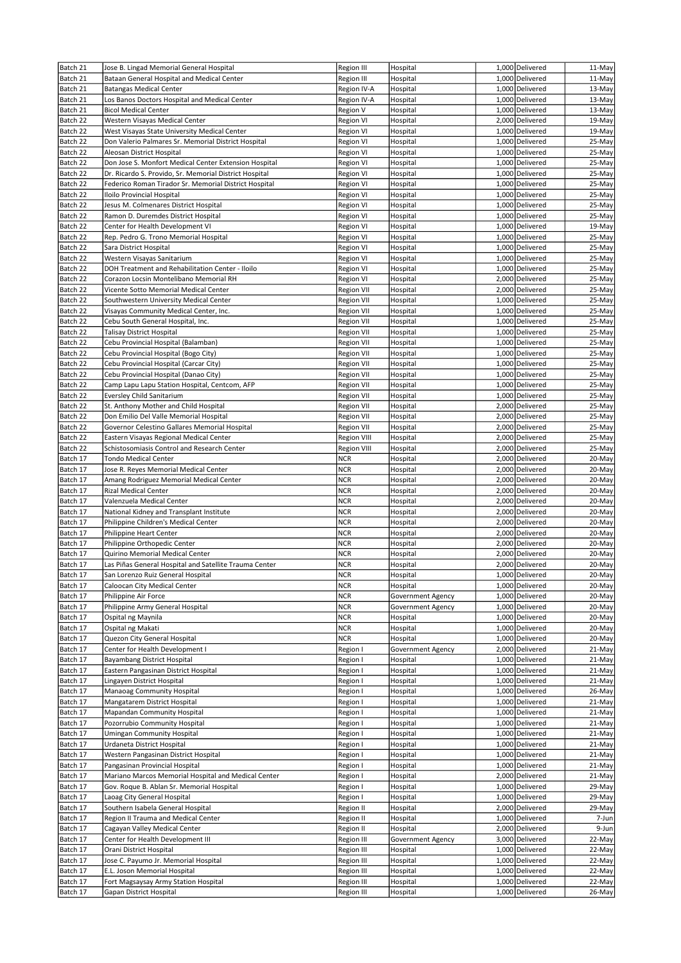| Batch 21             | Jose B. Lingad Memorial General Hospital                                     | Region III             | Hospital                      | 1,000 Delivered                    | 11-May           |
|----------------------|------------------------------------------------------------------------------|------------------------|-------------------------------|------------------------------------|------------------|
| Batch 21             | Bataan General Hospital and Medical Center                                   | Region III             | Hospital                      | 1,000 Delivered                    | 11-May           |
| Batch 21             | <b>Batangas Medical Center</b>                                               | Region IV-A            | Hospital                      | 1,000 Delivered                    | 13-May           |
| Batch 21             | Los Banos Doctors Hospital and Medical Center                                | Region IV-A            | Hospital                      | 1,000 Delivered                    | 13-May           |
| Batch 21             | <b>Bicol Medical Center</b>                                                  | Region V               | Hospital                      | 1,000 Delivered                    | 13-May           |
| Batch 22             | Western Visayas Medical Center                                               | Region VI              | Hospital                      | 2,000 Delivered                    | 19-May           |
| Batch 22             | West Visayas State University Medical Center                                 | Region VI              | Hospital                      | 1,000 Delivered                    | 19-May           |
| Batch 22             | Don Valerio Palmares Sr. Memorial District Hospital                          | Region VI              | Hospital                      | 1,000 Delivered                    | 25-May           |
| Batch 22             | Aleosan District Hospital                                                    | Region VI              | Hospital                      | 1,000 Delivered                    | 25-May           |
| Batch 22             | Don Jose S. Monfort Medical Center Extension Hospital                        | Region VI              | Hospital                      | 1,000 Delivered                    | 25-May           |
| Batch 22             | Dr. Ricardo S. Provido, Sr. Memorial District Hospital                       | Region VI              | Hospital                      | 1,000 Delivered                    | 25-May           |
| Batch 22             | Federico Roman Tirador Sr. Memorial District Hospital                        | Region VI              | Hospital                      | 1,000 Delivered                    | 25-May           |
| Batch 22             | Iloilo Provincial Hospital                                                   | Region VI              | Hospital                      | 1,000 Delivered                    | 25-May           |
| Batch 22<br>Batch 22 | Jesus M. Colmenares District Hospital<br>Ramon D. Duremdes District Hospital | Region VI              | Hospital<br>Hospital          | 1,000 Delivered<br>1,000 Delivered | 25-May<br>25-May |
| Batch 22             | Center for Health Development VI                                             | Region VI              |                               | 1,000 Delivered                    | 19-May           |
| Batch 22             | Rep. Pedro G. Trono Memorial Hospital                                        | Region VI<br>Region VI | Hospital<br>Hospital          | 1,000 Delivered                    | 25-May           |
| Batch 22             | Sara District Hospital                                                       | Region VI              | Hospital                      | 1,000 Delivered                    | 25-May           |
| Batch 22             | Western Visayas Sanitarium                                                   | Region VI              | Hospital                      | 1,000 Delivered                    | 25-May           |
| Batch 22             | DOH Treatment and Rehabilitation Center - Iloilo                             | Region VI              | Hospital                      | 1,000 Delivered                    | 25-May           |
| Batch 22             | Corazon Locsin Montelibano Memorial RH                                       | Region VI              | Hospital                      | 2,000 Delivered                    | 25-May           |
| Batch 22             | Vicente Sotto Memorial Medical Center                                        | Region VII             | Hospital                      | 2,000 Delivered                    | 25-May           |
| Batch 22             | Southwestern University Medical Center                                       | <b>Region VII</b>      | Hospital                      | 1,000 Delivered                    | 25-May           |
| Batch 22             | Visayas Community Medical Center, Inc.                                       | Region VII             | Hospital                      | 1,000 Delivered                    | 25-May           |
| Batch 22             | Cebu South General Hospital, Inc.                                            | Region VII             | Hospital                      | 1,000 Delivered                    | 25-May           |
| Batch 22             | <b>Talisay District Hospital</b>                                             | Region VII             | Hospital                      | 1,000 Delivered                    | 25-May           |
| Batch 22             | Cebu Provincial Hospital (Balamban)                                          | Region VII             | Hospital                      | 1,000 Delivered                    | 25-May           |
| Batch 22             | Cebu Provincial Hospital (Bogo City)                                         | Region VII             | Hospital                      | 1,000 Delivered                    | 25-May           |
| Batch 22             | Cebu Provincial Hospital (Carcar City)                                       | Region VII             | Hospital                      | 1,000 Delivered                    | 25-May           |
| Batch 22             | Cebu Provincial Hospital (Danao City)                                        | Region VII             | Hospital                      | 1,000 Delivered                    | 25-May           |
| Batch 22             | Camp Lapu Lapu Station Hospital, Centcom, AFP                                | Region VII             | Hospital                      | 1,000 Delivered                    | 25-May           |
| Batch 22             | Eversley Child Sanitarium                                                    | Region VII             | Hospital                      | 1,000 Delivered                    | 25-May           |
| Batch 22             | St. Anthony Mother and Child Hospital                                        | Region VII             | Hospital                      | 2,000 Delivered                    | 25-May           |
| Batch 22             | Don Emilio Del Valle Memorial Hospital                                       | Region VII             | Hospital                      | 2,000 Delivered                    | 25-May           |
| Batch 22             | Governor Celestino Gallares Memorial Hospital                                | Region VII             | Hospital                      | 2,000 Delivered                    | 25-May           |
| Batch 22             | Eastern Visayas Regional Medical Center                                      | Region VIII            | Hospital                      | 2,000 Delivered                    | 25-May           |
| Batch 22             | Schistosomiasis Control and Research Center                                  | <b>Region VIII</b>     | Hospital                      | 2,000 Delivered                    | 25-May           |
| Batch 17             | <b>Tondo Medical Center</b>                                                  | <b>NCR</b>             | Hospital                      | 2,000 Delivered                    | 20-May           |
| Batch 17             | Jose R. Reyes Memorial Medical Center                                        | <b>NCR</b>             | Hospital                      | 2,000 Delivered                    | 20-May           |
| Batch 17             | Amang Rodriguez Memorial Medical Center                                      | NCR                    | Hospital                      | 2,000 Delivered                    | 20-May           |
| Batch 17             | <b>Rizal Medical Center</b>                                                  | <b>NCR</b>             | Hospital                      | 2,000 Delivered                    | 20-May           |
| Batch 17             | Valenzuela Medical Center                                                    | <b>NCR</b>             | Hospital                      | 2,000 Delivered                    | 20-May           |
| Batch 17             | National Kidney and Transplant Institute                                     | <b>NCR</b>             | Hospital                      | 2,000 Delivered                    | 20-May           |
| Batch 17             | Philippine Children's Medical Center                                         | <b>NCR</b>             | Hospital                      | 2,000 Delivered                    | 20-May           |
| Batch 17             | Philippine Heart Center                                                      | <b>NCR</b>             | Hospital                      | 2,000 Delivered                    | 20-May           |
| Batch 17             | Philippine Orthopedic Center                                                 | NCR                    | Hospital                      | 2,000 Delivered                    | 20-May           |
| Batch 17             | Quirino Memorial Medical Center                                              | <b>NCR</b>             | Hospital                      | 2,000 Delivered                    | 20-May           |
| Batch 17             | Las Piñas General Hospital and Satellite Trauma Center                       | <b>NCR</b>             | Hospital                      | 2,000 Delivered                    | 20-May           |
| Batch 17             | San Lorenzo Ruiz General Hospital                                            | <b>NCR</b>             | Hospital                      | 1,000 Delivered                    | $20 - May$       |
| Batch 17             | Caloocan City Medical Center                                                 | <b>NCR</b>             | Hospital                      | 1,000 Delivered                    | 20-May           |
| Batch 17             | Philippine Air Force                                                         | <b>NCR</b>             | Government Agency             | 1,000 Delivered                    | 20-May           |
| Batch 17             | Philippine Army General Hospital                                             | <b>NCR</b>             | Government Agency             | 1,000 Delivered                    | 20-May           |
| Batch 17             | Ospital ng Maynila                                                           | <b>NCR</b>             | Hospital                      | 1,000 Delivered                    | 20-May           |
| Batch 17             | Ospital ng Makati                                                            | <b>NCR</b>             | Hospital                      | 1,000 Delivered                    | 20-May           |
| Batch 17<br>Batch 17 | Quezon City General Hospital<br>Center for Health Development I              | <b>NCR</b><br>Region I | Hospital<br>Government Agency | 1,000 Delivered<br>2,000 Delivered | 20-May<br>21-May |
| Batch 17             | Bayambang District Hospital                                                  | Region I               | Hospital                      | 1,000 Delivered                    | 21-May           |
| Batch 17             | Eastern Pangasinan District Hospital                                         | Region I               | Hospital                      | 1,000 Delivered                    | 21-May           |
| Batch 17             | Lingayen District Hospital                                                   | Region I               | Hospital                      | 1,000 Delivered                    | 21-May           |
| Batch 17             | Manaoag Community Hospital                                                   | Region I               | Hospital                      | 1,000 Delivered                    | 26-May           |
| Batch 17             | Mangatarem District Hospital                                                 | Region I               | Hospital                      | 1,000 Delivered                    | 21-May           |
| Batch 17             | Mapandan Community Hospital                                                  | Region I               | Hospital                      | 1,000 Delivered                    | 21-May           |
| Batch 17             | Pozorrubio Community Hospital                                                | Region I               | Hospital                      | 1,000 Delivered                    | 21-May           |
| Batch 17             | Umingan Community Hospital                                                   | Region I               | Hospital                      | 1,000 Delivered                    | 21-May           |
| Batch 17             | Urdaneta District Hospital                                                   | Region I               | Hospital                      | 1,000 Delivered                    | 21-May           |
| Batch 17             | Western Pangasinan District Hospital                                         | Region I               | Hospital                      | 1,000 Delivered                    | 21-May           |
| Batch 17             | Pangasinan Provincial Hospital                                               | Region I               | Hospital                      | 1,000 Delivered                    | 21-May           |
| Batch 17             | Mariano Marcos Memorial Hospital and Medical Center                          | Region I               | Hospital                      | 2,000 Delivered                    | 21-May           |
| Batch 17             | Gov. Roque B. Ablan Sr. Memorial Hospital                                    | Region I               | Hospital                      | 1,000 Delivered                    | 29-May           |
| Batch 17             | Laoag City General Hospital                                                  | Region I               | Hospital                      | 1,000 Delivered                    | 29-May           |
| Batch 17             | Southern Isabela General Hospital                                            | Region II              | Hospital                      | 2,000 Delivered                    | 29-May           |
| Batch 17             | Region II Trauma and Medical Center                                          | Region II              | Hospital                      | 1,000 Delivered                    | 7-Jun            |
| Batch 17             | Cagayan Valley Medical Center                                                | Region II              | Hospital                      | 2,000 Delivered                    | 9-Jun            |
| Batch 17             | Center for Health Development III                                            | <b>Region III</b>      | Government Agency             | 3,000 Delivered                    | 22-May           |
| Batch 17             | Orani District Hospital                                                      | Region III             | Hospital                      | 1,000 Delivered                    | 22-May           |
| Batch 17             | Jose C. Payumo Jr. Memorial Hospital                                         | Region III             | Hospital                      | 1,000 Delivered                    | 22-May           |
| Batch 17             | E.L. Joson Memorial Hospital                                                 | Region III             | Hospital                      | 1,000 Delivered                    | 22-May           |
| Batch 17             | Fort Magsaysay Army Station Hospital                                         | Region III             | Hospital                      | 1,000 Delivered                    | 22-May           |
| Batch 17             | Gapan District Hospital                                                      | Region III             | Hospital                      | 1,000 Delivered                    | 26-May           |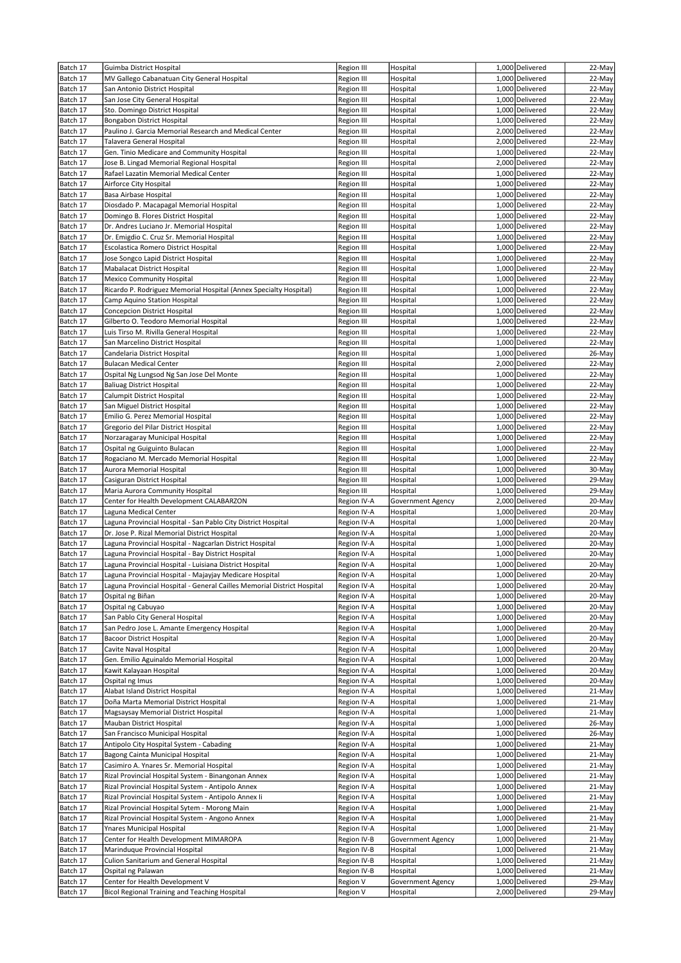| Batch 17 | Guimba District Hospital                                                | Region III        | Hospital          | 1,000 Delivered | 22-May |
|----------|-------------------------------------------------------------------------|-------------------|-------------------|-----------------|--------|
| Batch 17 | MV Gallego Cabanatuan City General Hospital                             | Region III        | Hospital          | 1,000 Delivered | 22-May |
| Batch 17 | San Antonio District Hospital                                           | Region III        | Hospital          | 1,000 Delivered | 22-May |
| Batch 17 | San Jose City General Hospital                                          |                   | Hospital          | 1,000 Delivered | 22-May |
|          |                                                                         | Region III        |                   |                 |        |
| Batch 17 | Sto. Domingo District Hospital                                          | Region III        | Hospital          | 1,000 Delivered | 22-May |
| Batch 17 | <b>Bongabon District Hospital</b>                                       | Region III        | Hospital          | 1,000 Delivered | 22-May |
| Batch 17 | Paulino J. Garcia Memorial Research and Medical Center                  | Region III        | Hospital          | 2,000 Delivered | 22-May |
| Batch 17 | Talavera General Hospital                                               | <b>Region III</b> | Hospital          | 2,000 Delivered | 22-May |
| Batch 17 | Gen. Tinio Medicare and Community Hospital                              | <b>Region III</b> | Hospital          | 1,000 Delivered | 22-May |
| Batch 17 | Jose B. Lingad Memorial Regional Hospital                               | <b>Region III</b> | Hospital          | 2,000 Delivered | 22-May |
| Batch 17 | Rafael Lazatin Memorial Medical Center                                  | Region III        | Hospital          | 1,000 Delivered | 22-May |
| Batch 17 | Airforce City Hospital                                                  | Region III        | Hospital          | 1,000 Delivered | 22-May |
| Batch 17 | Basa Airbase Hospital                                                   | Region III        | Hospital          | 1,000 Delivered | 22-May |
| Batch 17 | Diosdado P. Macapagal Memorial Hospital                                 | Region III        | Hospital          | 1,000 Delivered | 22-May |
| Batch 17 | Domingo B. Flores District Hospital                                     | Region III        | Hospital          | 1,000 Delivered | 22-May |
| Batch 17 | Dr. Andres Luciano Jr. Memorial Hospital                                | Region III        | Hospital          | 1,000 Delivered | 22-May |
|          |                                                                         |                   |                   |                 |        |
| Batch 17 | Dr. Emigdio C. Cruz Sr. Memorial Hospital                               | Region III        | Hospital          | 1,000 Delivered | 22-May |
| Batch 17 | Escolastica Romero District Hospital                                    | Region III        | Hospital          | 1,000 Delivered | 22-May |
| Batch 17 | Jose Songco Lapid District Hospital                                     | Region III        | Hospital          | 1,000 Delivered | 22-May |
| Batch 17 | Mabalacat District Hospital                                             | Region III        | Hospital          | 1,000 Delivered | 22-May |
| Batch 17 | <b>Mexico Community Hospital</b>                                        | <b>Region III</b> | Hospital          | 1,000 Delivered | 22-May |
| Batch 17 | Ricardo P. Rodriguez Memorial Hospital (Annex Specialty Hospital)       | Region III        | Hospital          | 1,000 Delivered | 22-May |
| Batch 17 | Camp Aquino Station Hospital                                            | <b>Region III</b> | Hospital          | 1,000 Delivered | 22-May |
| Batch 17 | <b>Concepcion District Hospital</b>                                     | Region III        | Hospital          | 1,000 Delivered | 22-May |
| Batch 17 | Gilberto O. Teodoro Memorial Hospital                                   | Region III        | Hospital          | 1,000 Delivered | 22-May |
| Batch 17 | Luis Tirso M. Rivilla General Hospital                                  | Region III        | Hospital          | 1,000 Delivered | 22-May |
| Batch 17 | San Marcelino District Hospital                                         | Region III        | Hospital          | 1,000 Delivered | 22-May |
| Batch 17 | Candelaria District Hospital                                            | Region III        | Hospital          | 1,000 Delivered | 26-May |
| Batch 17 | <b>Bulacan Medical Center</b>                                           | Region III        | Hospital          | 2,000 Delivered | 22-May |
| Batch 17 | Ospital Ng Lungsod Ng San Jose Del Monte                                | Region III        | Hospital          | 1,000 Delivered | 22-May |
| Batch 17 | <b>Baliuag District Hospital</b>                                        | <b>Region III</b> | Hospital          | 1,000 Delivered | 22-May |
| Batch 17 | Calumpit District Hospital                                              | Region III        | Hospital          | 1,000 Delivered | 22-May |
|          |                                                                         |                   |                   |                 |        |
| Batch 17 | San Miguel District Hospital                                            | <b>Region III</b> | Hospital          | 1,000 Delivered | 22-May |
| Batch 17 | Emilio G. Perez Memorial Hospital                                       | Region III        | Hospital          | 1,000 Delivered | 22-May |
| Batch 17 | Gregorio del Pilar District Hospital                                    | Region III        | Hospital          | 1,000 Delivered | 22-May |
| Batch 17 | Norzaragaray Municipal Hospital                                         | <b>Region III</b> | Hospital          | 1,000 Delivered | 22-May |
| Batch 17 | Ospital ng Guiguinto Bulacan                                            | Region III        | Hospital          | 1,000 Delivered | 22-May |
| Batch 17 | Rogaciano M. Mercado Memorial Hospital                                  | Region III        | Hospital          | 1,000 Delivered | 22-May |
| Batch 17 | Aurora Memorial Hospital                                                | Region III        | Hospital          | 1,000 Delivered | 30-May |
| Batch 17 | Casiguran District Hospital                                             | Region III        | Hospital          | 1,000 Delivered | 29-May |
|          |                                                                         |                   |                   |                 |        |
| Batch 17 | Maria Aurora Community Hospital                                         | Region III        | Hospital          | 1,000 Delivered | 29-May |
| Batch 17 | Center for Health Development CALABARZON                                | Region IV-A       | Government Agency | 2,000 Delivered | 20-May |
|          |                                                                         |                   |                   |                 |        |
| Batch 17 | Laguna Medical Center                                                   | Region IV-A       | Hospital          | 1,000 Delivered | 20-May |
| Batch 17 | Laguna Provincial Hospital - San Pablo City District Hospital           | Region IV-A       | Hospital          | 1,000 Delivered | 20-May |
| Batch 17 | Dr. Jose P. Rizal Memorial District Hospital                            | Region IV-A       | Hospital          | 1,000 Delivered | 20-May |
| Batch 17 | Laguna Provincial Hospital - Nagcarlan District Hospital                | Region IV-A       | Hospital          | 1,000 Delivered | 20-May |
| Batch 17 | Laguna Provincial Hospital - Bay District Hospital                      | Region IV-A       | Hospital          | 1,000 Delivered | 20-May |
| Batch 17 | Laguna Provincial Hospital - Luisiana District Hospital                 | Region IV-A       | Hospital          | 1,000 Delivered | 20-May |
| Batch 17 | Laguna Provincial Hospital - Majayjay Medicare Hospital                 | Region IV-A       | Hospital          | 1,000 Delivered | 20-May |
| Batch 17 | Laguna Provincial Hospital - General Cailles Memorial District Hospital | Region IV-A       | Hospital          | 1,000 Delivered | 20-May |
| Batch 17 | Ospital ng Biñan                                                        | Region IV-A       | Hospital          | 1,000 Delivered | 20-May |
| Batch 17 | Ospital ng Cabuyao                                                      | Region IV-A       | Hospital          | 1,000 Delivered | 20-May |
| Batch 17 | San Pablo City General Hospital                                         | Region IV-A       | Hospital          | 1,000 Delivered | 20-May |
| Batch 17 | San Pedro Jose L. Amante Emergency Hospital                             | Region IV-A       | Hospital          | 1,000 Delivered | 20-May |
| Batch 17 | Bacoor District Hospital                                                | Region IV-A       | Hospital          | 1,000 Delivered | 20-May |
| Batch 17 | Cavite Naval Hospital                                                   | Region IV-A       | Hospital          | 1,000 Delivered | 20-May |
| Batch 17 | Gen. Emilio Aguinaldo Memorial Hospital                                 | Region IV-A       | Hospital          | 1,000 Delivered | 20-May |
| Batch 17 | Kawit Kalayaan Hospital                                                 | Region IV-A       | Hospital          | 1,000 Delivered | 20-May |
| Batch 17 | Ospital ng Imus                                                         | Region IV-A       | Hospital          | 1,000 Delivered | 20-May |
| Batch 17 | Alabat Island District Hospital                                         | Region IV-A       | Hospital          | 1,000 Delivered | 21-May |
| Batch 17 | Doña Marta Memorial District Hospital                                   | Region IV-A       | Hospital          | 1,000 Delivered | 21-May |
| Batch 17 | Magsaysay Memorial District Hospital                                    |                   |                   | 1,000 Delivered | 21-May |
|          |                                                                         | Region IV-A       | Hospital          |                 |        |
| Batch 17 | Mauban District Hospital                                                | Region IV-A       | Hospital          | 1,000 Delivered | 26-May |
| Batch 17 | San Francisco Municipal Hospital                                        | Region IV-A       | Hospital          | 1,000 Delivered | 26-May |
| Batch 17 | Antipolo City Hospital System - Cabading                                | Region IV-A       | Hospital          | 1,000 Delivered | 21-May |
| Batch 17 | Bagong Cainta Municipal Hospital                                        | Region IV-A       | Hospital          | 1,000 Delivered | 21-May |
| Batch 17 | Casimiro A. Ynares Sr. Memorial Hospital                                | Region IV-A       | Hospital          | 1,000 Delivered | 21-May |
| Batch 17 | Rizal Provincial Hospital System - Binangonan Annex                     | Region IV-A       | Hospital          | 1,000 Delivered | 21-May |
| Batch 17 | Rizal Provincial Hospital System - Antipolo Annex                       | Region IV-A       | Hospital          | 1,000 Delivered | 21-May |
| Batch 17 | Rizal Provincial Hospital System - Antipolo Annex li                    | Region IV-A       | Hospital          | 1,000 Delivered | 21-May |
| Batch 17 | Rizal Provincial Hospital Sytem - Morong Main                           | Region IV-A       | Hospital          | 1,000 Delivered | 21-May |
| Batch 17 | Rizal Provincial Hospital System - Angono Annex                         | Region IV-A       | Hospital          | 1,000 Delivered | 21-May |
| Batch 17 | Ynares Municipal Hospital                                               | Region IV-A       | Hospital          | 1,000 Delivered | 21-May |
| Batch 17 | Center for Health Development MIMAROPA                                  | Region IV-B       | Government Agency | 1,000 Delivered | 21-May |
| Batch 17 | Marinduque Provincial Hospital                                          | Region IV-B       | Hospital          | 1,000 Delivered | 21-May |
| Batch 17 | Culion Sanitarium and General Hospital                                  | Region IV-B       | Hospital          | 1,000 Delivered | 21-May |
| Batch 17 | Ospital ng Palawan                                                      | Region IV-B       | Hospital          | 1,000 Delivered | 21-May |
| Batch 17 | Center for Health Development V                                         | Region V          | Government Agency | 1,000 Delivered | 29-May |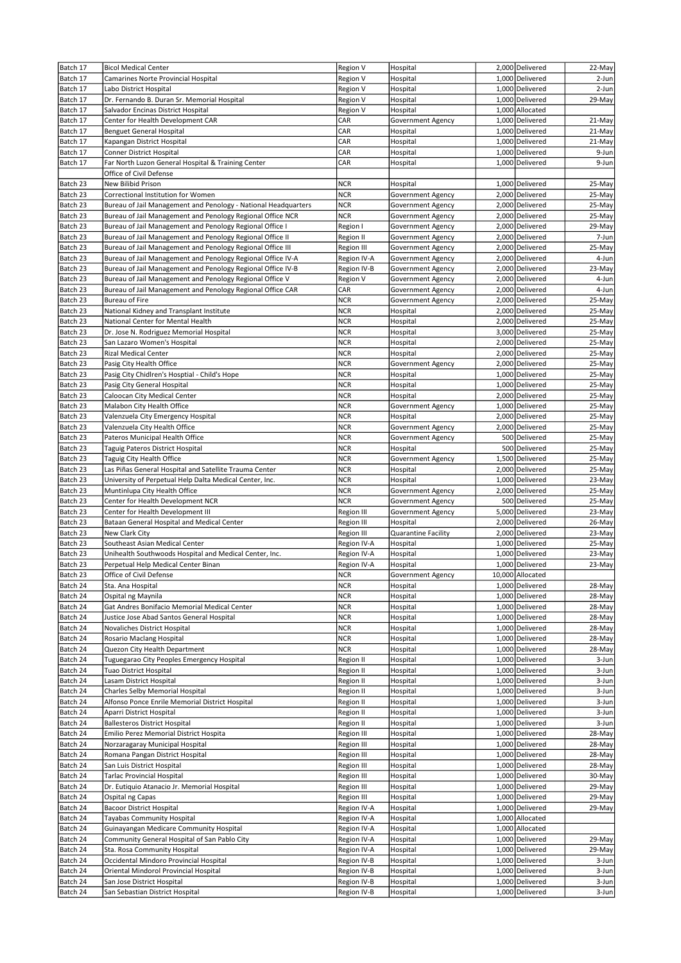| Batch 17             | <b>Bicol Medical Center</b>                                                                                                  | Region V                 | Hospital                                             | 2,000 Delivered                    | 22-May           |
|----------------------|------------------------------------------------------------------------------------------------------------------------------|--------------------------|------------------------------------------------------|------------------------------------|------------------|
| Batch 17             | Camarines Norte Provincial Hospital                                                                                          | Region V                 | Hospital                                             | 1,000 Delivered                    | 2-Jun            |
| Batch 17             | Labo District Hospital                                                                                                       | Region V                 | Hospital                                             | 1,000 Delivered                    | 2-Jun            |
| Batch 17             | Dr. Fernando B. Duran Sr. Memorial Hospital                                                                                  | Region V                 | Hospital                                             | 1,000 Delivered                    | 29-May           |
| Batch 17             | Salvador Encinas District Hospital                                                                                           | Region V                 | Hospital                                             | 1,000 Allocated                    |                  |
| Batch 17             | Center for Health Development CAR                                                                                            | CAR                      | Government Agency                                    | 1,000 Delivered                    | 21-May           |
| Batch 17             | Benguet General Hospital                                                                                                     | CAR                      | Hospital                                             | 1,000 Delivered                    | 21-May           |
| Batch 17             | Kapangan District Hospital                                                                                                   | CAR                      | Hospital                                             | 1,000 Delivered                    | 21-May           |
| Batch 17             | Conner District Hospital                                                                                                     | CAR                      | Hospital                                             | 1,000 Delivered                    | 9-Jun            |
| Batch 17             | Far North Luzon General Hospital & Training Center                                                                           | CAR                      | Hospital                                             | 1,000 Delivered                    | 9-Jun            |
|                      | Office of Civil Defense                                                                                                      |                          |                                                      |                                    |                  |
| Batch 23             | New Bilibid Prison                                                                                                           | <b>NCR</b><br><b>NCR</b> | Hospital                                             | 1,000 Delivered<br>2,000 Delivered | 25-May           |
| Batch 23<br>Batch 23 | Correctional Institution for Women                                                                                           | <b>NCR</b>               | <b>Government Agency</b><br><b>Government Agency</b> | 2,000 Delivered                    | 25-May<br>25-May |
| Batch 23             | Bureau of Jail Management and Penology - National Headquarters<br>Bureau of Jail Management and Penology Regional Office NCR | <b>NCR</b>               | <b>Government Agency</b>                             | 2,000 Delivered                    | 25-May           |
| Batch 23             | Bureau of Jail Management and Penology Regional Office I                                                                     | Region I                 | Government Agency                                    | 2,000 Delivered                    | 29-May           |
| Batch 23             | Bureau of Jail Management and Penology Regional Office II                                                                    | Region II                | Government Agency                                    | 2,000 Delivered                    | 7-Jun            |
| Batch 23             | Bureau of Jail Management and Penology Regional Office III                                                                   | <b>Region III</b>        | Government Agency                                    | 2,000 Delivered                    | 25-May           |
| Batch 23             | Bureau of Jail Management and Penology Regional Office IV-A                                                                  | Region IV-A              | Government Agency                                    | 2,000 Delivered                    | 4-Jun            |
| Batch 23             | Bureau of Jail Management and Penology Regional Office IV-B                                                                  | Region IV-B              | Government Agency                                    | 2,000 Delivered                    | 23-May           |
| Batch 23             | Bureau of Jail Management and Penology Regional Office V                                                                     | Region V                 | Government Agency                                    | 2,000 Delivered                    | 4-Jun            |
| Batch 23             | Bureau of Jail Management and Penology Regional Office CAR                                                                   | CAR                      | <b>Government Agency</b>                             | 2,000 Delivered                    | 4-Jun            |
| Batch 23             | Bureau of Fire                                                                                                               | <b>NCR</b>               | <b>Government Agency</b>                             | 2,000 Delivered                    | 25-May           |
| Batch 23             | National Kidney and Transplant Institute                                                                                     | <b>NCR</b>               | Hospital                                             | 2,000 Delivered                    | 25-May           |
| Batch 23             | National Center for Mental Health                                                                                            | <b>NCR</b>               | Hospital                                             | 2,000 Delivered                    | 25-May           |
| Batch 23             | Dr. Jose N. Rodriguez Memorial Hospital                                                                                      | <b>NCR</b>               | Hospital                                             | 3,000 Delivered                    | 25-May           |
| Batch 23             | San Lazaro Women's Hospital                                                                                                  | <b>NCR</b>               | Hospital                                             | 2,000 Delivered                    | 25-May           |
| Batch 23             | <b>Rizal Medical Center</b>                                                                                                  | <b>NCR</b>               | Hospital                                             | 2,000 Delivered                    | 25-May           |
| Batch 23             | Pasig City Health Office                                                                                                     | <b>NCR</b>               | Government Agency                                    | 2,000 Delivered                    | 25-May           |
| Batch 23             | Pasig City Chidlren's Hosptial - Child's Hope                                                                                | <b>NCR</b>               | Hospital                                             | 1,000 Delivered                    | 25-May           |
| Batch 23             | Pasig City General Hospital                                                                                                  | <b>NCR</b>               | Hospital                                             | 1,000 Delivered                    | 25-May           |
| Batch 23             | Caloocan City Medical Center                                                                                                 | <b>NCR</b>               | Hospital                                             | 2,000 Delivered                    | 25-May           |
| Batch 23             | Malabon City Health Office                                                                                                   | <b>NCR</b>               | Government Agency                                    | 1,000 Delivered                    | 25-May           |
| Batch 23             | Valenzuela City Emergency Hospital                                                                                           | <b>NCR</b>               | Hospital                                             | 2,000 Delivered                    | 25-May           |
| Batch 23             | Valenzuela City Health Office                                                                                                | <b>NCR</b>               | Government Agency                                    | 2,000 Delivered                    | 25-May           |
| Batch 23             | Pateros Municipal Health Office                                                                                              | <b>NCR</b>               | Government Agency                                    | 500 Delivered                      | 25-May           |
| Batch 23             | Taguig Pateros District Hospital                                                                                             | <b>NCR</b>               | Hospital                                             | 500 Delivered                      | 25-May           |
| Batch 23             | Taguig City Health Office                                                                                                    | <b>NCR</b>               | Government Agency                                    | 1,500 Delivered                    | 25-May           |
| Batch 23             | Las Piñas General Hospital and Satellite Trauma Center                                                                       | <b>NCR</b>               | Hospital                                             | 2,000 Delivered                    | 25-May           |
| Batch 23             | University of Perpetual Help Dalta Medical Center, Inc.                                                                      | <b>NCR</b>               | Hospital                                             | 1,000 Delivered                    | 23-May           |
| Batch 23             | Muntinlupa City Health Office                                                                                                | <b>NCR</b>               | Government Agency                                    | 2,000 Delivered                    | 25-May           |
| Batch 23             | Center for Health Development NCR<br>Center for Health Development III                                                       | <b>NCR</b>               | Government Agency                                    | 500 Delivered                      | 25-May           |
| Batch 23<br>Batch 23 | Bataan General Hospital and Medical Center                                                                                   | Region III<br>Region III | Government Agency<br>Hospital                        | 5,000 Delivered<br>2,000 Delivered | 23-May<br>26-May |
| Batch 23             | New Clark City                                                                                                               | Region III               | Quarantine Facility                                  | 2,000 Delivered                    | 23-May           |
| Batch 23             | Southeast Asian Medical Center                                                                                               | Region IV-A              | Hospital                                             | 1,000 Delivered                    | 25-May           |
| Batch 23             | Unihealth Southwoods Hospital and Medical Center, Inc.                                                                       | Region IV-A              | Hospital                                             | 1,000 Delivered                    | 23-May           |
| Batch 23             | Perpetual Help Medical Center Binan                                                                                          | Region IV-A              | Hospital                                             | 1,000 Delivered                    | 23-May           |
| Batch 23             | Office of Civil Defense                                                                                                      | <b>NCR</b>               | Government Agency                                    | 10,000 Allocated                   |                  |
| Batch 24             | Sta. Ana Hospital                                                                                                            | <b>NCR</b>               | Hospital                                             | 1,000 Delivered                    | 28-May           |
| Batch 24             | Ospital ng Maynila                                                                                                           | <b>NCR</b>               | Hospital                                             | 1,000 Delivered                    | 28-May           |
| Batch 24             | Gat Andres Bonifacio Memorial Medical Center                                                                                 | <b>NCR</b>               | Hospital                                             | 1,000 Delivered                    | 28-May           |
| Batch 24             | Justice Jose Abad Santos General Hospital                                                                                    | <b>NCR</b>               | Hospital                                             | 1,000 Delivered                    | 28-May           |
| Batch 24             | Novaliches District Hospital                                                                                                 | <b>NCR</b>               | Hospital                                             | 1,000 Delivered                    | 28-May           |
| Batch 24             | Rosario Maclang Hospital                                                                                                     | <b>NCR</b>               | Hospital                                             | 1,000 Delivered                    | 28-May           |
| Batch 24             | Quezon City Health Department                                                                                                | <b>NCR</b>               | Hospital                                             | 1,000 Delivered                    | 28-May           |
| Batch 24             | Tuguegarao City Peoples Emergency Hospital                                                                                   | Region II                | Hospital                                             | 1,000 Delivered                    | 3-Jun            |
| Batch 24             | Tuao District Hospital                                                                                                       | Region II                | Hospital                                             | 1,000 Delivered                    | 3-Jun            |
| Batch 24             | Lasam District Hospital                                                                                                      | Region II                | Hospital                                             | 1,000 Delivered                    | 3-Jun            |
| Batch 24             | Charles Selby Memorial Hospital                                                                                              | Region II                | Hospital                                             | 1,000 Delivered                    | 3-Jun            |
| Batch 24             | Alfonso Ponce Enrile Memorial District Hospital                                                                              | Region II                | Hospital                                             | 1,000 Delivered                    | 3-Jun            |
| Batch 24             | Aparri District Hospital                                                                                                     | Region II                | Hospital                                             | 1,000 Delivered                    | 3-Jun            |
| Batch 24             | <b>Ballesteros District Hospital</b>                                                                                         | Region II                | Hospital                                             | 1,000 Delivered                    | 3-Jun            |
| Batch 24             | Emilio Perez Memorial District Hospita                                                                                       | Region III               | Hospital                                             | 1,000 Delivered                    | 28-May           |
| Batch 24             | Norzaragaray Municipal Hospital                                                                                              | Region III               | Hospital                                             | 1,000 Delivered                    | 28-May           |
| Batch 24             | Romana Pangan District Hospital                                                                                              | Region III               | Hospital                                             | 1,000 Delivered                    | 28-May           |
| Batch 24             | San Luis District Hospital<br>Tarlac Provincial Hospital                                                                     | Region III               | Hospital                                             | 1,000 Delivered<br>1,000 Delivered | 28-May<br>30-May |
| Batch 24<br>Batch 24 | Dr. Eutiquio Atanacio Jr. Memorial Hospital                                                                                  | Region III<br>Region III | Hospital<br>Hospital                                 | 1,000 Delivered                    | 29-May           |
| Batch 24             | Ospital ng Capas                                                                                                             | Region III               | Hospital                                             | 1,000 Delivered                    | 29-May           |
| Batch 24             | <b>Bacoor District Hospital</b>                                                                                              | Region IV-A              | Hospital                                             | 1,000 Delivered                    | 29-May           |
| Batch 24             | Tayabas Community Hospital                                                                                                   | Region IV-A              | Hospital                                             | 1,000 Allocated                    |                  |
| Batch 24             | Guinayangan Medicare Community Hospital                                                                                      | Region IV-A              | Hospital                                             | 1,000 Allocated                    |                  |
| Batch 24             | Community General Hospital of San Pablo City                                                                                 | Region IV-A              | Hospital                                             | 1,000 Delivered                    | 29-May           |
| Batch 24             | Sta. Rosa Community Hospital                                                                                                 | Region IV-A              | Hospital                                             | 1,000 Delivered                    | 29-May           |
| Batch 24             | Occidental Mindoro Provincial Hospital                                                                                       | Region IV-B              | Hospital                                             | 1,000 Delivered                    | 3-Jun            |
| Batch 24             | Oriental Mindorol Provincial Hospital                                                                                        | Region IV-B              | Hospital                                             | 1,000 Delivered                    | 3-Jun            |
| Batch 24             | San Jose District Hospital                                                                                                   | Region IV-B              | Hospital                                             | 1,000 Delivered                    | 3-Jun            |
| Batch 24             | San Sebastian District Hospital                                                                                              | Region IV-B              | Hospital                                             | 1,000 Delivered                    | 3-Jun            |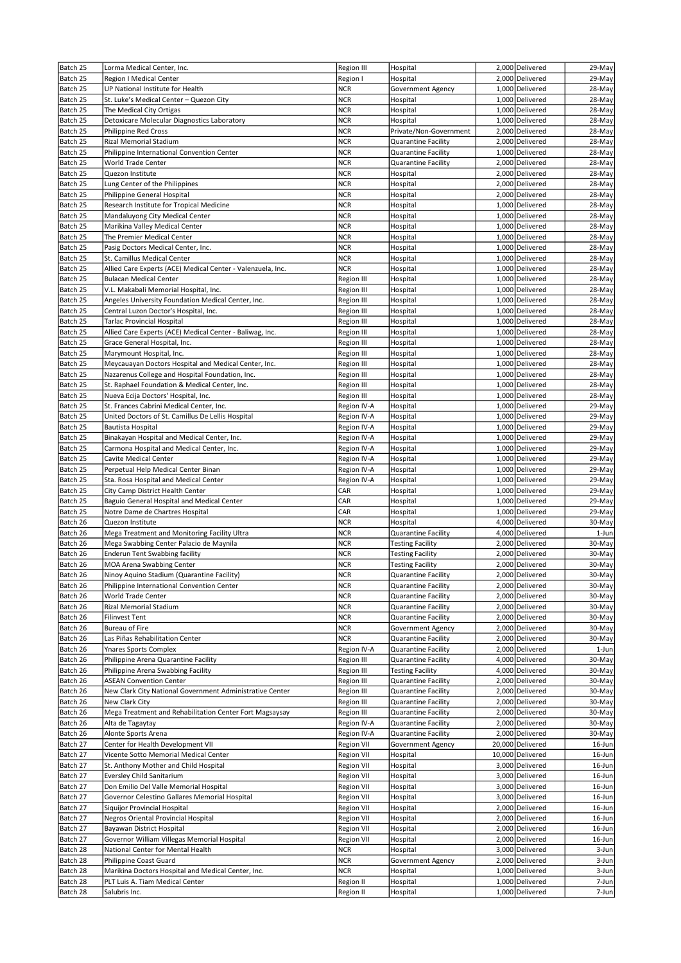| Batch 25 | Lorma Medical Center, Inc.                                  | Region III        | Hospital                   | 2,000 Delivered  | 29-May |
|----------|-------------------------------------------------------------|-------------------|----------------------------|------------------|--------|
| Batch 25 | Region I Medical Center                                     | Region I          | Hospital                   | 2,000 Delivered  | 29-May |
| Batch 25 | UP National Institute for Health                            | <b>NCR</b>        | Government Agency          | 1,000 Delivered  | 28-May |
| Batch 25 | St. Luke's Medical Center - Quezon City                     | <b>NCR</b>        | Hospital                   | 1,000 Delivered  | 28-May |
| Batch 25 | The Medical City Ortigas                                    | <b>NCR</b>        | Hospital                   | 1,000 Delivered  | 28-May |
| Batch 25 | Detoxicare Molecular Diagnostics Laboratory                 | <b>NCR</b>        | Hospital                   | 1,000 Delivered  | 28-May |
| Batch 25 | <b>Philippine Red Cross</b>                                 | <b>NCR</b>        | Private/Non-Government     | 2,000 Delivered  | 28-May |
| Batch 25 | Rizal Memorial Stadium                                      | <b>NCR</b>        | Quarantine Facility        | 2,000 Delivered  | 28-May |
| Batch 25 | Philippine International Convention Center                  | <b>NCR</b>        | Quarantine Facility        | 1,000 Delivered  | 28-May |
| Batch 25 | World Trade Center                                          | <b>NCR</b>        | <b>Quarantine Facility</b> | 2,000 Delivered  | 28-May |
| Batch 25 | Quezon Institute                                            | <b>NCR</b>        | Hospital                   | 2,000 Delivered  | 28-May |
| Batch 25 | Lung Center of the Philippines                              | <b>NCR</b>        | Hospital                   | 2,000 Delivered  | 28-May |
| Batch 25 | Philippine General Hospital                                 | <b>NCR</b>        | Hospital                   | 2,000 Delivered  | 28-May |
| Batch 25 | Research Institute for Tropical Medicine                    | <b>NCR</b>        | Hospital                   | 1,000 Delivered  | 28-May |
| Batch 25 | Mandaluyong City Medical Center                             | NCR               | Hospital                   | 1,000 Delivered  | 28-May |
| Batch 25 | Marikina Valley Medical Center                              | <b>NCR</b>        | Hospital                   | 1,000 Delivered  | 28-May |
| Batch 25 | The Premier Medical Center                                  | <b>NCR</b>        | Hospital                   | 1,000 Delivered  | 28-May |
| Batch 25 | Pasig Doctors Medical Center, Inc.                          | <b>NCR</b>        | Hospital                   | 1,000 Delivered  | 28-May |
| Batch 25 | St. Camillus Medical Center                                 | <b>NCR</b>        | Hospital                   | 1,000 Delivered  | 28-May |
| Batch 25 | Allied Care Experts (ACE) Medical Center - Valenzuela, Inc. | <b>NCR</b>        | Hospital                   | 1,000 Delivered  | 28-May |
| Batch 25 | <b>Bulacan Medical Center</b>                               | Region III        | Hospital                   | 1,000 Delivered  | 28-May |
| Batch 25 | V.L. Makabali Memorial Hospital, Inc.                       | Region III        | Hospital                   | 1,000 Delivered  | 28-May |
| Batch 25 | Angeles University Foundation Medical Center, Inc.          | <b>Region III</b> | Hospital                   | 1,000 Delivered  | 28-May |
| Batch 25 | Central Luzon Doctor's Hospital, Inc.                       | Region III        | Hospital                   | 1,000 Delivered  | 28-May |
| Batch 25 | <b>Tarlac Provincial Hospital</b>                           | Region III        | Hospital                   | 1.000 Delivered  | 28-May |
| Batch 25 | Allied Care Experts (ACE) Medical Center - Baliwag, Inc.    | Region III        | Hospital                   | 1,000 Delivered  | 28-May |
| Batch 25 | Grace General Hospital, Inc.                                | Region III        | Hospital                   | 1,000 Delivered  | 28-May |
| Batch 25 | Marymount Hospital, Inc.                                    | Region III        | Hospital                   | 1,000 Delivered  | 28-May |
| Batch 25 | Meycauayan Doctors Hospital and Medical Center, Inc.        | Region III        | Hospital                   | 1,000 Delivered  | 28-May |
| Batch 25 | Nazarenus College and Hospital Foundation, Inc.             | Region III        | Hospital                   | 1,000 Delivered  | 28-May |
| Batch 25 | St. Raphael Foundation & Medical Center, Inc.               | Region III        | Hospital                   | 1,000 Delivered  | 28-May |
| Batch 25 | Nueva Ecija Doctors' Hospital, Inc.                         | Region III        | Hospital                   | 1,000 Delivered  | 28-May |
| Batch 25 | St. Frances Cabrini Medical Center, Inc.                    | Region IV-A       | Hospital                   | 1,000 Delivered  | 29-May |
| Batch 25 | United Doctors of St. Camillus De Lellis Hospital           | Region IV-A       | Hospital                   | 1,000 Delivered  | 29-May |
| Batch 25 | Bautista Hospital                                           | Region IV-A       | Hospital                   | 1,000 Delivered  | 29-May |
| Batch 25 | Binakayan Hospital and Medical Center, Inc.                 | Region IV-A       | Hospital                   | 1,000 Delivered  | 29-May |
| Batch 25 | Carmona Hospital and Medical Center, Inc.                   | Region IV-A       | Hospital                   | 1,000 Delivered  | 29-May |
| Batch 25 | <b>Cavite Medical Center</b>                                | Region IV-A       | Hospital                   | 1,000 Delivered  | 29-May |
| Batch 25 | Perpetual Help Medical Center Binan                         | Region IV-A       | Hospital                   | 1,000 Delivered  | 29-May |
| Batch 25 | Sta. Rosa Hospital and Medical Center                       | Region IV-A       | Hospital                   | 1,000 Delivered  | 29-May |
| Batch 25 | City Camp District Health Center                            | CAR               | Hospital                   | 1,000 Delivered  | 29-May |
| Batch 25 | Baguio General Hospital and Medical Center                  | CAR               | Hospital                   | 1,000 Delivered  | 29-May |
| Batch 25 | Notre Dame de Chartres Hospital                             | CAR               | Hospital                   | 1,000 Delivered  | 29-May |
| Batch 26 | Quezon Institute                                            | <b>NCR</b>        | Hospital                   | 4,000 Delivered  | 30-May |
| Batch 26 | Mega Treatment and Monitoring Facility Ultra                | <b>NCR</b>        | Quarantine Facility        | 4,000 Delivered  | 1-Jun  |
| Batch 26 | Mega Swabbing Center Palacio de Maynila                     | <b>NCR</b>        | <b>Testing Facility</b>    | 2,000 Delivered  | 30-May |
| Batch 26 | Enderun Tent Swabbing facility                              | <b>NCR</b>        | <b>Testing Facility</b>    | 2,000 Delivered  | 30-May |
| Batch 26 | MOA Arena Swabbing Center                                   | <b>NCR</b>        | <b>Testing Facility</b>    | 2,000 Delivered  | 30-May |
| Batch 26 | Ninoy Aquino Stadium (Quarantine Facility)                  | <b>NCR</b>        | Quarantine Facility        | 2,000 Delivered  | 30-May |
| Batch 26 | Philippine International Convention Center                  | <b>NCR</b>        | Quarantine Facility        | 2,000 Delivered  | 30-May |
| Batch 26 | World Trade Center                                          | NCR               | Quarantine Facility        | 2,000 Delivered  | 30-May |
| Batch 26 | Rizal Memorial Stadium                                      | <b>NCR</b>        | Quarantine Facility        | 2,000 Delivered  | 30-May |
| Batch 26 | <b>Filinvest Tent</b>                                       | <b>NCR</b>        | Quarantine Facility        | 2,000 Delivered  | 30-May |
| Batch 26 | Bureau of Fire                                              | <b>NCR</b>        | Government Agency          | 2,000 Delivered  | 30-May |
| Batch 26 | Las Piñas Rehabilitation Center                             | <b>NCR</b>        | Quarantine Facility        | 2,000 Delivered  | 30-May |
| Batch 26 | <b>Ynares Sports Complex</b>                                | Region IV-A       | Quarantine Facility        | 2,000 Delivered  | 1-Jun  |
| Batch 26 | Philippine Arena Quarantine Facility                        | Region III        | Quarantine Facility        | 4,000 Delivered  | 30-May |
| Batch 26 | Philippine Arena Swabbing Facility                          | Region III        | <b>Testing Facility</b>    | 4,000 Delivered  | 30-May |
| Batch 26 | <b>ASEAN Convention Center</b>                              | Region III        | Quarantine Facility        | 2,000 Delivered  | 30-May |
| Batch 26 | New Clark City National Government Administrative Center    | Region III        | Quarantine Facility        | 2,000 Delivered  | 30-May |
| Batch 26 | New Clark City                                              | Region III        | Quarantine Facility        | 2,000 Delivered  | 30-May |
| Batch 26 | Mega Treatment and Rehabilitation Center Fort Magsaysay     | Region III        | Quarantine Facility        | 2,000 Delivered  | 30-May |
| Batch 26 | Alta de Tagaytay                                            | Region IV-A       | Quarantine Facility        | 2,000 Delivered  | 30-May |
| Batch 26 | Alonte Sports Arena                                         | Region IV-A       | Quarantine Facility        | 2,000 Delivered  | 30-May |
| Batch 27 | Center for Health Development VII                           | <b>Region VII</b> | Government Agency          | 20,000 Delivered | 16-Jun |
| Batch 27 | Vicente Sotto Memorial Medical Center                       | Region VII        | Hospital                   | 10,000 Delivered | 16-Jun |
| Batch 27 | St. Anthony Mother and Child Hospital                       | <b>Region VII</b> | Hospital                   | 3,000 Delivered  | 16-Jun |
| Batch 27 | Eversley Child Sanitarium                                   | <b>Region VII</b> | Hospital                   | 3,000 Delivered  | 16-Jun |
| Batch 27 | Don Emilio Del Valle Memorial Hospital                      | Region VII        | Hospital                   | 3,000 Delivered  | 16-Jun |
| Batch 27 | Governor Celestino Gallares Memorial Hospital               | <b>Region VII</b> | Hospital                   | 3,000 Delivered  | 16-Jun |
| Batch 27 | Siquijor Provincial Hospital                                | <b>Region VII</b> | Hospital                   | 2,000 Delivered  | 16-Jun |
| Batch 27 | Negros Oriental Provincial Hospital                         | <b>Region VII</b> | Hospital                   | 2,000 Delivered  | 16-Jun |
| Batch 27 | Bayawan District Hospital                                   | <b>Region VII</b> | Hospital                   | 2,000 Delivered  | 16-Jun |
| Batch 27 | Governor William Villegas Memorial Hospital                 | <b>Region VII</b> | Hospital                   | 2,000 Delivered  | 16-Jun |
| Batch 28 | National Center for Mental Health                           | <b>NCR</b>        | Hospital                   | 3,000 Delivered  | 3-Jun  |
| Batch 28 | Philippine Coast Guard                                      | NCR               | Government Agency          | 2,000 Delivered  | 3-Jun  |
| Batch 28 | Marikina Doctors Hospital and Medical Center, Inc.          | <b>NCR</b>        | Hospital                   | 1,000 Delivered  | 3-Jun  |
| Batch 28 | PLT Luis A. Tiam Medical Center                             | Region II         | Hospital                   | 1,000 Delivered  | 7-Jun  |
| Batch 28 | Salubris Inc.                                               | Region II         | Hospital                   | 1,000 Delivered  | 7-Jun  |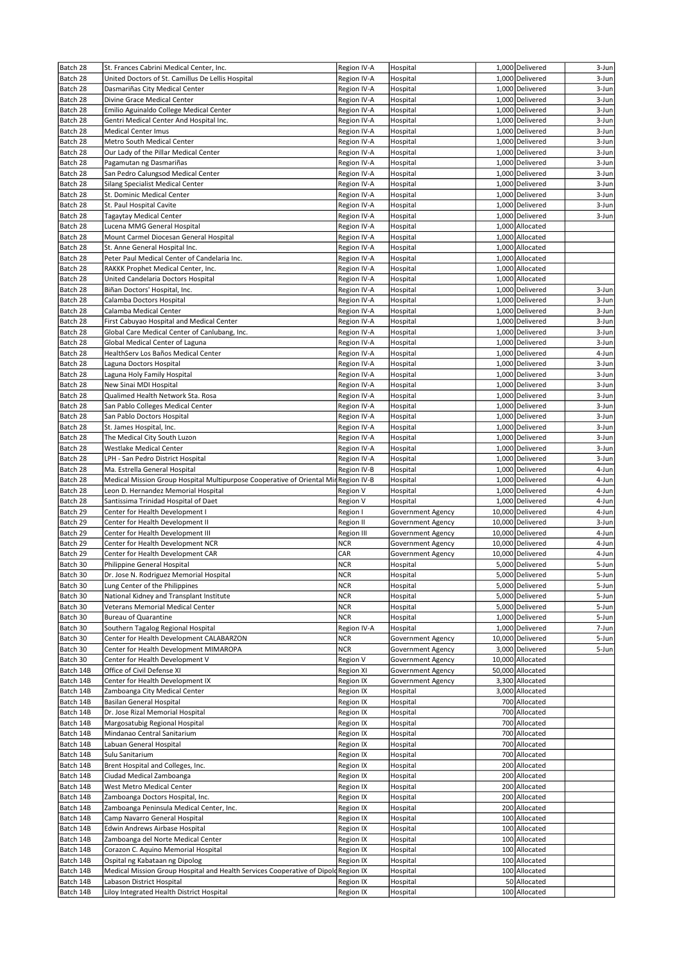| Batch 28               | St. Frances Cabrini Medical Center, Inc.                                            | Region IV-A                | Hospital                 | 1,000 Delivered                    | 3-Jun          |
|------------------------|-------------------------------------------------------------------------------------|----------------------------|--------------------------|------------------------------------|----------------|
| Batch 28               | United Doctors of St. Camillus De Lellis Hospital                                   | Region IV-A                | Hospital                 | 1,000 Delivered                    | 3-Jun          |
| Batch 28               | Dasmariñas City Medical Center                                                      | Region IV-A                | Hospital                 | 1,000 Delivered                    | 3-Jun          |
| Batch 28               | Divine Grace Medical Center                                                         | Region IV-A                | Hospital                 | 1,000 Delivered                    | 3-Jun          |
| Batch 28               | Emilio Aguinaldo College Medical Center                                             | Region IV-A                | Hospital                 | 1,000 Delivered                    | 3-Jun          |
| Batch 28               | Gentri Medical Center And Hospital Inc.                                             | Region IV-A                | Hospital                 | 1,000 Delivered                    | 3-Jun          |
| Batch 28               | <b>Medical Center Imus</b>                                                          | Region IV-A                | Hospital                 | 1,000 Delivered                    | 3-Jun          |
| Batch 28               | Metro South Medical Center                                                          | Region IV-A                | Hospital                 | 1,000 Delivered                    | 3-Jun          |
| Batch 28               | Our Lady of the Pillar Medical Center                                               | Region IV-A                | Hospital                 | 1,000 Delivered                    | 3-Jun          |
| Batch 28               | Pagamutan ng Dasmariñas                                                             | Region IV-A                | Hospital                 | 1,000 Delivered                    | 3-Jun          |
| Batch 28               | San Pedro Calungsod Medical Center                                                  | Region IV-A                | Hospital                 | 1,000 Delivered                    | 3-Jun          |
| Batch 28               | Silang Specialist Medical Center                                                    | Region IV-A                | Hospital                 | 1,000 Delivered                    | 3-Jun          |
| Batch 28               | St. Dominic Medical Center                                                          | Region IV-A                | Hospital                 | 1,000 Delivered                    | 3-Jun          |
| Batch 28               | St. Paul Hospital Cavite                                                            | Region IV-A                | Hospital                 | 1,000 Delivered                    | 3-Jun          |
| Batch 28               | <b>Tagaytay Medical Center</b>                                                      | Region IV-A                | Hospital                 | 1,000 Delivered                    | 3-Jun          |
| Batch 28               | Lucena MMG General Hospital                                                         | Region IV-A                | Hospital                 | 1,000 Allocated                    |                |
| Batch 28               | Mount Carmel Diocesan General Hospital                                              | Region IV-A                | Hospital                 | 1,000 Allocated                    |                |
| Batch 28               | St. Anne General Hospital Inc.                                                      | Region IV-A                | Hospital                 | 1,000 Allocated                    |                |
| Batch 28               | Peter Paul Medical Center of Candelaria Inc.                                        | Region IV-A                | Hospital                 | 1,000 Allocated                    |                |
| Batch 28               | RAKKK Prophet Medical Center, Inc.                                                  | Region IV-A                | Hospital                 | 1,000 Allocated                    |                |
| Batch 28               | United Candelaria Doctors Hospital                                                  | Region IV-A                | Hospital                 | 1,000 Allocated                    |                |
| Batch 28               | Biñan Doctors' Hospital, Inc.                                                       | Region IV-A                | Hospital                 | 1,000 Delivered                    | 3-Jun          |
| Batch 28<br>Batch 28   | Calamba Doctors Hospital<br>Calamba Medical Center                                  | Region IV-A<br>Region IV-A | Hospital<br>Hospital     | 1,000 Delivered<br>1,000 Delivered | 3-Jun<br>3-Jun |
| Batch 28               | First Cabuyao Hospital and Medical Center                                           | Region IV-A                | Hospital                 | 1,000 Delivered                    | 3-Jun          |
| Batch 28               | Global Care Medical Center of Canlubang, Inc.                                       | Region IV-A                | Hospital                 | 1,000 Delivered                    | 3-Jun          |
| Batch 28               | Global Medical Center of Laguna                                                     | Region IV-A                | Hospital                 | 1,000 Delivered                    | 3-Jun          |
| Batch 28               | HealthServ Los Baños Medical Center                                                 | Region IV-A                | Hospital                 | 1,000 Delivered                    | 4-Jun          |
| Batch 28               | Laguna Doctors Hospital                                                             | Region IV-A                | Hospital                 | 1,000 Delivered                    | 3-Jun          |
| Batch 28               | Laguna Holy Family Hospital                                                         | Region IV-A                | Hospital                 | 1,000 Delivered                    | 3-Jun          |
| Batch 28               | New Sinai MDI Hospital                                                              | Region IV-A                | Hospital                 | 1,000 Delivered                    | 3-Jun          |
| Batch 28               | Qualimed Health Network Sta. Rosa                                                   | Region IV-A                | Hospital                 | 1,000 Delivered                    | 3-Jun          |
| Batch 28               | San Pablo Colleges Medical Center                                                   | Region IV-A                | Hospital                 | 1,000 Delivered                    | 3-Jun          |
| Batch 28               | San Pablo Doctors Hospital                                                          | Region IV-A                | Hospital                 | 1,000 Delivered                    | 3-Jun          |
| Batch 28               | St. James Hospital, Inc.                                                            | Region IV-A                | Hospital                 | 1,000 Delivered                    | 3-Jun          |
| Batch 28               | The Medical City South Luzon                                                        | Region IV-A                | Hospital                 | 1,000 Delivered                    | 3-Jun          |
| Batch 28               | Westlake Medical Center                                                             | Region IV-A                | Hospital                 | 1,000 Delivered                    | 3-Jun          |
| Batch 28               | LPH - San Pedro District Hospital                                                   | Region IV-A                | Hospital                 | 1,000 Delivered                    | 3-Jun          |
| Batch 28               | Ma. Estrella General Hospital                                                       | Region IV-B                | Hospital                 | 1,000 Delivered                    | 4-Jun          |
| Batch 28               | Medical Mission Group Hospital Multipurpose Cooperative of Oriental Mir Region IV-B |                            | Hospital                 | 1,000 Delivered                    | 4-Jun          |
| Batch 28               | Leon D. Hernandez Memorial Hospital                                                 | Region V                   | Hospital                 | 1,000 Delivered                    | 4-Jun          |
| Batch 28               | Santissima Trinidad Hospital of Daet                                                | Region V                   | Hospital                 | 1,000 Delivered                    | 4-Jun          |
| Batch 29               | Center for Health Development I                                                     | Region I                   | Government Agency        | 10,000 Delivered                   | 4-Jun          |
| Batch 29               | Center for Health Development II                                                    | Region II                  | Government Agency        | 10,000 Delivered                   | 3-Jun          |
| Batch 29               | Center for Health Development III                                                   | <b>Region III</b>          | Government Agency        | 10,000 Delivered                   | 4-Jun          |
| Batch 29               | Center for Health Development NCR                                                   | <b>NCR</b>                 | Government Agency        | 10,000 Delivered                   | 4-Jun          |
| Batch 29               | Center for Health Development CAR                                                   | CAR                        | Government Agency        | 10,000 Delivered                   | 4-Jun          |
| Batch 30               | Philippine General Hospital                                                         | NCR                        | Hospital                 | 5,000 Delivered                    | 5-Jun          |
| Batch 30               | Dr. Jose N. Rodriguez Memorial Hospital                                             | <b>NCR</b>                 | Hospital                 | 5,000 Delivered                    | 5-Jun          |
| Batch 30               | Lung Center of the Philippines                                                      | <b>NCR</b>                 | Hospital                 | 5,000 Delivered                    | 5-Jun          |
| Batch 30               | National Kidney and Transplant Institute                                            | <b>NCR</b>                 | Hospital                 | 5,000 Delivered                    | 5-Jun          |
| Batch 30               | Veterans Memorial Medical Center                                                    | <b>NCR</b>                 | Hospital                 | 5,000 Delivered                    | 5-Jun          |
| Batch 30               | <b>Bureau of Quarantine</b>                                                         | <b>NCR</b>                 | Hospital                 | 1,000 Delivered                    | 5-Jun          |
| Batch 30               | Southern Tagalog Regional Hospital                                                  | Region IV-A                | Hospital                 | 1,000 Delivered                    | 7-Jun          |
| Batch 30               | Center for Health Development CALABARZON                                            | <b>NCR</b>                 | Government Agency        | 10,000 Delivered                   | 5-Jun          |
| Batch 30               | Center for Health Development MIMAROPA                                              | NCR                        | Government Agency        | 3,000 Delivered                    | 5-Jun          |
| Batch 30               | Center for Health Development V                                                     | Region V                   | Government Agency        | 10,000 Allocated                   |                |
| Batch 14B              | Office of Civil Defense XI                                                          | Region XI                  | <b>Government Agency</b> | 50,000 Allocated                   |                |
| Batch 14B              | Center for Health Development IX                                                    | Region IX                  | <b>Government Agency</b> | 3,300 Allocated                    |                |
| Batch 14B<br>Batch 14B | Zamboanga City Medical Center<br>Basilan General Hospital                           | Region IX<br>Region IX     | Hospital<br>Hospital     | 3,000 Allocated<br>700 Allocated   |                |
| Batch 14B              | Dr. Jose Rizal Memorial Hospital                                                    |                            |                          | 700 Allocated                      |                |
| Batch 14B              | Margosatubig Regional Hospital                                                      | Region IX<br>Region IX     | Hospital<br>Hospital     | 700 Allocated                      |                |
| Batch 14B              | Mindanao Central Sanitarium                                                         | Region IX                  | Hospital                 | 700 Allocated                      |                |
| Batch 14B              | Labuan General Hospital                                                             | Region IX                  | Hospital                 | 700 Allocated                      |                |
| Batch 14B              | Sulu Sanitarium                                                                     | Region IX                  | Hospital                 | 700 Allocated                      |                |
| Batch 14B              | Brent Hospital and Colleges, Inc.                                                   | Region IX                  | Hospital                 | 200 Allocated                      |                |
| Batch 14B              | Ciudad Medical Zamboanga                                                            | Region IX                  | Hospital                 | 200 Allocated                      |                |
| Batch 14B              | West Metro Medical Center                                                           | Region IX                  | Hospital                 | 200 Allocated                      |                |
| Batch 14B              | Zamboanga Doctors Hospital, Inc.                                                    | Region IX                  | Hospital                 | 200 Allocated                      |                |
| Batch 14B              | Zamboanga Peninsula Medical Center, Inc.                                            | Region IX                  | Hospital                 | 200 Allocated                      |                |
| Batch 14B              | Camp Navarro General Hospital                                                       | Region IX                  | Hospital                 | 100 Allocated                      |                |
| Batch 14B              | Edwin Andrews Airbase Hospital                                                      | Region IX                  | Hospital                 | 100 Allocated                      |                |
| Batch 14B              | Zamboanga del Norte Medical Center                                                  | Region IX                  | Hospital                 | 100 Allocated                      |                |
| Batch 14B              | Corazon C. Aquino Memorial Hospital                                                 | Region IX                  | Hospital                 | 100 Allocated                      |                |
| Batch 14B              | Ospital ng Kabataan ng Dipolog                                                      | Region IX                  | Hospital                 | 100 Allocated                      |                |
| Batch 14B              | Medical Mission Group Hospital and Health Services Cooperative of Dipold Region IX  |                            | Hospital                 | 100 Allocated                      |                |
| Batch 14B              | Labason District Hospital                                                           | Region IX                  | Hospital                 | 50 Allocated                       |                |
| Batch 14B              | Liloy Integrated Health District Hospital                                           | Region IX                  | Hospital                 | 100 Allocated                      |                |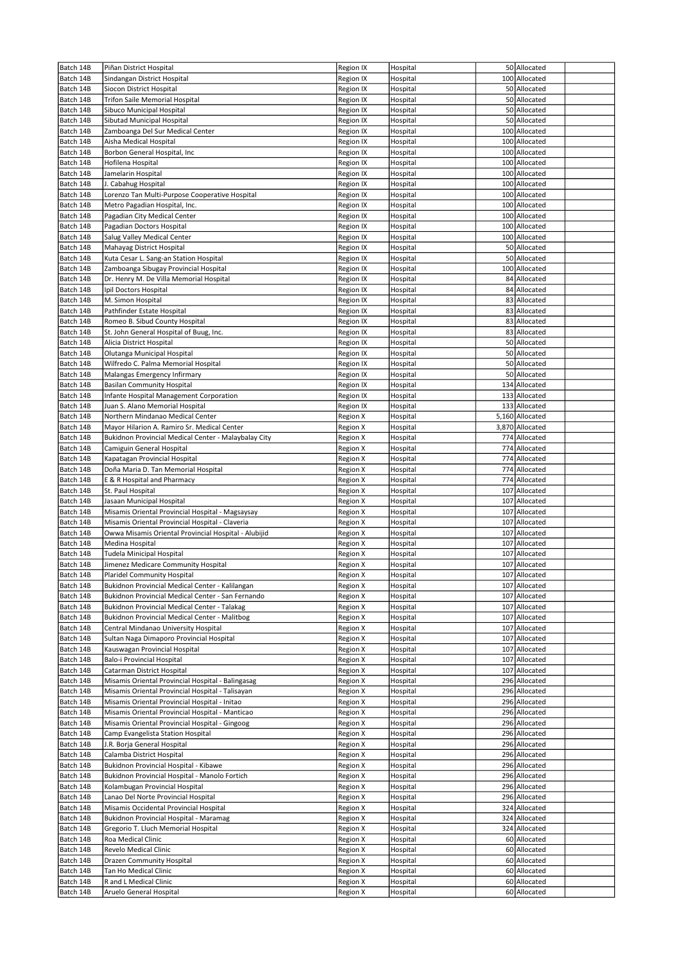| Batch 14B | Piñan District Hospital                              | Region IX | Hospital | 50 Allocated    |  |
|-----------|------------------------------------------------------|-----------|----------|-----------------|--|
| Batch 14B | Sindangan District Hospital                          | Region IX | Hospital | 100 Allocated   |  |
| Batch 14B | Siocon District Hospital                             | Region IX | Hospital | 50 Allocated    |  |
|           |                                                      |           |          |                 |  |
| Batch 14B | Trifon Saile Memorial Hospital                       | Region IX | Hospital | 50 Allocated    |  |
| Batch 14B | Sibuco Municipal Hospital                            | Region IX | Hospital | 50 Allocated    |  |
| Batch 14B | Sibutad Municipal Hospital                           | Region IX | Hospital | 50 Allocated    |  |
| Batch 14B | Zamboanga Del Sur Medical Center                     | Region IX | Hospital | 100 Allocated   |  |
| Batch 14B | Aisha Medical Hospital                               | Region IX | Hospital | 100 Allocated   |  |
| Batch 14B | Borbon General Hospital, Inc                         | Region IX | Hospital | 100 Allocated   |  |
| Batch 14B | Hofilena Hospital                                    | Region IX | Hospital | 100 Allocated   |  |
| Batch 14B | Jamelarin Hospital                                   | Region IX | Hospital | 100 Allocated   |  |
| Batch 14B |                                                      |           |          |                 |  |
|           | J. Cabahug Hospital                                  | Region IX | Hospital | 100 Allocated   |  |
| Batch 14B | Lorenzo Tan Multi-Purpose Cooperative Hospital       | Region IX | Hospital | 100 Allocated   |  |
| Batch 14B | Metro Pagadian Hospital, Inc.                        | Region IX | Hospital | 100 Allocated   |  |
| Batch 14B | Pagadian City Medical Center                         | Region IX | Hospital | 100 Allocated   |  |
| Batch 14B | Pagadian Doctors Hospital                            | Region IX | Hospital | 100 Allocated   |  |
| Batch 14B | Salug Valley Medical Center                          | Region IX | Hospital | 100 Allocated   |  |
| Batch 14B | Mahayag District Hospital                            | Region IX | Hospital | 50 Allocated    |  |
| Batch 14B | Kuta Cesar L. Sang-an Station Hospital               | Region IX | Hospital | 50 Allocated    |  |
|           |                                                      |           |          |                 |  |
| Batch 14B | Zamboanga Sibugay Provincial Hospital                | Region IX | Hospital | 100 Allocated   |  |
| Batch 14B | Dr. Henry M. De Villa Memorial Hospital              | Region IX | Hospital | 84 Allocated    |  |
| Batch 14B | Ipil Doctors Hospital                                | Region IX | Hospital | 84 Allocated    |  |
| Batch 14B | M. Simon Hospital                                    | Region IX | Hospital | 83 Allocated    |  |
| Batch 14B | Pathfinder Estate Hospital                           | Region IX | Hospital | 83 Allocated    |  |
| Batch 14B | Romeo B. Sibud County Hospital                       | Region IX | Hospital | 83 Allocated    |  |
| Batch 14B | St. John General Hospital of Buug, Inc.              | Region IX | Hospital | 83 Allocated    |  |
| Batch 14B | Alicia District Hospital                             | Region IX | Hospital | 50 Allocated    |  |
|           |                                                      |           |          |                 |  |
| Batch 14B | Olutanga Municipal Hospital                          | Region IX | Hospital | 50 Allocated    |  |
| Batch 14B | Wilfredo C. Palma Memorial Hospital                  | Region IX | Hospital | 50 Allocated    |  |
| Batch 14B | Malangas Emergency Infirmary                         | Region IX | Hospital | 50 Allocated    |  |
| Batch 14B | <b>Basilan Community Hospital</b>                    | Region IX | Hospital | 134 Allocated   |  |
| Batch 14B | Infante Hospital Management Corporation              | Region IX | Hospital | 133 Allocated   |  |
| Batch 14B | Juan S. Alano Memorial Hospital                      | Region IX | Hospital | 133 Allocated   |  |
| Batch 14B | Northern Mindanao Medical Center                     | Region X  | Hospital | 5,160 Allocated |  |
| Batch 14B | Mayor Hilarion A. Ramiro Sr. Medical Center          | Region X  | Hospital | 3,870 Allocated |  |
|           |                                                      |           |          |                 |  |
| Batch 14B | Bukidnon Provincial Medical Center - Malaybalay City | Region X  | Hospital | 774 Allocated   |  |
| Batch 14B | Camiguin General Hospital                            | Region X  | Hospital | 774 Allocated   |  |
| Batch 14B | Kapatagan Provincial Hospital                        | Region X  | Hospital | 774 Allocated   |  |
| Batch 14B | Doña Maria D. Tan Memorial Hospital                  | Region X  | Hospital | 774 Allocated   |  |
| Batch 14B | E & R Hospital and Pharmacy                          | Region X  | Hospital | 774 Allocated   |  |
| Batch 14B | St. Paul Hospital                                    | Region X  | Hospital | 107 Allocated   |  |
| Batch 14B | Jasaan Municipal Hospital                            | Region X  | Hospital | 107 Allocated   |  |
| Batch 14B | Misamis Oriental Provincial Hospital - Magsaysay     | Region X  | Hospital | 107 Allocated   |  |
|           |                                                      |           |          |                 |  |
| Batch 14B | Misamis Oriental Provincial Hospital - Claveria      | Region X  | Hospital | 107 Allocated   |  |
| Batch 14B | Owwa Misamis Oriental Provincial Hospital - Alubijid | Region X  | Hospital | 107 Allocated   |  |
| Batch 14B | Medina Hospital                                      | Region X  | Hospital | 107 Allocated   |  |
| Batch 14B | Tudela Minicipal Hospital                            | Region X  | Hospital | 107 Allocated   |  |
| Batch 14B | Jimenez Medicare Community Hospital                  | Region X  | Hospital | 107 Allocated   |  |
| Batch 14B | Plaridel Community Hospital                          | Region X  | Hospital | 107 Allocated   |  |
| Batch 14B | Bukidnon Provincial Medical Center - Kalilangan      | Region X  | Hospital | 107 Allocated   |  |
| Batch 14B | Bukidnon Provincial Medical Center - San Fernando    | Region X  | Hospital | 107 Allocated   |  |
| Batch 14B |                                                      |           |          | 107 Allocated   |  |
|           | Bukidnon Provincial Medical Center - Talakag         | Region X  | Hospital |                 |  |
| Batch 14B | Bukidnon Provincial Medical Center - Malitbog        | Region X  | Hospital | 107 Allocated   |  |
| Batch 14B | Central Mindanao University Hospital                 | Region X  | Hospital | 107 Allocated   |  |
| Batch 14B | Sultan Naga Dimaporo Provincial Hospital             | Region X  | Hospital | 107 Allocated   |  |
| Batch 14B | Kauswagan Provincial Hospital                        | Region X  | Hospital | 107 Allocated   |  |
| Batch 14B | Balo-i Provincial Hospital                           | Region X  | Hospital | 107 Allocated   |  |
| Batch 14B | Catarman District Hospital                           | Region X  | Hospital | 107 Allocated   |  |
| Batch 14B | Misamis Oriental Provincial Hospital - Balingasag    | Region X  | Hospital | 296 Allocated   |  |
| Batch 14B | Misamis Oriental Provincial Hospital - Talisayan     | Region X  | Hospital | 296 Allocated   |  |
|           |                                                      |           |          |                 |  |
| Batch 14B | Misamis Oriental Provincial Hospital - Initao        | Region X  | Hospital | 296 Allocated   |  |
| Batch 14B | Misamis Oriental Provincial Hospital - Manticao      | Region X  | Hospital | 296 Allocated   |  |
| Batch 14B | Misamis Oriental Provincial Hospital - Gingoog       | Region X  | Hospital | 296 Allocated   |  |
| Batch 14B | Camp Evangelista Station Hospital                    | Region X  | Hospital | 296 Allocated   |  |
| Batch 14B | J.R. Borja General Hospital                          | Region X  | Hospital | 296 Allocated   |  |
| Batch 14B | Calamba District Hospital                            | Region X  | Hospital | 296 Allocated   |  |
| Batch 14B | Bukidnon Provincial Hospital - Kibawe                | Region X  | Hospital | 296 Allocated   |  |
| Batch 14B | Bukidnon Provincial Hospital - Manolo Fortich        | Region X  | Hospital | 296 Allocated   |  |
|           |                                                      |           |          |                 |  |
| Batch 14B | Kolambugan Provincial Hospital                       | Region X  | Hospital | 296 Allocated   |  |
| Batch 14B | Lanao Del Norte Provincial Hospital                  | Region X  | Hospital | 296 Allocated   |  |
| Batch 14B | Misamis Occidental Provincial Hospital               | Region X  | Hospital | 324 Allocated   |  |
| Batch 14B | Bukidnon Provincial Hospital - Maramag               | Region X  | Hospital | 324 Allocated   |  |
| Batch 14B | Gregorio T. Lluch Memorial Hospital                  | Region X  | Hospital | 324 Allocated   |  |
| Batch 14B | Roa Medical Clinic                                   | Region X  | Hospital | 60 Allocated    |  |
| Batch 14B | Revelo Medical Clinic                                | Region X  | Hospital | 60 Allocated    |  |
| Batch 14B | Drazen Community Hospital                            | Region X  | Hospital | 60 Allocated    |  |
| Batch 14B | Tan Ho Medical Clinic                                | Region X  | Hospital | 60 Allocated    |  |
|           |                                                      |           |          |                 |  |
| Batch 14B | R and L Medical Clinic                               | Region X  | Hospital | 60 Allocated    |  |
| Batch 14B | Aruelo General Hospital                              | Region X  | Hospital | 60 Allocated    |  |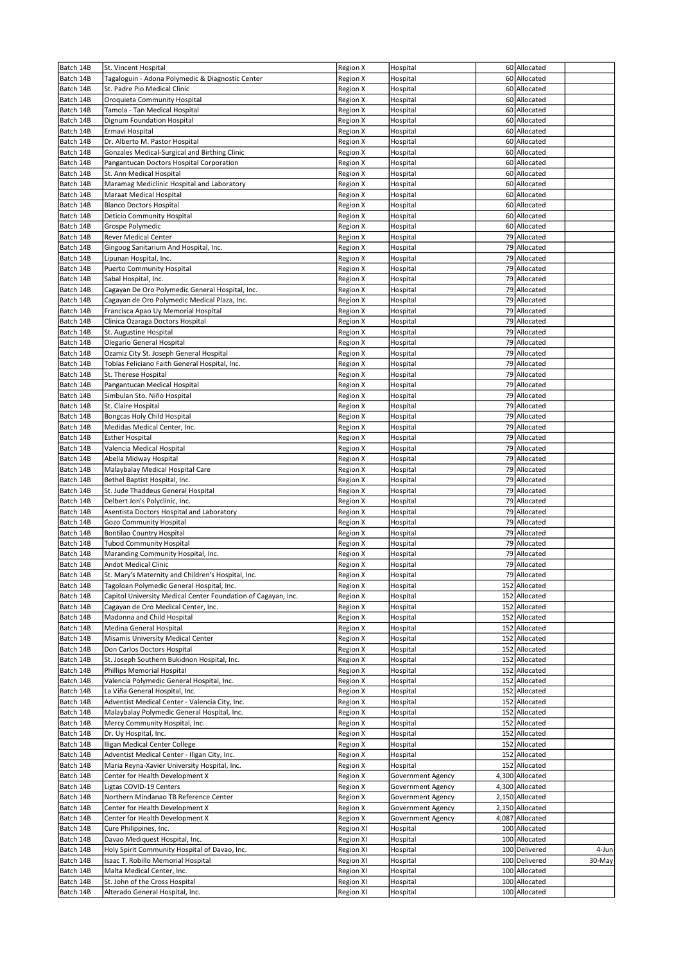| Batch 14B | St. Vincent Hospital                                          | Region X  | Hospital          | 60 Allocated    |        |
|-----------|---------------------------------------------------------------|-----------|-------------------|-----------------|--------|
| Batch 14B | Tagaloguin - Adona Polymedic & Diagnostic Center              | Region X  | Hospital          | 60 Allocated    |        |
|           |                                                               |           |                   |                 |        |
| Batch 14B | St. Padre Pio Medical Clinic                                  | Region X  | Hospital          | 60 Allocated    |        |
| Batch 14B | Oroquieta Community Hospital                                  | Region X  | Hospital          | 60 Allocated    |        |
| Batch 14B | Tamola - Tan Medical Hospital                                 | Region X  | Hospital          | 60 Allocated    |        |
| Batch 14B | Dignum Foundation Hospital                                    | Region X  | Hospital          | 60 Allocated    |        |
| Batch 14B | Ermavi Hospital                                               | Region X  | Hospital          | 60 Allocated    |        |
| Batch 14B | Dr. Alberto M. Pastor Hospital                                | Region X  | Hospital          | 60 Allocated    |        |
|           |                                                               |           |                   |                 |        |
| Batch 14B | Gonzales Medical-Surgical and Birthing Clinic                 | Region X  | Hospital          | 60 Allocated    |        |
| Batch 14B | Pangantucan Doctors Hospital Corporation                      | Region X  | Hospital          | 60 Allocated    |        |
| Batch 14B | St. Ann Medical Hospital                                      | Region X  | Hospital          | 60 Allocated    |        |
| Batch 14B | Maramag Mediclinic Hospital and Laboratory                    | Region X  | Hospital          | 60 Allocated    |        |
|           |                                                               |           |                   |                 |        |
| Batch 14B | Maraat Medical Hospital                                       | Region X  | Hospital          | 60 Allocated    |        |
| Batch 14B | <b>Blanco Doctors Hospital</b>                                | Region X  | Hospital          | 60 Allocated    |        |
| Batch 14B | Deticio Community Hospital                                    | Region X  | Hospital          | 60 Allocated    |        |
| Batch 14B | Grospe Polymedic                                              | Region X  | Hospital          | 60 Allocated    |        |
| Batch 14B | Rever Medical Center                                          | Region X  | Hospital          | 79 Allocated    |        |
|           |                                                               |           |                   |                 |        |
| Batch 14B | Gingoog Sanitarium And Hospital, Inc.                         | Region X  | Hospital          | 79 Allocated    |        |
| Batch 14B | Lipunan Hospital, Inc.                                        | Region X  | Hospital          | 79 Allocated    |        |
| Batch 14B | Puerto Community Hospital                                     | Region X  | Hospital          | 79 Allocated    |        |
| Batch 14B | Sabal Hospital, Inc.                                          | Region X  | Hospital          | 79 Allocated    |        |
| Batch 14B | Cagayan De Oro Polymedic General Hospital, Inc.               | Region X  | Hospital          | 79 Allocated    |        |
|           |                                                               |           |                   |                 |        |
| Batch 14B | Cagayan de Oro Polymedic Medical Plaza, Inc.                  | Region X  | Hospital          | 79 Allocated    |        |
| Batch 14B | Francisca Apao Uy Memorial Hospital                           | Region X  | Hospital          | 79 Allocated    |        |
| Batch 14B | Clinica Ozaraga Doctors Hospital                              | Region X  | Hospital          | 79 Allocated    |        |
| Batch 14B | St. Augustine Hospital                                        | Region X  | Hospital          | 79 Allocated    |        |
|           |                                                               |           |                   |                 |        |
| Batch 14B | Olegario General Hospital                                     | Region X  | Hospital          | 79 Allocated    |        |
| Batch 14B | Ozamiz City St. Joseph General Hospital                       | Region X  | Hospital          | 79 Allocated    |        |
| Batch 14B | Tobias Feliciano Faith General Hospital, Inc.                 | Region X  | Hospital          | 79 Allocated    |        |
| Batch 14B | St. Therese Hospital                                          | Region X  | Hospital          | 79 Allocated    |        |
|           |                                                               |           |                   |                 |        |
| Batch 14B | Pangantucan Medical Hospital                                  | Region X  | Hospital          | 79 Allocated    |        |
| Batch 14B | Simbulan Sto. Niño Hospital                                   | Region X  | Hospital          | 79 Allocated    |        |
| Batch 14B | St. Claire Hospital                                           | Region X  | Hospital          | 79 Allocated    |        |
| Batch 14B | Bongcas Holy Child Hospital                                   | Region X  | Hospital          | 79 Allocated    |        |
| Batch 14B | Medidas Medical Center, Inc.                                  |           | Hospital          | 79 Allocated    |        |
|           |                                                               | Region X  |                   |                 |        |
| Batch 14B | <b>Esther Hospital</b>                                        | Region X  | Hospital          | 79 Allocated    |        |
| Batch 14B | Valencia Medical Hospital                                     | Region X  | Hospital          | 79 Allocated    |        |
| Batch 14B | Abella Midway Hospital                                        | Region X  | Hospital          | 79 Allocated    |        |
| Batch 14B |                                                               |           |                   | 79 Allocated    |        |
|           | Malaybalay Medical Hospital Care                              | Region X  | Hospital          |                 |        |
| Batch 14B | Bethel Baptist Hospital, Inc.                                 | Region X  | Hospital          | 79 Allocated    |        |
| Batch 14B | St. Jude Thaddeus General Hospital                            | Region X  | Hospital          | 79 Allocated    |        |
| Batch 14B | Delbert Jon's Polyclinic, Inc.                                | Region X  | Hospital          | 79 Allocated    |        |
| Batch 14B | Asentista Doctors Hospital and Laboratory                     | Region X  | Hospital          | 79 Allocated    |        |
|           |                                                               |           |                   |                 |        |
| Batch 14B | Gozo Community Hospital                                       | Region X  | Hospital          | 79 Allocated    |        |
| Batch 14B | <b>Bontilao Country Hospital</b>                              | Region X  | Hospital          | 79 Allocated    |        |
| Batch 14B | <b>Tubod Community Hospital</b>                               | Region X  | Hospital          | 79 Allocated    |        |
| Batch 14B | Maranding Community Hospital, Inc.                            | Region X  | Hospital          | 79 Allocated    |        |
|           |                                                               |           |                   |                 |        |
| Batch 14B | <b>Andot Medical Clinic</b>                                   | Region X  | Hospital          | 79 Allocated    |        |
| Batch 14B | St. Mary's Maternity and Children's Hospital, Inc.            | Region X  | Hospital          | 79 Allocated    |        |
| Batch 14B | Tagoloan Polymedic General Hospital, Inc.                     | Region X  | Hospital          | 152 Allocated   |        |
| Batch 14B | Capitol University Medical Center Foundation of Cagayan, Inc. | Region X  | Hospital          | 152 Allocated   |        |
| Batch 14B | Cagayan de Oro Medical Center, Inc.                           |           |                   | 152 Allocated   |        |
|           |                                                               | Region X  | Hospital          |                 |        |
| Batch 14B | Madonna and Child Hospital                                    | Region X  | Hospital          | 152 Allocated   |        |
| Batch 14B | Medina General Hospital                                       | Region X  | Hospital          | 152 Allocated   |        |
| Batch 14B | Misamis University Medical Center                             | Region X  | Hospital          | 152 Allocated   |        |
| Batch 14B | Don Carlos Doctors Hospital                                   | Region X  | Hospital          | 152 Allocated   |        |
|           |                                                               |           |                   |                 |        |
| Batch 14B | St. Joseph Southern Bukidnon Hospital, Inc.                   | Region X  | Hospital          | 152 Allocated   |        |
| Batch 14B | Phillips Memorial Hospital                                    | Region X  | Hospital          | 152 Allocated   |        |
| Batch 14B | Valencia Polymedic General Hospital, Inc.                     | Region X  | Hospital          | 152 Allocated   |        |
| Batch 14B | La Viña General Hospital, Inc.                                | Region X  | Hospital          | 152 Allocated   |        |
| Batch 14B | Adventist Medical Center - Valencia City, Inc.                | Region X  | Hospital          | 152 Allocated   |        |
|           |                                                               |           |                   |                 |        |
| Batch 14B | Malaybalay Polymedic General Hospital, Inc.                   | Region X  | Hospital          | 152 Allocated   |        |
| Batch 14B | Mercy Community Hospital, Inc.                                | Region X  | Hospital          | 152 Allocated   |        |
| Batch 14B | Dr. Uy Hospital, Inc.                                         | Region X  | Hospital          | 152 Allocated   |        |
| Batch 14B | Iligan Medical Center College                                 | Region X  | Hospital          | 152 Allocated   |        |
|           |                                                               |           |                   |                 |        |
| Batch 14B | Adventist Medical Center - Iligan City, Inc.                  | Region X  | Hospital          | 152 Allocated   |        |
| Batch 14B | Maria Reyna-Xavier University Hospital, Inc.                  | Region X  | Hospital          | 152 Allocated   |        |
| Batch 14B | Center for Health Development X                               | Region X  | Government Agency | 4,300 Allocated |        |
| Batch 14B | Ligtas COVID-19 Centers                                       | Region X  | Government Agency | 4,300 Allocated |        |
|           |                                                               |           |                   |                 |        |
| Batch 14B | Northern Mindanao TB Reference Center                         | Region X  | Government Agency | 2,150 Allocated |        |
| Batch 14B | Center for Health Development X                               | Region X  | Government Agency | 2,150 Allocated |        |
| Batch 14B | Center for Health Development X                               | Region X  | Government Agency | 4,087 Allocated |        |
| Batch 14B | Cure Philippines, Inc.                                        | Region XI | Hospital          | 100 Allocated   |        |
|           |                                                               |           |                   |                 |        |
| Batch 14B | Davao Mediquest Hospital, Inc.                                | Region XI | Hospital          | 100 Allocated   |        |
| Batch 14B | Holy Spirit Community Hospital of Davao, Inc.                 | Region XI | Hospital          | 100 Delivered   | 4-Jun  |
| Batch 14B | Isaac T. Robillo Memorial Hospital                            | Region XI | Hospital          | 100 Delivered   | 30-May |
| Batch 14B | Malta Medical Center, Inc.                                    | Region XI | Hospital          | 100 Allocated   |        |
| Batch 14B | St. John of the Cross Hospital                                |           |                   | 100 Allocated   |        |
|           |                                                               | Region XI | Hospital          |                 |        |
| Batch 14B | Alterado General Hospital, Inc.                               | Region XI | Hospital          | 100 Allocated   |        |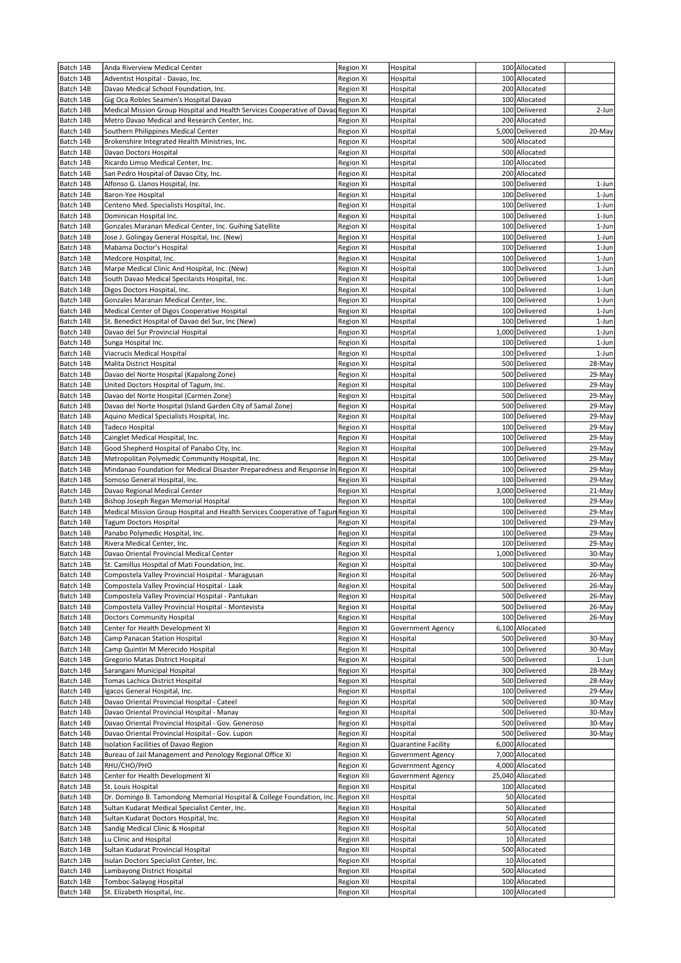| Batch 14B              | Anda Riverview Medical Center                                                                         | Region XI              | Hospital                                 | 100 Allocated                    |                  |
|------------------------|-------------------------------------------------------------------------------------------------------|------------------------|------------------------------------------|----------------------------------|------------------|
| Batch 14B              | Adventist Hospital - Davao, Inc.                                                                      | Region XI              | Hospital                                 | 100 Allocated                    |                  |
| Batch 14B              | Davao Medical School Foundation, Inc.                                                                 | Region XI              | Hospital                                 | 200 Allocated                    |                  |
| Batch 14B              | Gig Oca Robles Seamen's Hospital Davao                                                                | Region XI              | Hospital                                 | 100 Allocated                    |                  |
| Batch 14B              | Medical Mission Group Hospital and Health Services Cooperative of Davad Region XI                     |                        | Hospital                                 | 100 Delivered                    | 2-Jun            |
| Batch 14B              | Metro Davao Medical and Research Center, Inc.                                                         | Region XI              | Hospital                                 | 200 Allocated                    |                  |
| Batch 14B              | Southern Philippines Medical Center                                                                   | <b>Region XI</b>       | Hospital                                 | 5,000 Delivered                  | 20-May           |
| Batch 14B              | Brokenshire Integrated Health Ministries, Inc.                                                        | Region XI              | Hospital                                 | 500 Allocated                    |                  |
| Batch 14B              | Davao Doctors Hospital                                                                                | Region XI              | Hospital                                 | 500 Allocated                    |                  |
| Batch 14B              | Ricardo Limso Medical Center, Inc.                                                                    | Region XI              | Hospital                                 | 100 Allocated                    |                  |
| Batch 14B              | San Pedro Hospital of Davao City, Inc.                                                                | Region XI              | Hospital                                 | 200 Allocated                    |                  |
| Batch 14B              | Alfonso G. Llanos Hospital, Inc.                                                                      | Region XI              | Hospital                                 | 100 Delivered<br>100 Delivered   | 1-Jun            |
| Batch 14B              | Baron-Yee Hospital                                                                                    | Region XI              | Hospital                                 | 100 Delivered                    | 1-Jun            |
| Batch 14B<br>Batch 14B | Centeno Med. Specialists Hospital, Inc.<br>Dominican Hospital Inc.                                    | Region XI<br>Region XI | Hospital<br>Hospital                     | 100 Delivered                    | 1-Jun<br>1-Jun   |
| Batch 14B              | Gonzales Maranan Medical Center, Inc. Guihing Satellite                                               | Region XI              | Hospital                                 | 100 Delivered                    | 1-Jun            |
| Batch 14B              | Jose J. Golingay General Hospital, Inc. (New)                                                         | Region XI              | Hospital                                 | 100 Delivered                    | 1-Jun            |
| Batch 14B              | Mabama Doctor's Hospital                                                                              | Region XI              | Hospital                                 | 100 Delivered                    | 1-Jun            |
| Batch 14B              | Medcore Hospital, Inc.                                                                                | Region XI              | Hospital                                 | 100 Delivered                    | 1-Jun            |
| Batch 14B              | Marpe Medical Clinic And Hospital, Inc. (New)                                                         | Region XI              | Hospital                                 | 100 Delivered                    | 1-Jun            |
| Batch 14B              | South Davao Medical Specilaists Hospital, Inc.                                                        | Region XI              | Hospital                                 | 100 Delivered                    | 1-Jun            |
| Batch 14B              | Digos Doctors Hospital, Inc.                                                                          | Region XI              | Hospital                                 | 100 Delivered                    | 1-Jun            |
| Batch 14B              | Gonzales Maranan Medical Center, Inc.                                                                 | Region XI              | Hospital                                 | 100 Delivered                    | 1-Jun            |
| Batch 14B              | Medical Center of Digos Cooperative Hospital                                                          | Region XI              | Hospital                                 | 100 Delivered                    | 1-Jun            |
| Batch 14B              | St. Benedict Hospital of Davao del Sur, Inc (New)                                                     | Region XI              | Hospital                                 | 100 Delivered                    | 1-Jun            |
| Batch 14B              | Davao del Sur Provincial Hospital                                                                     | Region XI              | Hospital                                 | 1,000 Delivered                  | 1-Jun            |
| Batch 14B              | Sunga Hospital Inc.                                                                                   | Region XI              | Hospital                                 | 100 Delivered                    | 1-Jun            |
| Batch 14B              | Viacrucis Medical Hospital                                                                            | Region XI              | Hospital                                 | 100 Delivered                    | 1-Jun            |
| Batch 14B              | Malita District Hospital                                                                              | Region XI              | Hospital                                 | 500 Delivered                    | 28-May           |
| Batch 14B              | Davao del Norte Hospital (Kapalong Zone)                                                              | Region XI              | Hospital                                 | 500 Delivered                    | 29-May           |
| Batch 14B              | United Doctors Hospital of Tagum, Inc.                                                                | Region XI              | Hospital                                 | 100 Delivered                    | 29-May           |
| Batch 14B              | Davao del Norte Hospital (Carmen Zone)                                                                | Region XI              | Hospital                                 | 500 Delivered                    | 29-May           |
| Batch 14B              | Davao del Norte Hospital (Island Garden City of Samal Zone)                                           | Region XI              | Hospital                                 | 500 Delivered                    | 29-May           |
| Batch 14B              | Aquino Medical Specialists Hospital, Inc.                                                             | Region XI              | Hospital                                 | 100 Delivered                    | 29-May           |
| Batch 14B              | Tadeco Hospital                                                                                       | Region XI              | Hospital                                 | 100 Delivered                    | 29-May           |
| Batch 14B              | Cainglet Medical Hospital, Inc.                                                                       | Region XI              | Hospital                                 | 100 Delivered                    | 29-May           |
| Batch 14B              | Good Shepherd Hospital of Panabo City, Inc.                                                           | Region XI              | Hospital                                 | 100 Delivered                    | 29-May           |
| Batch 14B              | Metropolitan Polymedic Community Hospital, Inc.                                                       | Region XI              | Hospital                                 | 100 Delivered                    | 29-May           |
| Batch 14B              | Mindanao Foundation for Medical Disaster Preparedness and Response In                                 | Region XI              | Hospital                                 | 100 Delivered                    | 29-May           |
| Batch 14B<br>Batch 14B | Somoso General Hospital, Inc.<br>Davao Regional Medical Center                                        | Region XI<br>Region XI | Hospital<br>Hospital                     | 100 Delivered<br>3,000 Delivered | 29-May<br>21-May |
| Batch 14B              | Bishop Joseph Regan Memorial Hospital                                                                 | Region XI              | Hospital                                 | 100 Delivered                    | 29-May           |
| Batch 14B              | Medical Mission Group Hospital and Health Services Cooperative of Tagun Region XI                     |                        | Hospital                                 | 100 Delivered                    | 29-May           |
| Batch 14B              | Tagum Doctors Hospital                                                                                | Region XI              | Hospital                                 | 100 Delivered                    | 29-May           |
| Batch 14B              | Panabo Polymedic Hospital, Inc.                                                                       | Region XI              | Hospital                                 | 100 Delivered                    | 29-May           |
| Batch 14B              | Rivera Medical Center, Inc.                                                                           | Region XI              | Hospital                                 | 100 Delivered                    | 29-May           |
| Batch 14B              | Davao Oriental Provincial Medical Center                                                              | Region XI              | Hospital                                 | 1,000 Delivered                  | 30-May           |
| Batch 14B              | St. Camillus Hospital of Mati Foundation, Inc.                                                        | <b>Region XI</b>       | Hospital                                 | 100 Delivered                    | 30-May           |
| Batch 14B              | Compostela Valley Provincial Hospital - Maragusan                                                     | Region XI              | Hospital                                 | 500 Delivered                    | 26-May           |
| Batch 14B              | Compostela Valley Provincial Hospital - Laak                                                          | Region XI              | Hospital                                 | 500 Delivered                    | 26-May           |
| Batch 14B              | Compostela Valley Provincial Hospital - Pantukan                                                      | Region XI              | Hospital                                 | 500 Delivered                    | 26-May           |
| Batch 14B              | Compostela Valley Provincial Hospital - Montevista                                                    | Region XI              | Hospital                                 | 500 Delivered                    | 26-May           |
| Batch 14B              | <b>Doctors Community Hospital</b>                                                                     | Region XI              | Hospital                                 | 100 Delivered                    | 26-May           |
| Batch 14B              | Center for Health Development XI                                                                      | Region XI              | Government Agency                        | 6,100 Allocated                  |                  |
| Batch 14B              | Camp Panacan Station Hospital                                                                         | Region XI              | Hospital                                 | 500 Delivered                    | 30-May           |
| Batch 14B              | Camp Quintin M Merecido Hospital                                                                      | Region XI              | Hospital                                 | 100 Delivered                    | 30-May           |
| Batch 14B              | Gregorio Matas District Hospital                                                                      | Region XI              | Hospital                                 | 500 Delivered                    | 1-Jun            |
| Batch 14B              | Sarangani Municipal Hospital                                                                          | Region XI              | Hospital                                 | 300 Delivered                    | 28-May           |
| Batch 14B              | Tomas Lachica District Hospital                                                                       | Region XI              | Hospital                                 | 500 Delivered                    | 28-May           |
| Batch 14B              | Igacos General Hospital, Inc.                                                                         | Region XI              | Hospital                                 | 100 Delivered                    | 29-May           |
| Batch 14B              | Davao Oriental Provincial Hospital - Cateel                                                           | Region XI              | Hospital                                 | 500 Delivered                    | 30-May           |
| Batch 14B              | Davao Oriental Provincial Hospital - Manay                                                            | Region XI              | Hospital                                 | 500 Delivered                    | 30-May           |
| Batch 14B<br>Batch 14B | Davao Oriental Provincial Hospital - Gov. Generoso<br>Davao Oriental Provincial Hospital - Gov. Lupon | Region XI<br>Region XI | Hospital<br>Hospital                     | 500 Delivered<br>500 Delivered   | 30-May<br>30-May |
| Batch 14B              | Isolation Facilities of Davao Region                                                                  |                        |                                          | 6,000 Allocated                  |                  |
| Batch 14B              | Bureau of Jail Management and Penology Regional Office XI                                             | Region XI<br>Region XI | Quarantine Facility<br>Government Agency | 7,000 Allocated                  |                  |
| Batch 14B              | RHU/CHO/PHO                                                                                           | Region XI              | Government Agency                        | 4,000 Allocated                  |                  |
| Batch 14B              | Center for Health Development XI                                                                      | <b>Region XII</b>      | Government Agency                        | 25,040 Allocated                 |                  |
| Batch 14B              | St. Louis Hospital                                                                                    | Region XII             | Hospital                                 | 100 Allocated                    |                  |
| Batch 14B              | Dr. Domingo B. Tamondong Memorial Hospital & College Foundation, Inc.                                 | <b>Region XII</b>      | Hospital                                 | 50 Allocated                     |                  |
| Batch 14B              | Sultan Kudarat Medical Specialist Center, Inc.                                                        | Region XII             | Hospital                                 | 50 Allocated                     |                  |
| Batch 14B              | Sultan Kudarat Doctors Hospital, Inc.                                                                 | Region XII             | Hospital                                 | 50 Allocated                     |                  |
| Batch 14B              | Sandig Medical Clinic & Hospital                                                                      | <b>Region XII</b>      | Hospital                                 | 50 Allocated                     |                  |
| Batch 14B              | Lu Clinic and Hospital                                                                                | <b>Region XII</b>      | Hospital                                 | 10 Allocated                     |                  |
| Batch 14B              | Sultan Kudarat Provincial Hospital                                                                    | Region XII             | Hospital                                 | 500 Allocated                    |                  |
| Batch 14B              | Isulan Doctors Specialist Center, Inc.                                                                | <b>Region XII</b>      | Hospital                                 | 10 Allocated                     |                  |
| Batch 14B              | Lambayong District Hospital                                                                           | Region XII             | Hospital                                 | 500 Allocated                    |                  |
| Batch 14B              | Tomboc-Salayog Hospital                                                                               | Region XII             | Hospital                                 | 100 Allocated                    |                  |
| Batch 14B              | St. Elizabeth Hospital, Inc.                                                                          | Region XII             | Hospital                                 | 100 Allocated                    |                  |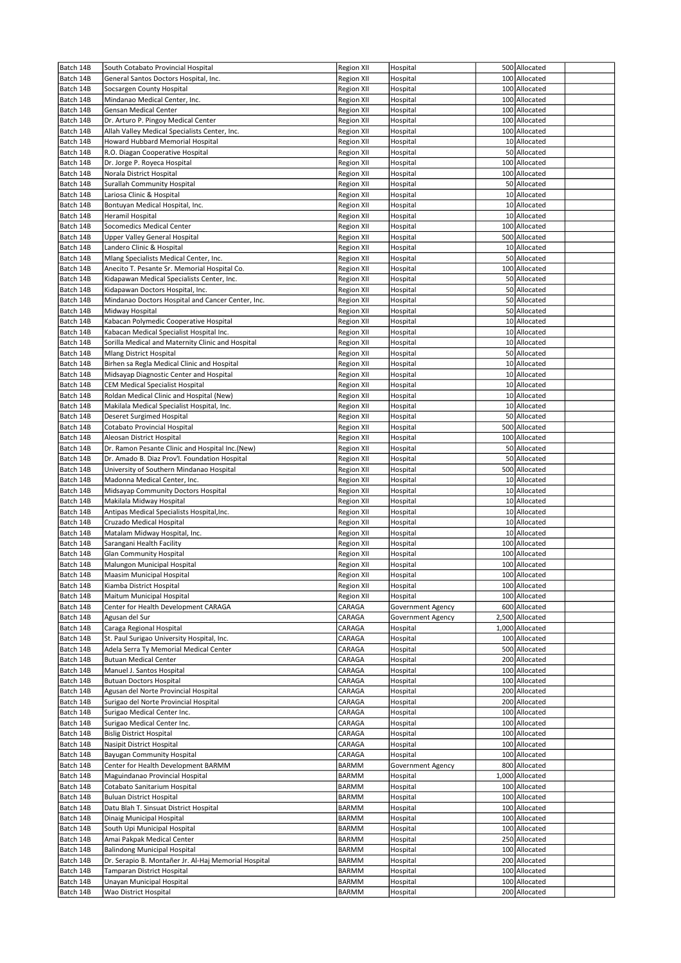| Batch 14B              | South Cotabato Provincial Hospital                                     | <b>Region XII</b> | Hospital             | 500 Allocated                  |  |
|------------------------|------------------------------------------------------------------------|-------------------|----------------------|--------------------------------|--|
| Batch 14B              | General Santos Doctors Hospital, Inc.                                  | Region XII        | Hospital             | 100 Allocated                  |  |
| Batch 14B              | Socsargen County Hospital                                              | Region XII        | Hospital             | 100 Allocated                  |  |
| Batch 14B              | Mindanao Medical Center, Inc.                                          | Region XII        | Hospital             | 100 Allocated                  |  |
| Batch 14B              | Gensan Medical Center                                                  | Region XII        | Hospital             | 100 Allocated                  |  |
| Batch 14B              | Dr. Arturo P. Pingoy Medical Center                                    | Region XII        | Hospital             | 100 Allocated                  |  |
| Batch 14B              | Allah Valley Medical Specialists Center, Inc.                          | Region XII        | Hospital             | 100 Allocated                  |  |
| Batch 14B              | Howard Hubbard Memorial Hospital                                       | Region XII        | Hospital             | 10 Allocated                   |  |
| Batch 14B              | R.O. Diagan Cooperative Hospital                                       | Region XII        | Hospital             | 50 Allocated                   |  |
| Batch 14B              | Dr. Jorge P. Royeca Hospital                                           | Region XII        | Hospital             | 100 Allocated                  |  |
| Batch 14B              | Norala District Hospital                                               | <b>Region XII</b> | Hospital             | 100 Allocated                  |  |
| Batch 14B              | Surallah Community Hospital                                            | Region XII        | Hospital             | 50 Allocated                   |  |
| Batch 14B              | Lariosa Clinic & Hospital                                              | Region XII        | Hospital             | 10 Allocated                   |  |
| Batch 14B              | Bontuyan Medical Hospital, Inc.                                        | Region XII        | Hospital             | 10 Allocated                   |  |
| Batch 14B              | Heramil Hospital                                                       | Region XII        | Hospital             | 10 Allocated                   |  |
| Batch 14B              | <b>Socomedics Medical Center</b>                                       | <b>Region XII</b> | Hospital             | 100 Allocated                  |  |
| Batch 14B              | Upper Valley General Hospital                                          | Region XII        | Hospital             | 500 Allocated                  |  |
| Batch 14B              | Landero Clinic & Hospital                                              | Region XII        | Hospital             | 10 Allocated                   |  |
| Batch 14B              | Mlang Specialists Medical Center, Inc.                                 | Region XII        | Hospital             | 50 Allocated                   |  |
| Batch 14B              | Anecito T. Pesante Sr. Memorial Hospital Co.                           | Region XII        | Hospital             | 100 Allocated                  |  |
| Batch 14B              | Kidapawan Medical Specialists Center, Inc.                             | Region XII        | Hospital             | 50 Allocated                   |  |
| Batch 14B              | Kidapawan Doctors Hospital, Inc.                                       | <b>Region XII</b> | Hospital             | 50 Allocated                   |  |
| Batch 14B              | Mindanao Doctors Hospital and Cancer Center, Inc.                      | Region XII        | Hospital             | 50 Allocated                   |  |
| Batch 14B              | Midway Hospital                                                        | Region XII        | Hospital             | 50 Allocated                   |  |
| Batch 14B              | Kabacan Polymedic Cooperative Hospital                                 | Region XII        | Hospital             | 10 Allocated                   |  |
| Batch 14B              | Kabacan Medical Specialist Hospital Inc.                               | <b>Region XII</b> | Hospital             | 10 Allocated                   |  |
| Batch 14B              | Sorilla Medical and Maternity Clinic and Hospital                      | <b>Region XII</b> | Hospital             | 10 Allocated                   |  |
| Batch 14B              | <b>Mlang District Hospital</b>                                         | Region XII        | Hospital             | 50 Allocated                   |  |
| Batch 14B              | Birhen sa Regla Medical Clinic and Hospital                            | Region XII        | Hospital             | 10 Allocated                   |  |
| Batch 14B              | Midsayap Diagnostic Center and Hospital                                | Region XII        | Hospital             | 10 Allocated                   |  |
| Batch 14B              | CEM Medical Specialist Hospital                                        | Region XII        | Hospital             | 10 Allocated                   |  |
| Batch 14B              | Roldan Medical Clinic and Hospital (New)                               | Region XII        | Hospital             | 10 Allocated                   |  |
| Batch 14B              | Makilala Medical Specialist Hospital, Inc.                             | Region XII        | Hospital             | 10 Allocated                   |  |
| Batch 14B              | Deseret Surgimed Hospital                                              | Region XII        | Hospital             | 50 Allocated                   |  |
| Batch 14B              | Cotabato Provincial Hospital                                           | Region XII        | Hospital             | 500 Allocated                  |  |
| Batch 14B              | Aleosan District Hospital                                              | Region XII        | Hospital             | 100 Allocated                  |  |
| Batch 14B              | Dr. Ramon Pesante Clinic and Hospital Inc.(New)                        | Region XII        | Hospital             | 50 Allocated                   |  |
| Batch 14B              | Dr. Amado B. Diaz Prov'l. Foundation Hospital                          | Region XII        | Hospital             | 50 Allocated                   |  |
| Batch 14B              | University of Southern Mindanao Hospital                               | Region XII        | Hospital             | 500 Allocated                  |  |
| Batch 14B              | Madonna Medical Center, Inc.                                           | Region XII        | Hospital             | 10 Allocated                   |  |
| Batch 14B              | Midsayap Community Doctors Hospital                                    | Region XII        | Hospital             | 10 Allocated                   |  |
| Batch 14B              | Makilala Midway Hospital                                               | Region XII        | Hospital             | 10 Allocated                   |  |
| Batch 14B              | Antipas Medical Specialists Hospital, Inc.                             | Region XII        | Hospital             | 10 Allocated                   |  |
| Batch 14B              | Cruzado Medical Hospital                                               | <b>Region XII</b> | Hospital             | 10 Allocated                   |  |
| Batch 14B              | Matalam Midway Hospital, Inc.                                          | Region XII        | Hospital             | 10 Allocated                   |  |
| Batch 14B              | Sarangani Health Facility                                              | <b>Region XII</b> | Hospital             | 100 Allocated                  |  |
| Batch 14B              | <b>Glan Community Hospital</b>                                         | Region XII        | Hospital             | 100 Allocated                  |  |
| Batch 14B              | Malungon Municipal Hospital                                            | <b>Region XII</b> | Hospital             | 100 Allocated                  |  |
| Batch 14B              | Maasim Municipal Hospital                                              | Region XII        | Hospital             | 100 Allocated                  |  |
| Batch 14B              | Kiamba District Hospital                                               | Region XII        | Hospital             | 100 Allocated                  |  |
| Batch 14B              | Maitum Municipal Hospital                                              | <b>Region XII</b> | Hospital             | 100 Allocated                  |  |
| Batch 14B              | Center for Health Development CARAGA                                   | CARAGA            | Government Agency    | 600 Allocated                  |  |
| Batch 14B              | Agusan del Sur                                                         | CARAGA            | Government Agency    | 2,500 Allocated                |  |
| Batch 14B              | Caraga Regional Hospital<br>St. Paul Surigao University Hospital, Inc. | CARAGA            | Hospital             | 1,000 Allocated                |  |
| Batch 14B              |                                                                        | CARAGA            | Hospital             | 100 Allocated                  |  |
| Batch 14B<br>Batch 14B | Adela Serra Ty Memorial Medical Center<br><b>Butuan Medical Center</b> | CARAGA            | Hospital             | 500 Allocated<br>200 Allocated |  |
| Batch 14B              | Manuel J. Santos Hospital                                              | CARAGA<br>CARAGA  | Hospital<br>Hospital | 100 Allocated                  |  |
| Batch 14B              | <b>Butuan Doctors Hospital</b>                                         | CARAGA            | Hospital             | 100 Allocated                  |  |
| Batch 14B              | Agusan del Norte Provincial Hospital                                   | CARAGA            | Hospital             | 200 Allocated                  |  |
| Batch 14B              | Surigao del Norte Provincial Hospital                                  | CARAGA            | Hospital             | 200 Allocated                  |  |
| Batch 14B              | Surigao Medical Center Inc.                                            | CARAGA            | Hospital             | 100 Allocated                  |  |
| Batch 14B              | Surigao Medical Center Inc.                                            | CARAGA            | Hospital             | 100 Allocated                  |  |
| Batch 14B              | <b>Bislig District Hospital</b>                                        | CARAGA            | Hospital             | 100 Allocated                  |  |
| Batch 14B              | Nasipit District Hospital                                              | CARAGA            | Hospital             | 100 Allocated                  |  |
| Batch 14B              | Bayugan Community Hospital                                             | CARAGA            | Hospital             | 100 Allocated                  |  |
| Batch 14B              | Center for Health Development BARMM                                    | BARMM             | Government Agency    | 800 Allocated                  |  |
| Batch 14B              | Maguindanao Provincial Hospital                                        | BARMM             | Hospital             | 1,000 Allocated                |  |
| Batch 14B              | Cotabato Sanitarium Hospital                                           | <b>BARMM</b>      | Hospital             | 100 Allocated                  |  |
| Batch 14B              | <b>Buluan District Hospital</b>                                        | BARMM             | Hospital             | 100 Allocated                  |  |
| Batch 14B              | Datu Blah T. Sinsuat District Hospital                                 | <b>BARMM</b>      | Hospital             | 100 Allocated                  |  |
| Batch 14B              | Dinaig Municipal Hospital                                              | BARMM             | Hospital             | 100 Allocated                  |  |
| Batch 14B              | South Upi Municipal Hospital                                           | <b>BARMM</b>      | Hospital             | 100 Allocated                  |  |
| Batch 14B              | Amai Pakpak Medical Center                                             | <b>BARMM</b>      | Hospital             | 250 Allocated                  |  |
| Batch 14B              | Balindong Municipal Hospital                                           | <b>BARMM</b>      | Hospital             | 100 Allocated                  |  |
| Batch 14B              | Dr. Serapio B. Montañer Jr. Al-Haj Memorial Hospital                   | <b>BARMM</b>      | Hospital             | 200 Allocated                  |  |
| Batch 14B              | Tamparan District Hospital                                             | <b>BARMM</b>      | Hospital             | 100 Allocated                  |  |
| Batch 14B              | Unayan Municipal Hospital                                              | <b>BARMM</b>      | Hospital             | 100 Allocated                  |  |
| Batch 14B              | Wao District Hospital                                                  | BARMM             | Hospital             | 200 Allocated                  |  |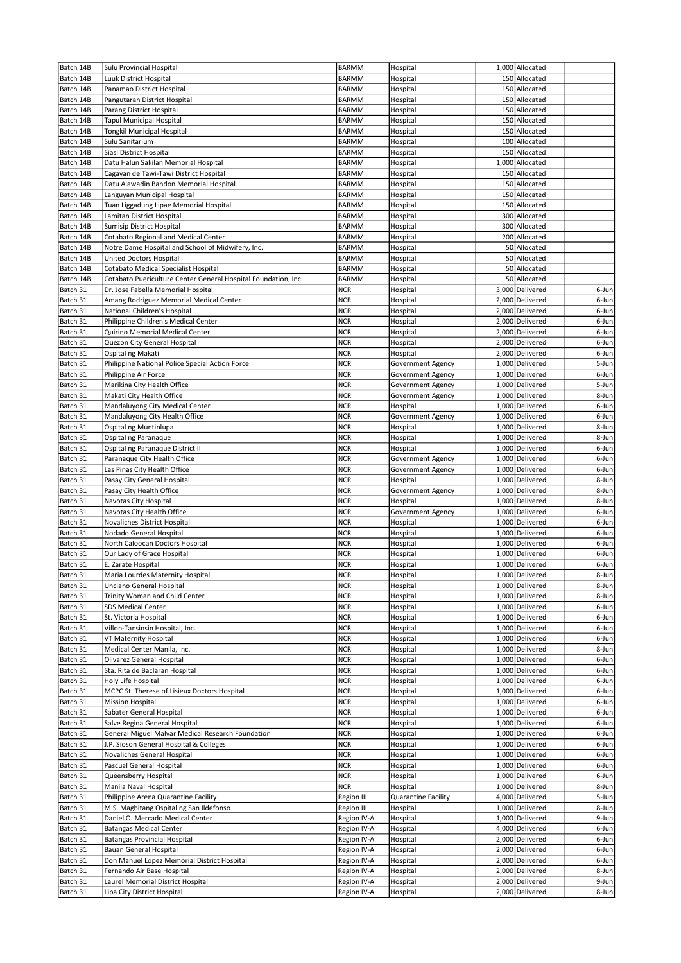| Batch 14B              | Sulu Provincial Hospital                                                | <b>BARMM</b>                 | Hospital                      | 1,000 Allocated                    |                |
|------------------------|-------------------------------------------------------------------------|------------------------------|-------------------------------|------------------------------------|----------------|
| Batch 14B              | Luuk District Hospital                                                  | <b>BARMM</b>                 | Hospital                      | 150 Allocated                      |                |
| Batch 14B              | Panamao District Hospital                                               | <b>BARMM</b>                 | Hospital                      | 150 Allocated                      |                |
| Batch 14B              | Pangutaran District Hospital                                            | <b>BARMM</b>                 | Hospital                      | 150 Allocated                      |                |
| Batch 14B              | Parang District Hospital                                                | <b>BARMM</b>                 | Hospital                      | 150 Allocated                      |                |
| Batch 14B              | Tapul Municipal Hospital                                                | <b>BARMM</b>                 | Hospital                      | 150 Allocated                      |                |
| Batch 14B              | Tongkil Municipal Hospital                                              | <b>BARMM</b>                 | Hospital                      | 150 Allocated                      |                |
| Batch 14B              | Sulu Sanitarium<br>Siasi District Hospital                              | <b>BARMM</b>                 | Hospital                      | 100 Allocated<br>150 Allocated     |                |
| Batch 14B<br>Batch 14B | Datu Halun Sakilan Memorial Hospital                                    | <b>BARMM</b><br><b>BARMM</b> | Hospital<br>Hospital          | 1,000 Allocated                    |                |
| Batch 14B              | Cagayan de Tawi-Tawi District Hospital                                  | <b>BARMM</b>                 | Hospital                      | 150 Allocated                      |                |
| Batch 14B              | Datu Alawadin Bandon Memorial Hospital                                  | <b>BARMM</b>                 | Hospital                      | 150 Allocated                      |                |
| Batch 14B              | Languyan Municipal Hospital                                             | <b>BARMM</b>                 | Hospital                      | 150 Allocated                      |                |
| Batch 14B              | Tuan Liggadung Lipae Memorial Hospital                                  | <b>BARMM</b>                 | Hospital                      | 150 Allocated                      |                |
| Batch 14B              | Lamitan District Hospital                                               | <b>BARMM</b>                 | Hospital                      | 300 Allocated                      |                |
| Batch 14B              | Sumisip District Hospital                                               | <b>BARMM</b>                 | Hospital                      | 300 Allocated                      |                |
| Batch 14B              | Cotabato Regional and Medical Center                                    | <b>BARMM</b>                 | Hospital                      | 200 Allocated                      |                |
| Batch 14B              | Notre Dame Hospital and School of Midwifery, Inc.                       | <b>BARMM</b>                 | Hospital                      | 50 Allocated                       |                |
| Batch 14B              | United Doctors Hospital                                                 | <b>BARMM</b>                 | Hospital                      | 50 Allocated                       |                |
| Batch 14B              | Cotabato Medical Specialist Hospital                                    | <b>BARMM</b>                 | Hospital                      | 50 Allocated                       |                |
| Batch 14B              | Cotabato Puericulture Center General Hospital Foundation, Inc.          | <b>BARMM</b>                 | Hospital                      | 50 Allocated                       |                |
| Batch 31               | Dr. Jose Fabella Memorial Hospital                                      | <b>NCR</b>                   | Hospital                      | 3,000 Delivered                    | 6-Jun          |
| Batch 31               | Amang Rodriguez Memorial Medical Center                                 | <b>NCR</b>                   | Hospital                      | 2,000 Delivered                    | 6-Jun          |
| Batch 31               | National Children's Hospital                                            | <b>NCR</b>                   | Hospital                      | 2,000 Delivered                    | 6-Jun          |
| Batch 31               | Philippine Children's Medical Center<br>Quirino Memorial Medical Center | <b>NCR</b>                   | Hospital                      | 2,000 Delivered                    | 6-Jun          |
| Batch 31               |                                                                         | <b>NCR</b>                   | Hospital                      | 2,000 Delivered                    | 6-Jun          |
| Batch 31<br>Batch 31   | Quezon City General Hospital<br>Ospital ng Makati                       | <b>NCR</b><br><b>NCR</b>     | Hospital<br>Hospital          | 2,000 Delivered<br>2,000 Delivered | 6-Jun<br>6-Jun |
| Batch 31               | Philippine National Police Special Action Force                         | <b>NCR</b>                   | <b>Government Agency</b>      | 1,000 Delivered                    | 5-Jun          |
| Batch 31               | Philippine Air Force                                                    | <b>NCR</b>                   | Government Agency             | 1,000 Delivered                    | 6-Jun          |
| Batch 31               | Marikina City Health Office                                             | NCR                          | Government Agency             | 1,000 Delivered                    | 5-Jun          |
| Batch 31               | Makati City Health Office                                               | <b>NCR</b>                   | Government Agency             | 1,000 Delivered                    | 8-Jun          |
| Batch 31               | Mandaluyong City Medical Center                                         | <b>NCR</b>                   | Hospital                      | 1,000 Delivered                    | 6-Jun          |
| Batch 31               | Mandaluyong City Health Office                                          | <b>NCR</b>                   | Government Agency             | 1,000 Delivered                    | 6-Jun          |
| Batch 31               | Ospital ng Muntinlupa                                                   | <b>NCR</b>                   | Hospital                      | 1,000 Delivered                    | 8-Jun          |
| Batch 31               | Ospital ng Paranaque                                                    | <b>NCR</b>                   | Hospital                      | 1,000 Delivered                    | 8-Jun          |
| Batch 31               | Ospital ng Paranaque District II                                        | NCR                          | Hospital                      | 1,000 Delivered                    | 6-Jun          |
| Batch 31               | Paranaque City Health Office                                            | <b>NCR</b>                   | Government Agency             | 1,000 Delivered                    | 6-Jun          |
| Batch 31               | Las Pinas City Health Office                                            | NCR                          | Government Agency             | 1,000 Delivered                    | 6-Jun          |
| Batch 31               | Pasay City General Hospital                                             | NCR                          | Hospital                      | 1,000 Delivered                    | 8-Jun          |
| Batch 31               | Pasay City Health Office                                                | <b>NCR</b>                   | Government Agency             | 1,000 Delivered                    | 8-Jun          |
| Batch 31               | Navotas City Hospital                                                   | <b>NCR</b>                   | Hospital                      | 1,000 Delivered                    | 8-Jun          |
| Batch 31<br>Batch 31   | Navotas City Health Office<br>Novaliches District Hospital              | NCR<br><b>NCR</b>            | Government Agency<br>Hospital | 1,000 Delivered<br>1,000 Delivered | 6-Jun<br>6-Jun |
| Batch 31               | Nodado General Hospital                                                 | <b>NCR</b>                   | Hospital                      | 1,000 Delivered                    | 6-Jun          |
| Batch 31               | North Caloocan Doctors Hospital                                         | <b>NCR</b>                   | Hospital                      | 1,000 Delivered                    | 6-Jun          |
| Batch 31               | Our Lady of Grace Hospital                                              | <b>NCR</b>                   | Hospital                      | 1,000 Delivered                    | 6-Jun          |
| Batch 31               | E. Zarate Hospital                                                      | <b>NCR</b>                   | Hospital                      | 1,000 Delivered                    | 6-Jun          |
| Batch 31               | Maria Lourdes Maternity Hospital                                        | <b>NCR</b>                   | Hospital                      | 1,000 Delivered                    | 8-Jun          |
| Batch 31               | Unciano General Hospital                                                | <b>NCR</b>                   | Hospital                      | 1,000 Delivered                    | 8-Jun          |
| Batch 31               | Trinity Woman and Child Center                                          | <b>NCR</b>                   | Hospital                      | 1,000 Delivered                    | 8-Jun          |
| Batch 31               | SDS Medical Center                                                      | <b>NCR</b>                   | Hospital                      | 1,000 Delivered                    | 6-Jun          |
| Batch 31               | St. Victoria Hospital                                                   | <b>NCR</b>                   | Hospital                      | 1,000 Delivered                    | 6-Jun          |
| Batch 31               | Villon-Tansinsin Hospital, Inc.                                         | <b>NCR</b>                   | Hospital                      | 1,000 Delivered                    | 6-Jun          |
| Batch 31               | VT Maternity Hospital                                                   | <b>NCR</b>                   | Hospital                      | 1,000 Delivered                    | 6-Jun          |
| Batch 31               | Medical Center Manila, Inc.                                             | <b>NCR</b>                   | Hospital                      | 1,000 Delivered                    | 8-Jun          |
| Batch 31<br>Batch 31   | Olivarez General Hospital<br>Sta. Rita de Baclaran Hospital             | <b>NCR</b><br><b>NCR</b>     | Hospital<br>Hospital          | 1,000 Delivered<br>1,000 Delivered | 6-Jun<br>6-Jun |
| Batch 31               | Holy Life Hospital                                                      | <b>NCR</b>                   | Hospital                      | 1,000 Delivered                    | 6-Jun          |
| Batch 31               | MCPC St. Therese of Lisieux Doctors Hospital                            | <b>NCR</b>                   | Hospital                      | 1,000 Delivered                    | 6-Jun          |
| Batch 31               | <b>Mission Hospital</b>                                                 | <b>NCR</b>                   | Hospital                      | 1,000 Delivered                    | 6-Jun          |
| Batch 31               | Sabater General Hospital                                                | <b>NCR</b>                   | Hospital                      | 1,000 Delivered                    | 6-Jun          |
| Batch 31               | Salve Regina General Hospital                                           | <b>NCR</b>                   | Hospital                      | 1,000 Delivered                    | 6-Jun          |
| Batch 31               | General Miguel Malvar Medical Research Foundation                       | <b>NCR</b>                   | Hospital                      | 1,000 Delivered                    | 6-Jun          |
| Batch 31               | J.P. Sioson General Hospital & Colleges                                 | <b>NCR</b>                   | Hospital                      | 1,000 Delivered                    | 6-Jun          |
| Batch 31               | Novaliches General Hospital                                             | <b>NCR</b>                   | Hospital                      | 1,000 Delivered                    | 6-Jun          |
| Batch 31               | Pascual General Hospital                                                | <b>NCR</b>                   | Hospital                      | 1,000 Delivered                    | 6-Jun          |
| Batch 31               | Queensberry Hospital                                                    | NCR                          | Hospital                      | 1,000 Delivered                    | 6-Jun          |
| Batch 31               | Manila Naval Hospital                                                   | <b>NCR</b>                   | Hospital                      | 1,000 Delivered                    | 8-Jun          |
| Batch 31               | Philippine Arena Quarantine Facility                                    | Region III                   | Quarantine Facility           | 4,000 Delivered                    | 5-Jun          |
| Batch 31               | M.S. Magbitang Ospital ng San Ildefonso                                 | Region III                   | Hospital                      | 1,000 Delivered                    | 8-Jun          |
| Batch 31<br>Batch 31   | Daniel O. Mercado Medical Center                                        | Region IV-A<br>Region IV-A   | Hospital<br>Hospital          | 1,000 Delivered<br>4,000 Delivered | 9-Jun<br>6-Jun |
| Batch 31               | <b>Batangas Medical Center</b><br>Batangas Provincial Hospital          | Region IV-A                  | Hospital                      | 2,000 Delivered                    | 6-Jun          |
| Batch 31               | Bauan General Hospital                                                  | Region IV-A                  | Hospital                      | 2,000 Delivered                    | 6-Jun          |
| Batch 31               | Don Manuel Lopez Memorial District Hospital                             | Region IV-A                  | Hospital                      | 2,000 Delivered                    | 6-Jun          |
| Batch 31               | Fernando Air Base Hospital                                              | Region IV-A                  | Hospital                      | 2,000 Delivered                    | 8-Jun          |
| Batch 31               | Laurel Memorial District Hospital                                       | Region IV-A                  | Hospital                      | 2,000 Delivered                    | 9-Jun          |
| Batch 31               | Lipa City District Hospital                                             | Region IV-A                  | Hospital                      | 2,000 Delivered                    | 8-Jun          |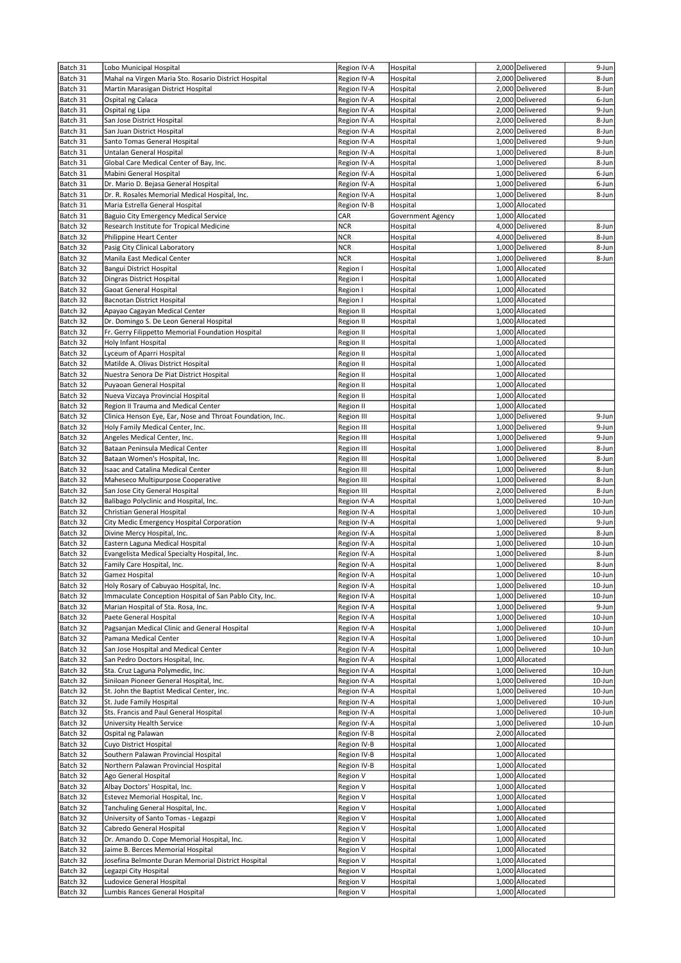| Batch 31 | Lobo Municipal Hospital                                   | Region IV-A | Hospital          | 2,000 Delivered                    | 9-Jun          |
|----------|-----------------------------------------------------------|-------------|-------------------|------------------------------------|----------------|
| Batch 31 | Mahal na Virgen Maria Sto. Rosario District Hospital      | Region IV-A | Hospital          | 2,000 Delivered                    | 8-Jun          |
| Batch 31 | Martin Marasigan District Hospital                        | Region IV-A | Hospital          | 2,000 Delivered                    | 8-Jun          |
| Batch 31 | Ospital ng Calaca                                         | Region IV-A | Hospital          | 2,000 Delivered                    | 6-Jun          |
| Batch 31 | Ospital ng Lipa                                           | Region IV-A | Hospital          | 2,000 Delivered                    | 9-Jun          |
| Batch 31 | San Jose District Hospital                                | Region IV-A | Hospital          | 2,000 Delivered                    | 8-Jun          |
| Batch 31 | San Juan District Hospital                                | Region IV-A | Hospital          | 2,000 Delivered                    | 8-Jun          |
| Batch 31 | Santo Tomas General Hospital                              | Region IV-A | Hospital          | 1,000 Delivered                    | 9-Jun          |
| Batch 31 | Untalan General Hospital                                  | Region IV-A | Hospital          | 1,000 Delivered                    | 8-Jun          |
| Batch 31 | Global Care Medical Center of Bay, Inc.                   | Region IV-A | Hospital          | 1,000 Delivered                    | 8-Jun          |
| Batch 31 | Mabini General Hospital                                   | Region IV-A | Hospital          | 1,000 Delivered                    | 6-Jun          |
| Batch 31 | Dr. Mario D. Bejasa General Hospital                      | Region IV-A | Hospital          | 1,000 Delivered                    | 6-Jun          |
| Batch 31 | Dr. R. Rosales Memorial Medical Hospital, Inc.            | Region IV-A | Hospital          | 1,000 Delivered                    | 8-Jun          |
| Batch 31 | Maria Estrella General Hospital                           | Region IV-B | Hospital          | 1.000 Allocated                    |                |
| Batch 31 | Baguio City Emergency Medical Service                     | CAR         | Government Agency | 1,000 Allocated                    |                |
| Batch 32 | Research Institute for Tropical Medicine                  | <b>NCR</b>  | Hospital          | 4,000 Delivered                    | 8-Jun          |
| Batch 32 | Philippine Heart Center                                   | <b>NCR</b>  | Hospital          | 4,000 Delivered                    | 8-Jun          |
| Batch 32 | Pasig City Clinical Laboratory                            | <b>NCR</b>  | Hospital          | 1,000 Delivered                    | 8-Jun          |
| Batch 32 | Manila East Medical Center                                | <b>NCR</b>  | Hospital          | 1,000 Delivered                    | 8-Jun          |
| Batch 32 | Bangui District Hospital                                  | Region I    | Hospital          | 1,000 Allocated                    |                |
| Batch 32 | Dingras District Hospital                                 | Region I    | Hospital          | 1,000 Allocated                    |                |
| Batch 32 | Gaoat General Hospital                                    | Region I    | Hospital          | 1,000 Allocated                    |                |
| Batch 32 | Bacnotan District Hospital                                | Region I    | Hospital          | 1,000 Allocated                    |                |
| Batch 32 | Apayao Cagayan Medical Center                             | Region II   | Hospital          | 1,000 Allocated                    |                |
| Batch 32 | Dr. Domingo S. De Leon General Hospital                   | Region II   | Hospital          | 1,000 Allocated                    |                |
| Batch 32 | Fr. Gerry Filippetto Memorial Foundation Hospital         | Region II   | Hospital          | 1,000 Allocated                    |                |
| Batch 32 | Holy Infant Hospital                                      | Region II   | Hospital          | 1,000 Allocated                    |                |
| Batch 32 | Lyceum of Aparri Hospital                                 | Region II   | Hospital          | 1,000 Allocated                    |                |
| Batch 32 | Matilde A. Olivas District Hospital                       | Region II   | Hospital          | 1,000 Allocated                    |                |
| Batch 32 | Nuestra Senora De Piat District Hospital                  | Region II   | Hospital          | 1,000 Allocated                    |                |
| Batch 32 | Puyaoan General Hospital                                  | Region II   | Hospital          | 1,000 Allocated                    |                |
| Batch 32 | Nueva Vizcaya Provincial Hospital                         | Region II   | Hospital          | 1,000 Allocated                    |                |
|          |                                                           |             |                   | 1,000 Allocated                    |                |
| Batch 32 | Region II Trauma and Medical Center                       | Region II   | Hospital          |                                    |                |
| Batch 32 | Clinica Henson Eye, Ear, Nose and Throat Foundation, Inc. | Region III  | Hospital          | 1,000 Delivered<br>1,000 Delivered | 9-Jun<br>9-Jun |
| Batch 32 | Holy Family Medical Center, Inc.                          | Region III  | Hospital          |                                    |                |
| Batch 32 | Angeles Medical Center, Inc.                              | Region III  | Hospital          | 1,000 Delivered                    | 9-Jun          |
| Batch 32 | Bataan Peninsula Medical Center                           | Region III  | Hospital          | 1,000 Delivered                    | 8-Jun          |
| Batch 32 | Bataan Women's Hospital, Inc.                             | Region III  | Hospital          | 1,000 Delivered                    | 8-Jun          |
| Batch 32 | Isaac and Catalina Medical Center                         | Region III  | Hospital          | 1,000 Delivered                    | 8-Jun          |
| Batch 32 | Maheseco Multipurpose Cooperative                         | Region III  | Hospital          | 1,000 Delivered                    | 8-Jun          |
| Batch 32 | San Jose City General Hospital                            | Region III  | Hospital          | 2,000 Delivered                    | 8-Jun          |
| Batch 32 | Balibago Polyclinic and Hospital, Inc.                    | Region IV-A | Hospital          | 1,000 Delivered                    | 10-Jun         |
| Batch 32 | Christian General Hospital                                | Region IV-A | Hospital          | 1,000 Delivered                    | 10-Jun         |
| Batch 32 | City Medic Emergency Hospital Corporation                 | Region IV-A | Hospital          | 1,000 Delivered                    | 9-Jun          |
| Batch 32 | Divine Mercy Hospital, Inc.                               | Region IV-A | Hospital          | 1,000 Delivered                    | 8-Jun          |
| Batch 32 | Eastern Laguna Medical Hospital                           | Region IV-A | Hospital          | 1,000 Delivered                    | 10-Jun         |
| Batch 32 | Evangelista Medical Specialty Hospital, Inc.              | Region IV-A | Hospital          | 1,000 Delivered                    | 8-Jun          |
| Batch 32 | Family Care Hospital, Inc.                                | Region IV-A | Hospital          | 1,000 Delivered                    | 8-Jun          |
| Batch 32 | Gamez Hospital                                            | Region IV-A | Hospital          | 1,000 Delivered                    | $10 - Jun$     |
| Batch 32 | Holy Rosary of Cabuyao Hospital, Inc.                     | Region IV-A | Hospital          | 1,000 Delivered                    | 10-Jun         |
| Batch 32 | Immaculate Conception Hospital of San Pablo City, Inc.    | Region IV-A | Hospital          | 1,000 Delivered                    | 10-Jun         |
| Batch 32 | Marian Hospital of Sta. Rosa, Inc.                        | Region IV-A | Hospital          | 1,000 Delivered                    | 9-Jun          |
| Batch 32 | Paete General Hospital                                    | Region IV-A | Hospital          | 1,000 Delivered                    | 10-Jun         |
| Batch 32 | Pagsanjan Medical Clinic and General Hospital             | Region IV-A | Hospital          | 1,000 Delivered                    | 10-Jun         |
| Batch 32 | Pamana Medical Center                                     | Region IV-A | Hospital          | 1,000 Delivered                    | 10-Jun         |
| Batch 32 | San Jose Hospital and Medical Center                      | Region IV-A | Hospital          | 1,000 Delivered                    | 10-Jun         |
| Batch 32 | San Pedro Doctors Hospital, Inc.                          | Region IV-A | Hospital          | 1,000 Allocated                    |                |
| Batch 32 | Sta. Cruz Laguna Polymedic, Inc.                          | Region IV-A | Hospital          | 1,000 Delivered                    | 10-Jun         |
| Batch 32 | Siniloan Pioneer General Hospital, Inc.                   | Region IV-A | Hospital          | 1,000 Delivered                    | 10-Jun         |
| Batch 32 | St. John the Baptist Medical Center, Inc.                 | Region IV-A | Hospital          | 1,000 Delivered                    | 10-Jun         |
| Batch 32 | St. Jude Family Hospital                                  | Region IV-A | Hospital          | 1,000 Delivered                    | 10-Jun         |
| Batch 32 | Sts. Francis and Paul General Hospital                    | Region IV-A | Hospital          | 1,000 Delivered                    | 10-Jun         |
| Batch 32 | University Health Service                                 | Region IV-A | Hospital          | 1,000 Delivered                    | 10-Jun         |
| Batch 32 | Ospital ng Palawan                                        | Region IV-B | Hospital          | 2,000 Allocated                    |                |
| Batch 32 | Cuyo District Hospital                                    | Region IV-B | Hospital          | 1,000 Allocated                    |                |
| Batch 32 | Southern Palawan Provincial Hospital                      | Region IV-B | Hospital          | 1,000 Allocated                    |                |
| Batch 32 | Northern Palawan Provincial Hospital                      | Region IV-B | Hospital          | 1,000 Allocated                    |                |
| Batch 32 | Ago General Hospital                                      | Region V    | Hospital          | 1,000 Allocated                    |                |
| Batch 32 | Albay Doctors' Hospital, Inc.                             | Region V    | Hospital          | 1,000 Allocated                    |                |
| Batch 32 | Estevez Memorial Hospital, Inc.                           | Region V    | Hospital          | 1,000 Allocated                    |                |
| Batch 32 | Tanchuling General Hospital, Inc.                         | Region V    | Hospital          | 1,000 Allocated                    |                |
| Batch 32 | University of Santo Tomas - Legazpi                       | Region V    | Hospital          | 1,000 Allocated                    |                |
| Batch 32 | Cabredo General Hospital                                  | Region V    | Hospital          | 1,000 Allocated                    |                |
| Batch 32 | Dr. Amando D. Cope Memorial Hospital, Inc.                | Region V    | Hospital          | 1,000 Allocated                    |                |
| Batch 32 | Jaime B. Berces Memorial Hospital                         | Region V    | Hospital          | 1,000 Allocated                    |                |
| Batch 32 | Josefina Belmonte Duran Memorial District Hospital        | Region V    | Hospital          | 1,000 Allocated                    |                |
| Batch 32 | Legazpi City Hospital                                     | Region V    | Hospital          | 1,000 Allocated                    |                |
| Batch 32 | Ludovice General Hospital                                 | Region V    | Hospital          | 1,000 Allocated                    |                |
| Batch 32 | Lumbis Rances General Hospital                            | Region V    | Hospital          | 1,000 Allocated                    |                |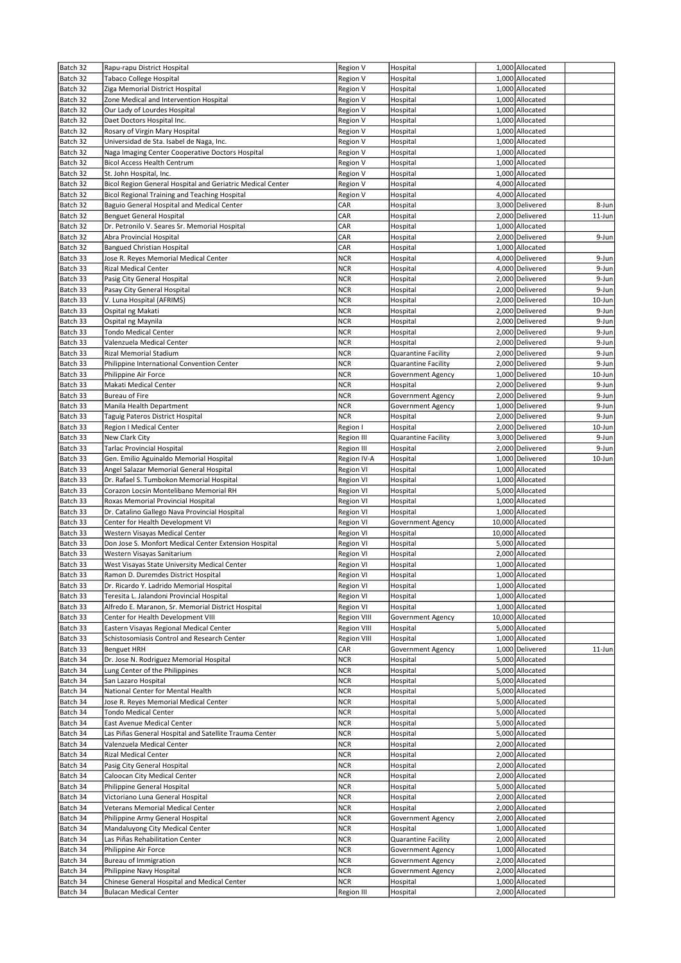| Batch 32             | Rapu-rapu District Hospital                                                                     | Region V                          | Hospital                   | 1,000 Allocated                    |                    |
|----------------------|-------------------------------------------------------------------------------------------------|-----------------------------------|----------------------------|------------------------------------|--------------------|
| Batch 32             | <b>Tabaco College Hospital</b>                                                                  | Region V                          | Hospital                   | 1,000 Allocated                    |                    |
| Batch 32             | Ziga Memorial District Hospital                                                                 | Region V                          | Hospital                   | 1,000 Allocated                    |                    |
| Batch 32             | Zone Medical and Intervention Hospital                                                          | Region V                          | Hospital                   | 1,000 Allocated                    |                    |
| Batch 32             | Our Lady of Lourdes Hospital                                                                    | Region V                          | Hospital                   | 1,000 Allocated                    |                    |
| Batch 32             | Daet Doctors Hospital Inc.                                                                      | Region V                          | Hospital                   | 1,000 Allocated                    |                    |
| Batch 32             | Rosary of Virgin Mary Hospital                                                                  | Region V                          | Hospital                   | 1,000 Allocated                    |                    |
| Batch 32             | Universidad de Sta. Isabel de Naga, Inc.                                                        | Region V                          | Hospital                   | 1,000 Allocated                    |                    |
| Batch 32             | Naga Imaging Center Cooperative Doctors Hospital                                                | Region V                          | Hospital                   | 1,000 Allocated                    |                    |
| Batch 32             | Bicol Access Health Centrum                                                                     | Region V                          | Hospital                   | 1,000 Allocated                    |                    |
| Batch 32             | St. John Hospital, Inc.                                                                         | Region V                          | Hospital                   | 1,000 Allocated                    |                    |
| Batch 32             | Bicol Region General Hospital and Geriatric Medical Center                                      | Region V                          | Hospital                   | 4,000 Allocated                    |                    |
| Batch 32<br>Batch 32 | <b>Bicol Regional Training and Teaching Hospital</b>                                            | Region V<br>CAR                   | Hospital                   | 4,000 Allocated<br>3,000 Delivered |                    |
| Batch 32             | Baguio General Hospital and Medical Center<br><b>Benguet General Hospital</b>                   | CAR                               | Hospital<br>Hospital       | 2,000 Delivered                    | 8-Jun<br>$11$ -Jun |
| Batch 32             | Dr. Petronilo V. Seares Sr. Memorial Hospital                                                   | CAR                               | Hospital                   | 1,000 Allocated                    |                    |
| Batch 32             | Abra Provincial Hospital                                                                        | CAR                               | Hospital                   | 2,000 Delivered                    | 9-Jun              |
| Batch 32             | <b>Bangued Christian Hospital</b>                                                               | CAR                               | Hospital                   | 1,000 Allocated                    |                    |
| Batch 33             | Jose R. Reyes Memorial Medical Center                                                           | <b>NCR</b>                        | Hospital                   | 4,000 Delivered                    | 9-Jun              |
| Batch 33             | <b>Rizal Medical Center</b>                                                                     | <b>NCR</b>                        | Hospital                   | 4,000 Delivered                    | 9-Jun              |
| Batch 33             | Pasig City General Hospital                                                                     | <b>NCR</b>                        | Hospital                   | 2,000 Delivered                    | 9-Jun              |
| Batch 33             | Pasay City General Hospital                                                                     | <b>NCR</b>                        | Hospital                   | 2,000 Delivered                    | 9-Jun              |
| Batch 33             | V. Luna Hospital (AFRIMS)                                                                       | <b>NCR</b>                        | Hospital                   | 2,000 Delivered                    | 10-Jun             |
| Batch 33             | Ospital ng Makati                                                                               | <b>NCR</b>                        | Hospital                   | 2,000 Delivered                    | 9-Jun              |
| Batch 33             | Ospital ng Maynila                                                                              | <b>NCR</b>                        | Hospital                   | 2,000 Delivered                    | 9-Jun              |
| Batch 33             | <b>Tondo Medical Center</b>                                                                     | <b>NCR</b>                        | Hospital                   | 2,000 Delivered                    | 9-Jun              |
| Batch 33             | Valenzuela Medical Center                                                                       | <b>NCR</b>                        | Hospital                   | 2,000 Delivered                    | 9-Jun              |
| Batch 33             | Rizal Memorial Stadium                                                                          | NCR                               | Quarantine Facility        | 2,000 Delivered                    | 9-Jun              |
| Batch 33             | Philippine International Convention Center                                                      | <b>NCR</b>                        | <b>Quarantine Facility</b> | 2,000 Delivered                    | 9-Jun              |
| Batch 33             | Philippine Air Force                                                                            | NCR                               | Government Agency          | 1,000 Delivered                    | 10-Jun             |
| Batch 33             | Makati Medical Center                                                                           | <b>NCR</b>                        | Hospital                   | 2,000 Delivered                    | 9-Jun              |
| Batch 33             | Bureau of Fire                                                                                  | <b>NCR</b>                        | Government Agency          | 2,000 Delivered                    | 9-Jun              |
| Batch 33             | Manila Health Department                                                                        | <b>NCR</b>                        | Government Agency          | 1,000 Delivered                    | 9-Jun              |
| Batch 33             | Taguig Pateros District Hospital                                                                | <b>NCR</b>                        | Hospital                   | 2,000 Delivered                    | 9-Jun              |
| Batch 33             | Region I Medical Center                                                                         | Region I                          | Hospital                   | 2,000 Delivered                    | 10-Jun             |
| Batch 33             | New Clark City                                                                                  | <b>Region III</b>                 | <b>Quarantine Facility</b> | 3,000 Delivered                    | 9-Jun              |
| Batch 33             | <b>Tarlac Provincial Hospital</b>                                                               | <b>Region III</b>                 | Hospital                   | 2,000 Delivered                    | 9-Jun              |
| Batch 33             | Gen. Emilio Aguinaldo Memorial Hospital                                                         | Region IV-A                       | Hospital                   | 1,000 Delivered                    | 10-Jun             |
| Batch 33             | Angel Salazar Memorial General Hospital                                                         | Region VI                         | Hospital                   | 1,000 Allocated                    |                    |
| Batch 33             | Dr. Rafael S. Tumbokon Memorial Hospital                                                        | Region VI                         | Hospital                   | 1,000 Allocated                    |                    |
| Batch 33             | Corazon Locsin Montelibano Memorial RH                                                          | Region VI                         | Hospital                   | 5,000 Allocated                    |                    |
| Batch 33             | Roxas Memorial Provincial Hospital                                                              | Region VI                         | Hospital                   | 1,000 Allocated                    |                    |
| Batch 33             | Dr. Catalino Gallego Nava Provincial Hospital                                                   | Region VI                         | Hospital                   | 1,000 Allocated                    |                    |
| Batch 33             | Center for Health Development VI                                                                | Region VI                         | Government Agency          | 10,000 Allocated                   |                    |
| Batch 33             | Western Visayas Medical Center                                                                  | Region VI                         | Hospital                   | 10,000 Allocated                   |                    |
| Batch 33             | Don Jose S. Monfort Medical Center Extension Hospital                                           | Region VI                         | Hospital                   | 5,000 Allocated                    |                    |
| Batch 33             | Western Visayas Sanitarium                                                                      | Region VI                         | Hospital                   | 2,000 Allocated                    |                    |
| Batch 33             | West Visayas State University Medical Center                                                    | <b>Region VI</b>                  | Hospital                   | 1,000 Allocated                    |                    |
| Batch 33             | Ramon D. Duremdes District Hospital                                                             | Region VI                         | Hospital                   | 1,000 Allocated                    |                    |
| Batch 33<br>Batch 33 | Dr. Ricardo Y. Ladrido Memorial Hospital                                                        | Region VI                         | Hospital                   | 1,000 Allocated                    |                    |
| Batch 33             | Teresita L. Jalandoni Provincial Hospital<br>Alfredo E. Maranon, Sr. Memorial District Hospital | Region VI<br>Region VI            | Hospital<br>Hospital       | 1,000 Allocated<br>1,000 Allocated |                    |
| Batch 33             | Center for Health Development VIII                                                              | <b>Region VIII</b>                | Government Agency          | 10,000 Allocated                   |                    |
| Batch 33             | Eastern Visayas Regional Medical Center                                                         |                                   |                            | 5,000 Allocated                    |                    |
| Batch 33             | Schistosomiasis Control and Research Center                                                     | <b>Region VIII</b><br>Region VIII | Hospital<br>Hospital       | 1,000 Allocated                    |                    |
| Batch 33             | <b>Benguet HRH</b>                                                                              | CAR                               | Government Agency          | 1,000 Delivered                    | $11$ -Jun          |
| Batch 34             | Dr. Jose N. Rodriguez Memorial Hospital                                                         | <b>NCR</b>                        | Hospital                   | 5,000 Allocated                    |                    |
| Batch 34             | Lung Center of the Philippines                                                                  | <b>NCR</b>                        | Hospital                   | 5,000 Allocated                    |                    |
| Batch 34             | San Lazaro Hospital                                                                             | <b>NCR</b>                        | Hospital                   | 5,000 Allocated                    |                    |
| Batch 34             | National Center for Mental Health                                                               | <b>NCR</b>                        | Hospital                   | 5,000 Allocated                    |                    |
| Batch 34             | Jose R. Reyes Memorial Medical Center                                                           | <b>NCR</b>                        | Hospital                   | 5,000 Allocated                    |                    |
| Batch 34             | Tondo Medical Center                                                                            | <b>NCR</b>                        | Hospital                   | 5,000 Allocated                    |                    |
| Batch 34             | East Avenue Medical Center                                                                      | <b>NCR</b>                        | Hospital                   | 5,000 Allocated                    |                    |
| Batch 34             | Las Piñas General Hospital and Satellite Trauma Center                                          | <b>NCR</b>                        | Hospital                   | 5,000 Allocated                    |                    |
| Batch 34             | Valenzuela Medical Center                                                                       | <b>NCR</b>                        | Hospital                   | 2,000 Allocated                    |                    |
| Batch 34             | Rizal Medical Center                                                                            | <b>NCR</b>                        | Hospital                   | 2,000 Allocated                    |                    |
| Batch 34             | Pasig City General Hospital                                                                     | <b>NCR</b>                        | Hospital                   | 2,000 Allocated                    |                    |
| Batch 34             | Caloocan City Medical Center                                                                    | <b>NCR</b>                        | Hospital                   | 2,000 Allocated                    |                    |
| Batch 34             | Philippine General Hospital                                                                     | <b>NCR</b>                        | Hospital                   | 5,000 Allocated                    |                    |
| Batch 34             | Victoriano Luna General Hospital                                                                | <b>NCR</b>                        | Hospital                   | 2,000 Allocated                    |                    |
| Batch 34             | Veterans Memorial Medical Center                                                                | <b>NCR</b>                        | Hospital                   | 2,000 Allocated                    |                    |
| Batch 34             | Philippine Army General Hospital                                                                | <b>NCR</b>                        | Government Agency          | 2,000 Allocated                    |                    |
| Batch 34             | Mandaluyong City Medical Center                                                                 | <b>NCR</b>                        | Hospital                   | 1,000 Allocated                    |                    |
| Batch 34             | Las Piñas Rehabilitation Center                                                                 | <b>NCR</b>                        | Quarantine Facility        | 2,000 Allocated                    |                    |
| Batch 34             | Philippine Air Force                                                                            | <b>NCR</b>                        | Government Agency          | 1,000 Allocated                    |                    |
| Batch 34             | Bureau of Immigration                                                                           | <b>NCR</b>                        | Government Agency          | 2,000 Allocated                    |                    |
| Batch 34             | Philippine Navy Hospital                                                                        | <b>NCR</b>                        | Government Agency          | 2,000 Allocated                    |                    |
| Batch 34             | Chinese General Hospital and Medical Center                                                     | <b>NCR</b>                        | Hospital                   | 1,000 Allocated                    |                    |
| Batch 34             | <b>Bulacan Medical Center</b>                                                                   | Region III                        | Hospital                   | 2,000 Allocated                    |                    |